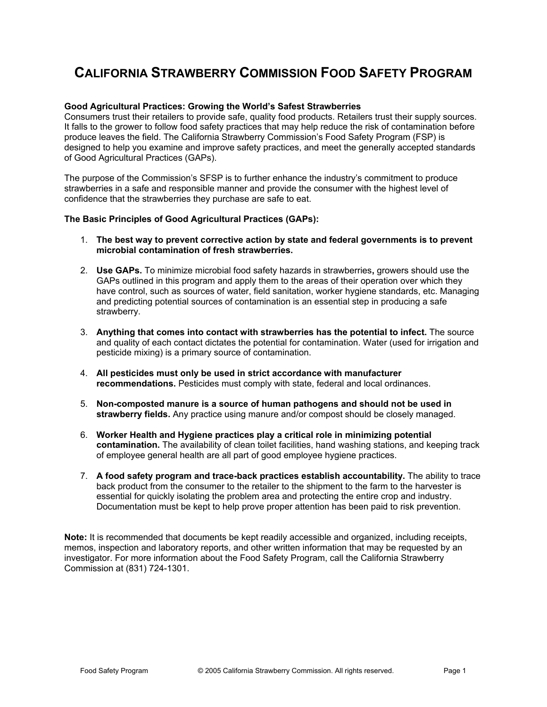## **CALIFORNIA STRAWBERRY COMMISSION FOOD SAFETY PROGRAM**

#### **Good Agricultural Practices: Growing the World's Safest Strawberries**

Consumers trust their retailers to provide safe, quality food products. Retailers trust their supply sources. It falls to the grower to follow food safety practices that may help reduce the risk of contamination before produce leaves the field. The California Strawberry Commission's Food Safety Program (FSP) is designed to help you examine and improve safety practices, and meet the generally accepted standards of Good Agricultural Practices (GAPs).

The purpose of the Commission's SFSP is to further enhance the industry's commitment to produce strawberries in a safe and responsible manner and provide the consumer with the highest level of confidence that the strawberries they purchase are safe to eat.

#### **The Basic Principles of Good Agricultural Practices (GAPs):**

- 1. **The best way to prevent corrective action by state and federal governments is to prevent microbial contamination of fresh strawberries.**
- 2. **Use GAPs.** To minimize microbial food safety hazards in strawberries**,** growers should use the GAPs outlined in this program and apply them to the areas of their operation over which they have control, such as sources of water, field sanitation, worker hygiene standards, etc. Managing and predicting potential sources of contamination is an essential step in producing a safe strawberry.
- 3. **Anything that comes into contact with strawberries has the potential to infect.** The source and quality of each contact dictates the potential for contamination. Water (used for irrigation and pesticide mixing) is a primary source of contamination.
- 4. **All pesticides must only be used in strict accordance with manufacturer recommendations.** Pesticides must comply with state, federal and local ordinances.
- 5. **Non-composted manure is a source of human pathogens and should not be used in strawberry fields.** Any practice using manure and/or compost should be closely managed.
- 6. **Worker Health and Hygiene practices play a critical role in minimizing potential contamination.** The availability of clean toilet facilities, hand washing stations, and keeping track of employee general health are all part of good employee hygiene practices.
- 7. **A food safety program and trace-back practices establish accountability.** The ability to trace back product from the consumer to the retailer to the shipment to the farm to the harvester is essential for quickly isolating the problem area and protecting the entire crop and industry. Documentation must be kept to help prove proper attention has been paid to risk prevention.

**Note:** It is recommended that documents be kept readily accessible and organized, including receipts, memos, inspection and laboratory reports, and other written information that may be requested by an investigator. For more information about the Food Safety Program, call the California Strawberry Commission at (831) 724-1301.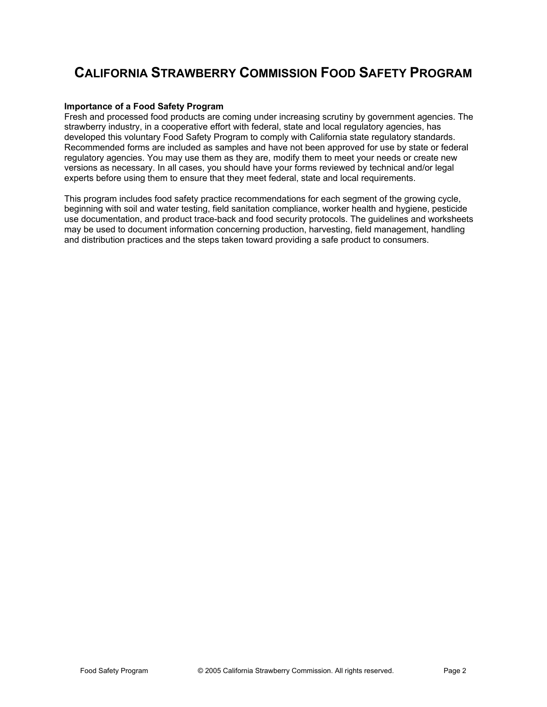## **CALIFORNIA STRAWBERRY COMMISSION FOOD SAFETY PROGRAM**

#### **Importance of a Food Safety Program**

Fresh and processed food products are coming under increasing scrutiny by government agencies. The strawberry industry, in a cooperative effort with federal, state and local regulatory agencies, has developed this voluntary Food Safety Program to comply with California state regulatory standards. Recommended forms are included as samples and have not been approved for use by state or federal regulatory agencies. You may use them as they are, modify them to meet your needs or create new versions as necessary. In all cases, you should have your forms reviewed by technical and/or legal experts before using them to ensure that they meet federal, state and local requirements.

This program includes food safety practice recommendations for each segment of the growing cycle, beginning with soil and water testing, field sanitation compliance, worker health and hygiene, pesticide use documentation, and product trace-back and food security protocols. The guidelines and worksheets may be used to document information concerning production, harvesting, field management, handling and distribution practices and the steps taken toward providing a safe product to consumers.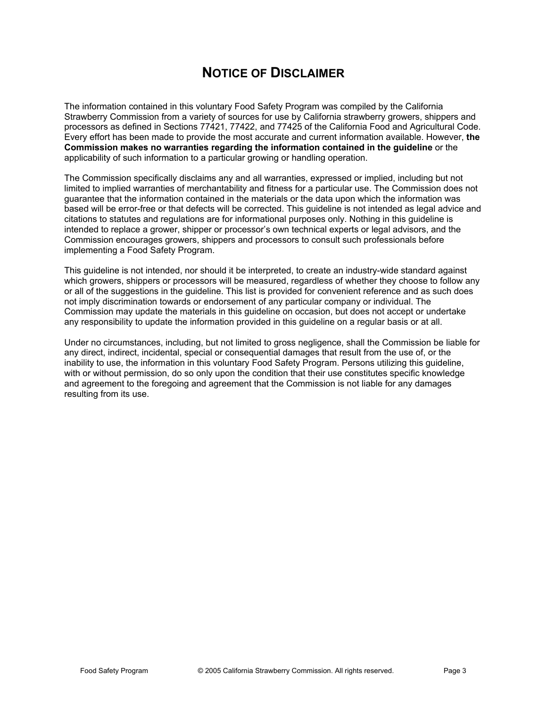## **NOTICE OF DISCLAIMER**

The information contained in this voluntary Food Safety Program was compiled by the California Strawberry Commission from a variety of sources for use by California strawberry growers, shippers and processors as defined in Sections 77421, 77422, and 77425 of the California Food and Agricultural Code. Every effort has been made to provide the most accurate and current information available. However, **the Commission makes no warranties regarding the information contained in the guideline** or the applicability of such information to a particular growing or handling operation.

The Commission specifically disclaims any and all warranties, expressed or implied, including but not limited to implied warranties of merchantability and fitness for a particular use. The Commission does not guarantee that the information contained in the materials or the data upon which the information was based will be error-free or that defects will be corrected. This guideline is not intended as legal advice and citations to statutes and regulations are for informational purposes only. Nothing in this guideline is intended to replace a grower, shipper or processor's own technical experts or legal advisors, and the Commission encourages growers, shippers and processors to consult such professionals before implementing a Food Safety Program.

This guideline is not intended, nor should it be interpreted, to create an industry-wide standard against which growers, shippers or processors will be measured, regardless of whether they choose to follow any or all of the suggestions in the guideline. This list is provided for convenient reference and as such does not imply discrimination towards or endorsement of any particular company or individual. The Commission may update the materials in this guideline on occasion, but does not accept or undertake any responsibility to update the information provided in this guideline on a regular basis or at all.

Under no circumstances, including, but not limited to gross negligence, shall the Commission be liable for any direct, indirect, incidental, special or consequential damages that result from the use of, or the inability to use, the information in this voluntary Food Safety Program. Persons utilizing this guideline, with or without permission, do so only upon the condition that their use constitutes specific knowledge and agreement to the foregoing and agreement that the Commission is not liable for any damages resulting from its use.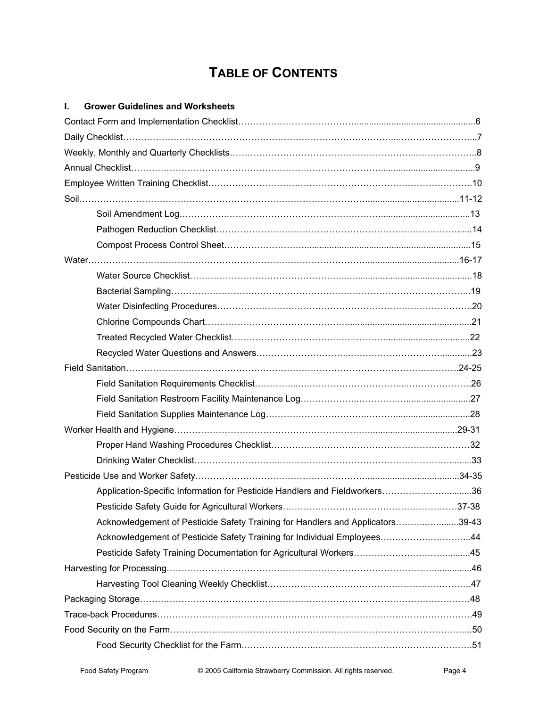# **TABLE OF CONTENTS**

### **I. Grower Guidelines and Worksheets**

| Application-Specific Information for Pesticide Handlers and Fieldworkers36     |  |
|--------------------------------------------------------------------------------|--|
|                                                                                |  |
| Acknowledgement of Pesticide Safety Training for Handlers and Applicators39-43 |  |
| Acknowledgement of Pesticide Safety Training for Individual Employees44        |  |
|                                                                                |  |
|                                                                                |  |
|                                                                                |  |
|                                                                                |  |
|                                                                                |  |
|                                                                                |  |
|                                                                                |  |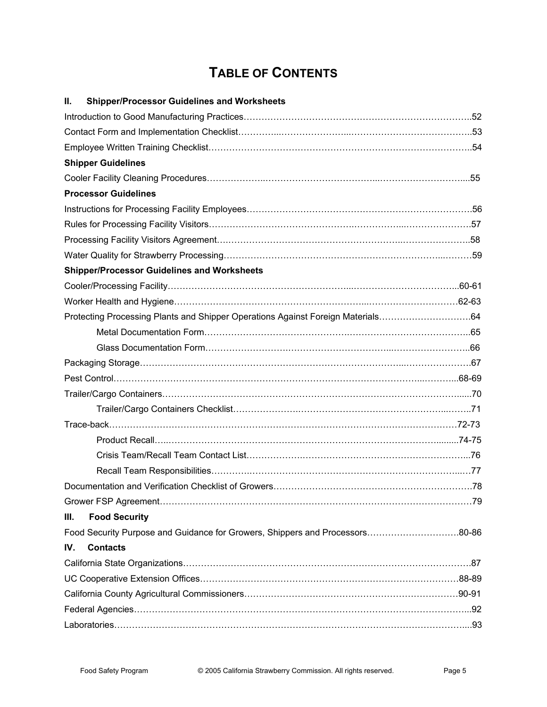# **TABLE OF CONTENTS**

| ΙΙ.<br><b>Shipper/Processor Guidelines and Worksheets</b>                       |  |
|---------------------------------------------------------------------------------|--|
|                                                                                 |  |
|                                                                                 |  |
|                                                                                 |  |
| <b>Shipper Guidelines</b>                                                       |  |
|                                                                                 |  |
| <b>Processor Guidelines</b>                                                     |  |
|                                                                                 |  |
|                                                                                 |  |
|                                                                                 |  |
|                                                                                 |  |
| <b>Shipper/Processor Guidelines and Worksheets</b>                              |  |
|                                                                                 |  |
|                                                                                 |  |
| Protecting Processing Plants and Shipper Operations Against Foreign Materials64 |  |
|                                                                                 |  |
|                                                                                 |  |
|                                                                                 |  |
|                                                                                 |  |
|                                                                                 |  |
|                                                                                 |  |
|                                                                                 |  |
|                                                                                 |  |
|                                                                                 |  |
|                                                                                 |  |
|                                                                                 |  |
|                                                                                 |  |
| Ш.<br><b>Food Security</b>                                                      |  |
| Food Security Purpose and Guidance for Growers, Shippers and Processors80-86    |  |
| IV.<br><b>Contacts</b>                                                          |  |
|                                                                                 |  |
|                                                                                 |  |
|                                                                                 |  |
|                                                                                 |  |
|                                                                                 |  |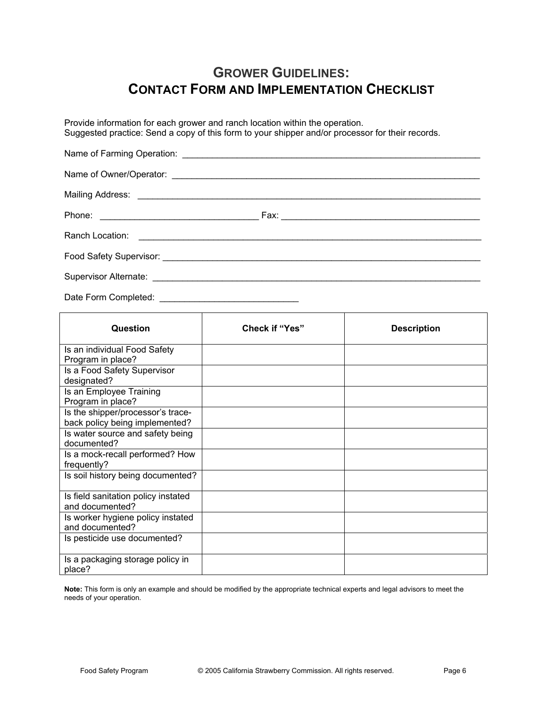## **GROWER GUIDELINES: CONTACT FORM AND IMPLEMENTATION CHECKLIST**

Provide information for each grower and ranch location within the operation. Suggested practice: Send a copy of this form to your shipper and/or processor for their records.

Date Form Completed: \_\_\_\_\_\_\_\_\_\_\_\_\_\_\_\_\_\_\_\_\_\_\_\_\_\_\_\_

| Question                                                            | <b>Check if "Yes"</b> | <b>Description</b> |
|---------------------------------------------------------------------|-----------------------|--------------------|
| Is an individual Food Safety<br>Program in place?                   |                       |                    |
| Is a Food Safety Supervisor<br>designated?                          |                       |                    |
| Is an Employee Training<br>Program in place?                        |                       |                    |
| Is the shipper/processor's trace-<br>back policy being implemented? |                       |                    |
| Is water source and safety being<br>documented?                     |                       |                    |
| Is a mock-recall performed? How<br>frequently?                      |                       |                    |
| Is soil history being documented?                                   |                       |                    |
| Is field sanitation policy instated<br>and documented?              |                       |                    |
| Is worker hygiene policy instated<br>and documented?                |                       |                    |
| Is pesticide use documented?                                        |                       |                    |
| Is a packaging storage policy in<br>place?                          |                       |                    |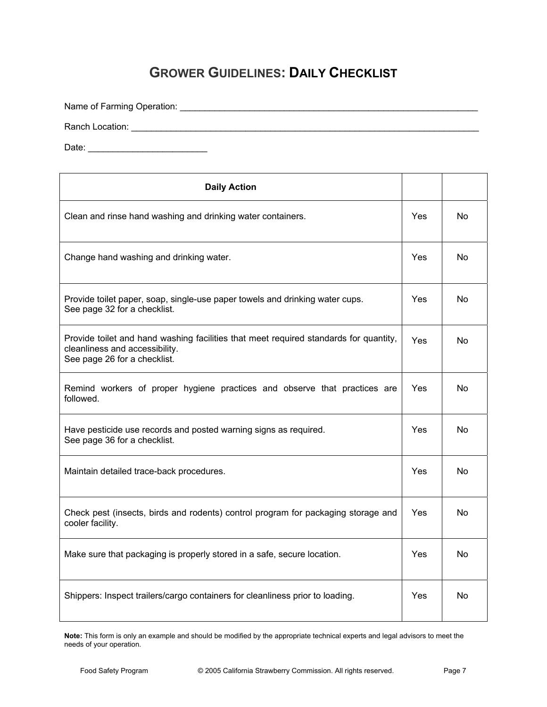# **GROWER GUIDELINES: DAILY CHECKLIST**

Name of Farming Operation: \_\_\_\_\_\_\_\_\_\_\_\_\_\_\_\_\_\_\_\_\_\_\_\_\_\_\_\_\_\_\_\_\_\_\_\_\_\_\_\_\_\_\_\_\_\_\_\_\_\_\_\_\_\_\_\_\_\_\_\_ Ranch Location: \_\_\_\_\_\_\_\_\_\_\_\_\_\_\_\_\_\_\_\_\_\_\_\_\_\_\_\_\_\_\_\_\_\_\_\_\_\_\_\_\_\_\_\_\_\_\_\_\_\_\_\_\_\_\_\_\_\_\_\_\_\_\_\_\_\_\_\_\_\_ Date: \_\_\_\_\_\_\_\_\_\_\_\_\_\_\_\_\_\_\_\_\_\_\_\_ **Daily Action**  Clean and rinse hand washing and drinking water containers. The North Clean and rinse hand washing and drinking water containers. Change hand washing and drinking water. The North Change of North Washington Motor North Washington Motor North Washington Motor North Washington Motor North Washington Motor North Washington Motor North Washington Motor N Provide toilet paper, soap, single-use paper towels and drinking water cups. See page 32 for a checklist. Yes | No Provide toilet and hand washing facilities that meet required standards for quantity, cleanliness and accessibility. See page 26 for a checklist. Yes No Remind workers of proper hygiene practices and observe that practices are followed. Yes | No Have pesticide use records and posted warning signs as required. See page 36 for a checklist. Yes No Maintain detailed trace-back procedures. The set of the set of the No of the No of the No of the No of the No Check pest (insects, birds and rodents) control program for packaging storage and cooler facility. Yes No Make sure that packaging is properly stored in a safe, secure location. Yes No Shippers: Inspect trailers/cargo containers for cleanliness prior to loading.  $\blacksquare$  Yes No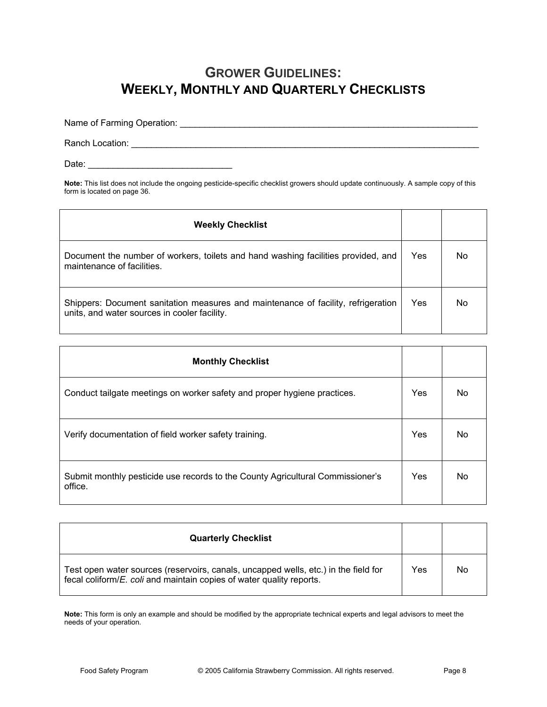## **GROWER GUIDELINES: WEEKLY, MONTHLY AND QUARTERLY CHECKLISTS**

Name of Farming Operation: \_\_\_\_\_\_\_\_\_\_\_\_\_\_\_\_\_\_\_\_\_\_\_\_\_\_\_\_\_\_\_\_\_\_\_\_\_\_\_\_\_\_\_\_\_\_\_\_\_\_\_\_\_\_\_\_\_\_\_\_

Ranch Location: \_\_\_\_\_\_\_\_\_\_\_\_\_\_\_\_\_\_\_\_\_\_\_\_\_\_\_\_\_\_\_\_\_\_\_\_\_\_\_\_\_\_\_\_\_\_\_\_\_\_\_\_\_\_\_\_\_\_\_\_\_\_\_\_\_\_\_\_\_\_

Date: \_\_\_\_\_\_\_\_\_\_\_\_\_\_\_\_\_\_\_\_\_\_\_\_\_\_\_\_\_

**Note:** This list does not include the ongoing pesticide-specific checklist growers should update continuously. A sample copy of this form is located on page 36.

| <b>Weekly Checklist</b>                                                                                                           |     |    |
|-----------------------------------------------------------------------------------------------------------------------------------|-----|----|
| Document the number of workers, toilets and hand washing facilities provided, and<br>maintenance of facilities.                   | Yes | No |
| Shippers: Document sanitation measures and maintenance of facility, refrigeration<br>units, and water sources in cooler facility. | Yes | No |

| <b>Monthly Checklist</b>                                                                  |     |     |
|-------------------------------------------------------------------------------------------|-----|-----|
| Conduct tailgate meetings on worker safety and proper hygiene practices.                  | Yes | No. |
| Verify documentation of field worker safety training.                                     | Yes | No  |
| Submit monthly pesticide use records to the County Agricultural Commissioner's<br>office. | Yes | No  |

| <b>Quarterly Checklist</b>                                                                                                                                          |     |    |
|---------------------------------------------------------------------------------------------------------------------------------------------------------------------|-----|----|
| Test open water sources (reservoirs, canals, uncapped wells, etc.) in the field for<br>fecal coliform/ <i>E. coli</i> and maintain copies of water quality reports. | Yes | No |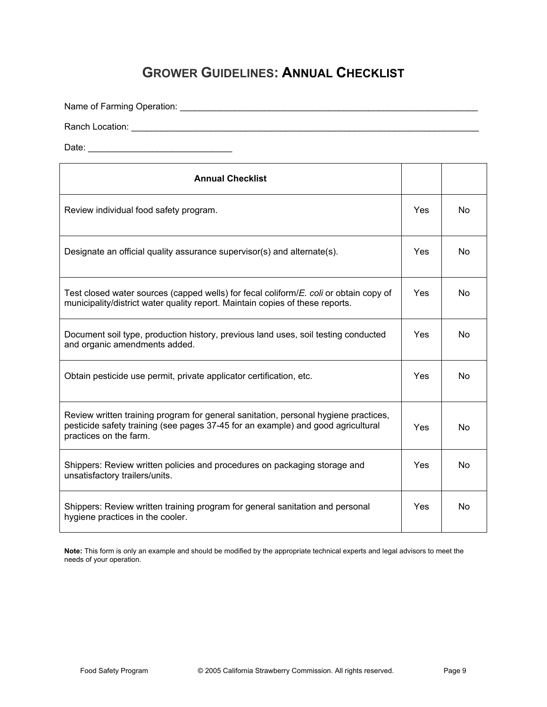## **GROWER GUIDELINES: ANNUAL CHECKLIST**

Name of Farming Operation: \_\_\_\_\_\_\_\_\_\_\_\_\_\_\_\_\_\_\_\_\_\_\_\_\_\_\_\_\_\_\_\_\_\_\_\_\_\_\_\_\_\_\_\_\_\_\_\_\_\_\_\_\_\_\_\_\_\_\_\_

Ranch Location: \_\_\_\_\_\_\_\_\_\_\_\_\_\_\_\_\_\_\_\_\_\_\_\_\_\_\_\_\_\_\_\_\_\_\_\_\_\_\_\_\_\_\_\_\_\_\_\_\_\_\_\_\_\_\_\_\_\_\_\_\_\_\_\_\_\_\_\_\_\_

Date: \_\_\_\_\_\_\_\_\_\_\_\_\_\_\_\_\_\_\_\_\_\_\_\_\_\_\_\_\_

| <b>Annual Checklist</b>                                                                                                                                                                           |            |                |
|---------------------------------------------------------------------------------------------------------------------------------------------------------------------------------------------------|------------|----------------|
| Review individual food safety program.                                                                                                                                                            | Yes        | <b>No</b>      |
| Designate an official quality assurance supervisor(s) and alternate(s).                                                                                                                           | Yes.       | N <sub>0</sub> |
| Test closed water sources (capped wells) for fecal coliform/E. coli or obtain copy of<br>municipality/district water quality report. Maintain copies of these reports.                            | Yes        | N <sub>o</sub> |
| Document soil type, production history, previous land uses, soil testing conducted<br>and organic amendments added.                                                                               | Yes        | N <sub>o</sub> |
| Obtain pesticide use permit, private applicator certification, etc.                                                                                                                               | <b>Yes</b> | N <sub>0</sub> |
| Review written training program for general sanitation, personal hygiene practices,<br>pesticide safety training (see pages 37-45 for an example) and good agricultural<br>practices on the farm. | <b>Yes</b> | N <sub>0</sub> |
| Shippers: Review written policies and procedures on packaging storage and<br>unsatisfactory trailers/units.                                                                                       | Yes        | N <sub>o</sub> |
| Shippers: Review written training program for general sanitation and personal<br>hygiene practices in the cooler.                                                                                 | <b>Yes</b> | N <sub>o</sub> |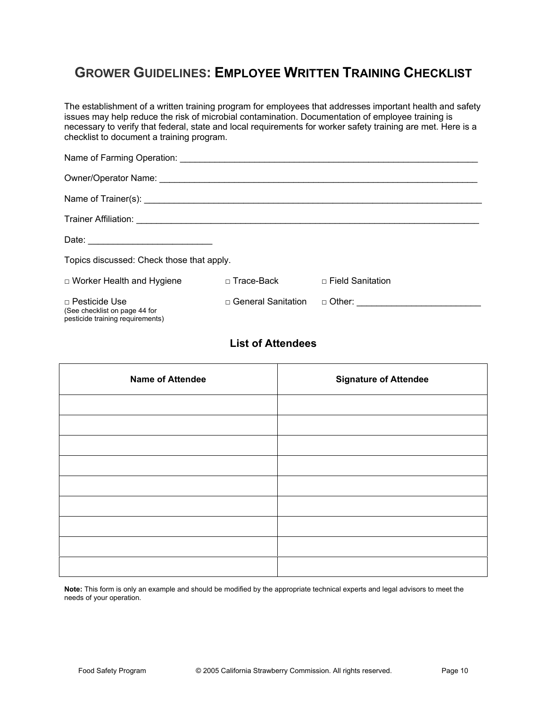# **GROWER GUIDELINES: EMPLOYEE WRITTEN TRAINING CHECKLIST**

The establishment of a written training program for employees that addresses important health and safety issues may help reduce the risk of microbial contamination. Documentation of employee training is necessary to verify that federal, state and local requirements for worker safety training are met. Here is a checklist to document a training program.

| Topics discussed: Check those that apply.                                                 |                             |                         |
|-------------------------------------------------------------------------------------------|-----------------------------|-------------------------|
| $\Box$ Worker Health and Hygiene                                                          | □ Trace-Back                | $\Box$ Field Sanitation |
| $\Box$ Pesticide Use<br>(See checklist on page 44 for<br>pesticide training requirements) | $\sqcap$ General Sanitation |                         |

### **List of Attendees**

| <b>Name of Attendee</b> | <b>Signature of Attendee</b> |
|-------------------------|------------------------------|
|                         |                              |
|                         |                              |
|                         |                              |
|                         |                              |
|                         |                              |
|                         |                              |
|                         |                              |
|                         |                              |
|                         |                              |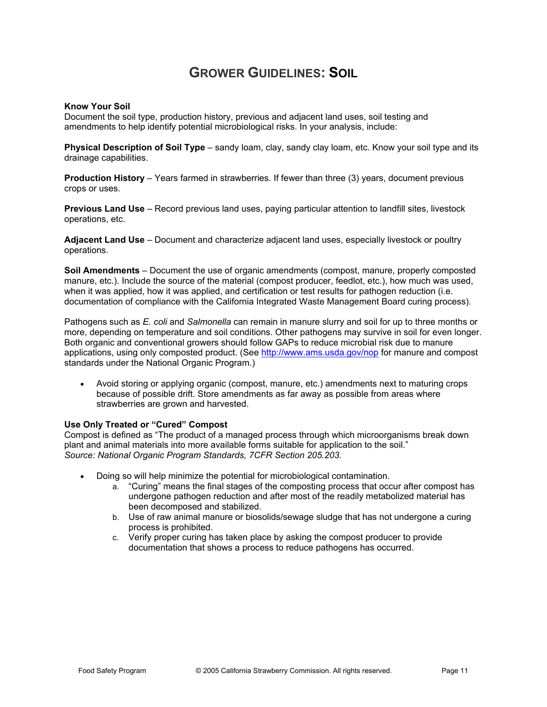### **GROWER GUIDELINES: SOIL**

#### **Know Your Soil**

Document the soil type, production history, previous and adjacent land uses, soil testing and amendments to help identify potential microbiological risks. In your analysis, include:

**Physical Description of Soil Type** – sandy loam, clay, sandy clay loam, etc. Know your soil type and its drainage capabilities.

**Production History** – Years farmed in strawberries. If fewer than three (3) years, document previous crops or uses.

**Previous Land Use** – Record previous land uses, paying particular attention to landfill sites, livestock operations, etc.

**Adjacent Land Use** – Document and characterize adjacent land uses, especially livestock or poultry operations.

**Soil Amendments** – Document the use of organic amendments (compost, manure, properly composted manure, etc.). Include the source of the material (compost producer, feedlot, etc.), how much was used, when it was applied, how it was applied, and certification or test results for pathogen reduction (i.e. documentation of compliance with the California Integrated Waste Management Board curing process).

Pathogens such as *E. coli* and *Salmonella* can remain in manure slurry and soil for up to three months or more, depending on temperature and soil conditions. Other pathogens may survive in soil for even longer. Both organic and conventional growers should follow GAPs to reduce microbial risk due to manure applications, using only composted product. (See http://www.ams.usda.gov/nop for manure and compost standards under the National Organic Program.)

Avoid storing or applying organic (compost, manure, etc.) amendments next to maturing crops because of possible drift. Store amendments as far away as possible from areas where strawberries are grown and harvested.

#### **Use Only Treated or "Cured" Compost**

Compost is defined as "The product of a managed process through which microorganisms break down plant and animal materials into more available forms suitable for application to the soil." *Source: National Organic Program Standards, 7CFR Section 205.203.* 

- Doing so will help minimize the potential for microbiological contamination.
	- a. "Curing" means the final stages of the composting process that occur after compost has undergone pathogen reduction and after most of the readily metabolized material has been decomposed and stabilized.
	- b. Use of raw animal manure or biosolids/sewage sludge that has not undergone a curing process is prohibited.
	- c. Verify proper curing has taken place by asking the compost producer to provide documentation that shows a process to reduce pathogens has occurred.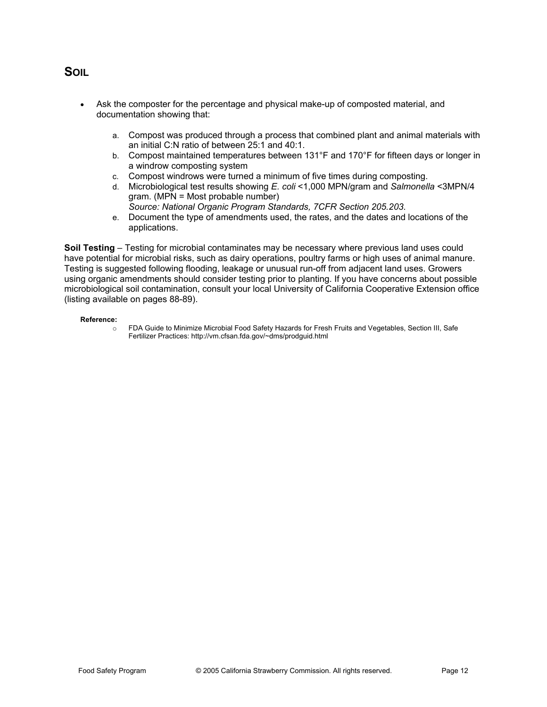### **SOIL**

- Ask the composter for the percentage and physical make-up of composted material, and documentation showing that:
	- a. Compost was produced through a process that combined plant and animal materials with an initial C:N ratio of between 25:1 and 40:1.
	- b. Compost maintained temperatures between 131°F and 170°F for fifteen days or longer in a windrow composting system
	- c. Compost windrows were turned a minimum of five times during composting.
	- d. Microbiological test results showing *E. coli* <1,000 MPN/gram and *Salmonella* <3MPN/4 gram. (MPN = Most probable number)
	- *Source: National Organic Program Standards, 7CFR Section 205.203.*  e. Document the type of amendments used, the rates, and the dates and locations of the applications.

**Soil Testing** – Testing for microbial contaminates may be necessary where previous land uses could have potential for microbial risks, such as dairy operations, poultry farms or high uses of animal manure. Testing is suggested following flooding, leakage or unusual run-off from adjacent land uses. Growers using organic amendments should consider testing prior to planting. If you have concerns about possible microbiological soil contamination, consult your local University of California Cooperative Extension office (listing available on pages 88-89).

#### **Reference:**

o FDA Guide to Minimize Microbial Food Safety Hazards for Fresh Fruits and Vegetables, Section III, Safe Fertilizer Practices: http://vm.cfsan.fda.gov/~dms/prodguid.html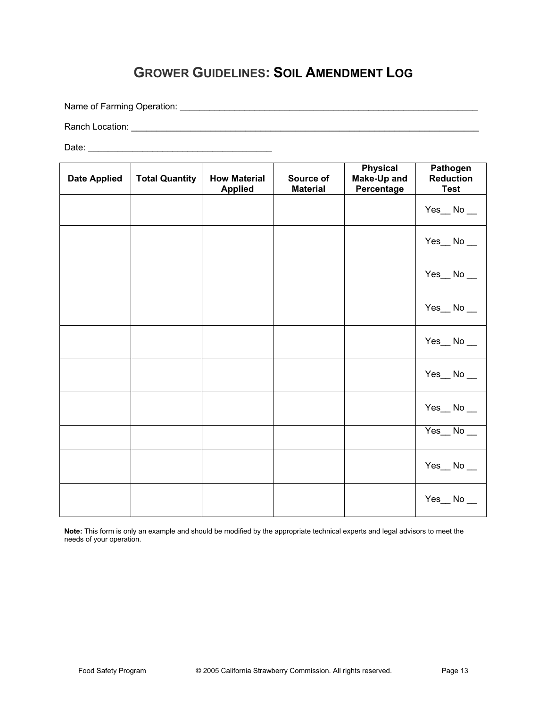# **GROWER GUIDELINES: SOIL AMENDMENT LOG**

Name of Farming Operation: \_\_\_\_\_\_\_\_\_\_\_\_\_\_\_\_\_\_\_\_\_\_\_\_\_\_\_\_\_\_\_\_\_\_\_\_\_\_\_\_\_\_\_\_\_\_\_\_\_\_\_\_\_\_\_\_\_\_\_\_

Ranch Location: \_\_\_\_\_\_\_\_\_\_\_\_\_\_\_\_\_\_\_\_\_\_\_\_\_\_\_\_\_\_\_\_\_\_\_\_\_\_\_\_\_\_\_\_\_\_\_\_\_\_\_\_\_\_\_\_\_\_\_\_\_\_\_\_\_\_\_\_\_\_

Date: \_\_\_\_\_\_\_\_\_\_\_\_\_\_\_\_\_\_\_\_\_\_\_\_\_\_\_\_\_\_\_\_\_\_\_\_\_

| <b>Date Applied</b> | <b>Total Quantity</b> | <b>How Material</b><br><b>Applied</b> | Source of<br><b>Material</b> | <b>Physical</b><br>Make-Up and<br>Percentage | <b>Pathogen</b><br><b>Reduction</b><br><b>Test</b> |
|---------------------|-----------------------|---------------------------------------|------------------------------|----------------------------------------------|----------------------------------------------------|
|                     |                       |                                       |                              |                                              | $Yes_ No_$                                         |
|                     |                       |                                       |                              |                                              | $Yes_ No_$                                         |
|                     |                       |                                       |                              |                                              | $Yes_ No_$                                         |
|                     |                       |                                       |                              |                                              | $Yes$ No $\_\_$                                    |
|                     |                       |                                       |                              |                                              | $Yes$ No $\_\_$                                    |
|                     |                       |                                       |                              |                                              | $Yes$ No $\_\$                                     |
|                     |                       |                                       |                              |                                              | $Yes$ No $\_\_$                                    |
|                     |                       |                                       |                              |                                              | $Yes$ No $\_\_$                                    |
|                     |                       |                                       |                              |                                              | $Yes_ No_$                                         |
|                     |                       |                                       |                              |                                              | $Yes_ No_$                                         |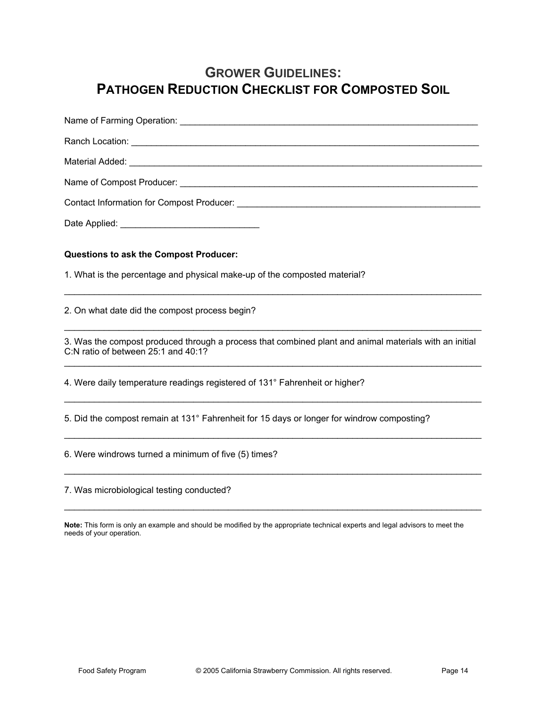# **GROWER GUIDELINES: PATHOGEN REDUCTION CHECKLIST FOR COMPOSTED SOIL**

| Questions to ask the Compost Producer:                                                                                                                                                                                                                                 |
|------------------------------------------------------------------------------------------------------------------------------------------------------------------------------------------------------------------------------------------------------------------------|
| 1. What is the percentage and physical make-up of the composted material?                                                                                                                                                                                              |
| 2. On what date did the compost process begin?                                                                                                                                                                                                                         |
| 3. Was the compost produced through a process that combined plant and animal materials with an initial<br>C:N ratio of between 25:1 and 40:1?<br><u> 1989 - Johann Stoff, deutscher Stoff, der Stoff, der Stoff, der Stoff, der Stoff, der Stoff, der Stoff, der S</u> |
| 4. Were daily temperature readings registered of 131° Fahrenheit or higher?                                                                                                                                                                                            |
| 5. Did the compost remain at 131° Fahrenheit for 15 days or longer for windrow composting?                                                                                                                                                                             |
| 6. Were windrows turned a minimum of five (5) times?                                                                                                                                                                                                                   |
|                                                                                                                                                                                                                                                                        |

7. Was microbiological testing conducted?

**Note:** This form is only an example and should be modified by the appropriate technical experts and legal advisors to meet the needs of your operation.

 $\mathcal{L}_\text{max}$  , and the contribution of the contribution of the contribution of the contribution of the contribution of the contribution of the contribution of the contribution of the contribution of the contribution of t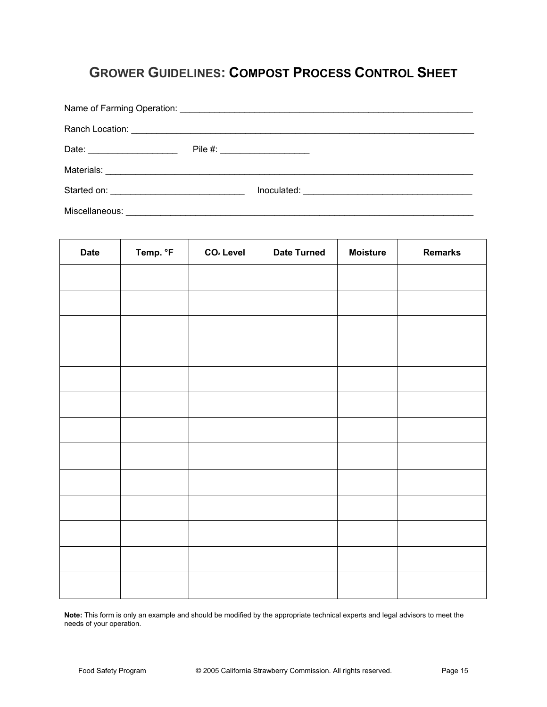# **GROWER GUIDELINES: COMPOST PROCESS CONTROL SHEET**

|                | Pile #: ______________________ |  |
|----------------|--------------------------------|--|
|                |                                |  |
|                |                                |  |
| Miscellaneous: |                                |  |

| <b>Date</b> | Temp. °F | CO <sub>2</sub> Level | <b>Date Turned</b> | <b>Moisture</b> | <b>Remarks</b> |
|-------------|----------|-----------------------|--------------------|-----------------|----------------|
|             |          |                       |                    |                 |                |
|             |          |                       |                    |                 |                |
|             |          |                       |                    |                 |                |
|             |          |                       |                    |                 |                |
|             |          |                       |                    |                 |                |
|             |          |                       |                    |                 |                |
|             |          |                       |                    |                 |                |
|             |          |                       |                    |                 |                |
|             |          |                       |                    |                 |                |
|             |          |                       |                    |                 |                |
|             |          |                       |                    |                 |                |
|             |          |                       |                    |                 |                |
|             |          |                       |                    |                 |                |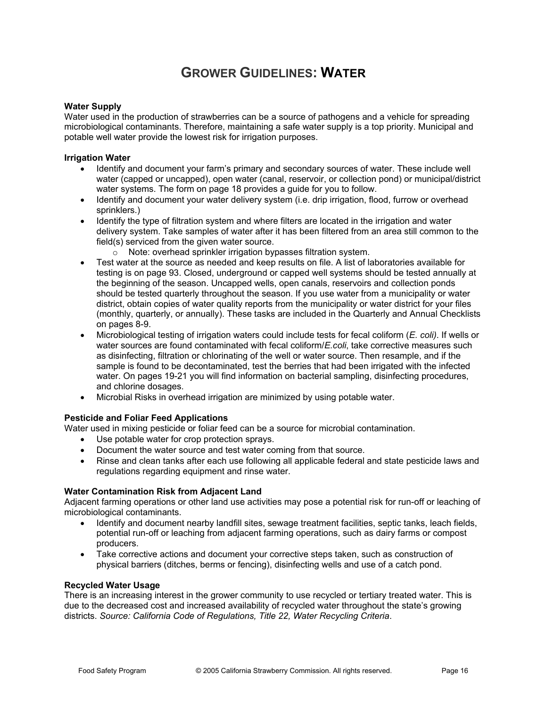## **GROWER GUIDELINES: WATER**

#### **Water Supply**

Water used in the production of strawberries can be a source of pathogens and a vehicle for spreading microbiological contaminants. Therefore, maintaining a safe water supply is a top priority. Municipal and potable well water provide the lowest risk for irrigation purposes.

#### **Irrigation Water**

- Identify and document your farm's primary and secondary sources of water. These include well water (capped or uncapped), open water (canal, reservoir, or collection pond) or municipal/district water systems. The form on page 18 provides a guide for you to follow.
- Identify and document your water delivery system (i.e. drip irrigation, flood, furrow or overhead sprinklers.)
- Identify the type of filtration system and where filters are located in the irrigation and water delivery system. Take samples of water after it has been filtered from an area still common to the field(s) serviced from the given water source.
	- o Note: overhead sprinkler irrigation bypasses filtration system.
- Test water at the source as needed and keep results on file. A list of laboratories available for testing is on page 93. Closed, underground or capped well systems should be tested annually at the beginning of the season. Uncapped wells, open canals, reservoirs and collection ponds should be tested quarterly throughout the season. If you use water from a municipality or water district, obtain copies of water quality reports from the municipality or water district for your files (monthly, quarterly, or annually). These tasks are included in the Quarterly and Annual Checklists on pages 8-9.
- x Microbiological testing of irrigation waters could include tests for fecal coliform (*E. coli)*. If wells or water sources are found contaminated with fecal coliform/*E.coli*, take corrective measures such as disinfecting, filtration or chlorinating of the well or water source. Then resample, and if the sample is found to be decontaminated, test the berries that had been irrigated with the infected water. On pages 19-21 you will find information on bacterial sampling, disinfecting procedures, and chlorine dosages.
- Microbial Risks in overhead irrigation are minimized by using potable water.

#### **Pesticide and Foliar Feed Applications**

Water used in mixing pesticide or foliar feed can be a source for microbial contamination.

- Use potable water for crop protection sprays.
- Document the water source and test water coming from that source.
- Rinse and clean tanks after each use following all applicable federal and state pesticide laws and regulations regarding equipment and rinse water.

#### **Water Contamination Risk from Adjacent Land**

Adjacent farming operations or other land use activities may pose a potential risk for run-off or leaching of microbiological contaminants.

- Identify and document nearby landfill sites, sewage treatment facilities, septic tanks, leach fields, potential run-off or leaching from adjacent farming operations, such as dairy farms or compost producers.
- Take corrective actions and document your corrective steps taken, such as construction of physical barriers (ditches, berms or fencing), disinfecting wells and use of a catch pond.

#### **Recycled Water Usage**

There is an increasing interest in the grower community to use recycled or tertiary treated water. This is due to the decreased cost and increased availability of recycled water throughout the state's growing districts. *Source: California Code of Regulations, Title 22, Water Recycling Criteria*.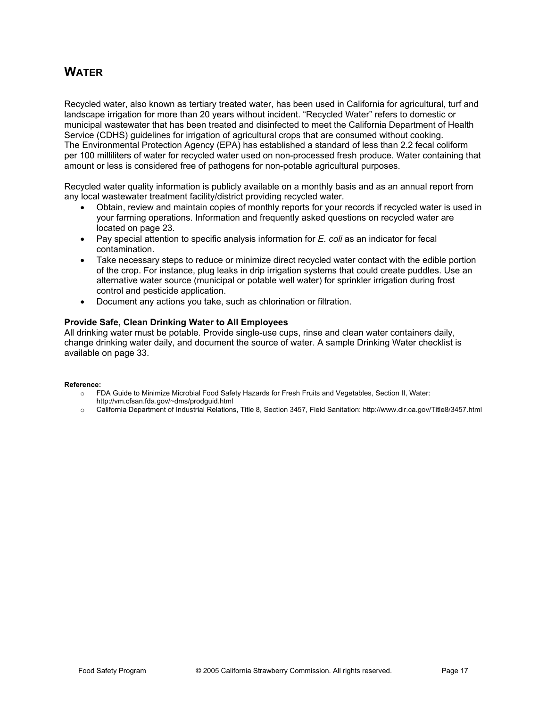### **WATER**

Recycled water, also known as tertiary treated water, has been used in California for agricultural, turf and landscape irrigation for more than 20 years without incident. "Recycled Water" refers to domestic or municipal wastewater that has been treated and disinfected to meet the California Department of Health Service (CDHS) guidelines for irrigation of agricultural crops that are consumed without cooking. The Environmental Protection Agency (EPA) has established a standard of less than 2.2 fecal coliform per 100 milliliters of water for recycled water used on non-processed fresh produce. Water containing that amount or less is considered free of pathogens for non-potable agricultural purposes.

Recycled water quality information is publicly available on a monthly basis and as an annual report from any local wastewater treatment facility/district providing recycled water.

- Obtain, review and maintain copies of monthly reports for your records if recycled water is used in your farming operations. Information and frequently asked questions on recycled water are located on page 23.
- Pay special attention to specific analysis information for *E. coli* as an indicator for fecal contamination.
- Take necessary steps to reduce or minimize direct recycled water contact with the edible portion of the crop. For instance, plug leaks in drip irrigation systems that could create puddles. Use an alternative water source (municipal or potable well water) for sprinkler irrigation during frost control and pesticide application.
- Document any actions you take, such as chlorination or filtration.

#### **Provide Safe, Clean Drinking Water to All Employees**

All drinking water must be potable. Provide single-use cups, rinse and clean water containers daily, change drinking water daily, and document the source of water. A sample Drinking Water checklist is available on page 33.

#### **Reference:**

- o FDA Guide to Minimize Microbial Food Safety Hazards for Fresh Fruits and Vegetables, Section II, Water:
- http://vm.cfsan.fda.gov/~dms/prodguid.html
- o California Department of Industrial Relations, Title 8, Section 3457, Field Sanitation: http://www.dir.ca.gov/Title8/3457.html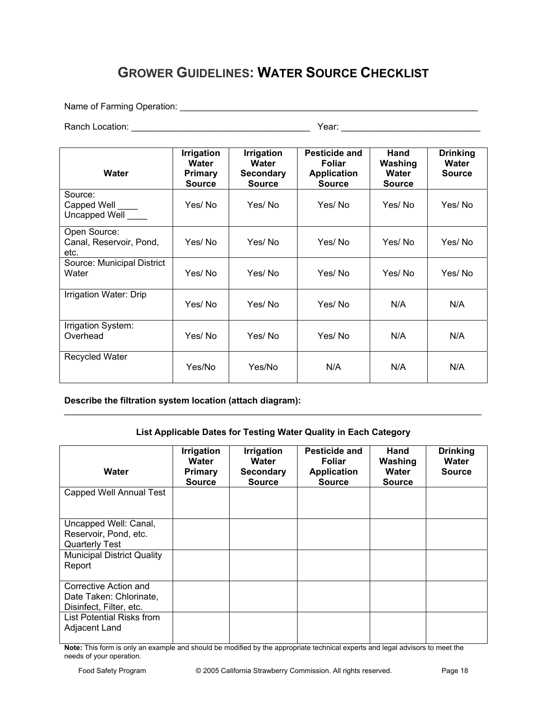# **GROWER GUIDELINES: WATER SOURCE CHECKLIST**

Name of Farming Operation: \_\_\_\_\_\_\_\_\_\_\_\_\_\_\_\_\_\_\_\_\_\_\_\_\_\_\_\_\_\_\_\_\_\_\_\_\_\_\_\_\_\_\_\_\_\_\_\_\_\_\_\_\_\_\_\_\_\_\_\_

Ranch Location: \_\_\_\_\_\_\_\_\_\_\_\_\_\_\_\_\_\_\_\_\_\_\_\_\_\_\_\_\_\_\_\_\_\_\_\_ Year: \_\_\_\_\_\_\_\_\_\_\_\_\_\_\_\_\_\_\_\_\_\_\_\_\_\_\_\_

| Water                                           | <b>Irrigation</b><br>Water<br><b>Primary</b><br><b>Source</b> | <b>Irrigation</b><br>Water<br><b>Secondary</b><br><b>Source</b> | Pesticide and<br><b>Foliar</b><br><b>Application</b><br><b>Source</b> | Hand<br>Washing<br>Water<br><b>Source</b> | <b>Drinking</b><br>Water<br><b>Source</b> |
|-------------------------------------------------|---------------------------------------------------------------|-----------------------------------------------------------------|-----------------------------------------------------------------------|-------------------------------------------|-------------------------------------------|
| Source:<br>Capped Well<br>Uncapped Well         | Yes/ No                                                       | Yes/No                                                          | Yes/No                                                                | Yes/No                                    | Yes/No                                    |
| Open Source:<br>Canal, Reservoir, Pond,<br>etc. | Yes/No                                                        | Yes/No                                                          | Yes/No                                                                | Yes/No                                    | Yes/No                                    |
| Source: Municipal District<br>Water             | Yes/ No                                                       | Yes/No                                                          | Yes/No                                                                | Yes/No                                    | Yes/No                                    |
| Irrigation Water: Drip                          | Yes/No                                                        | Yes/No                                                          | Yes/No                                                                | N/A                                       | N/A                                       |
| Irrigation System:<br>Overhead                  | Yes/No                                                        | Yes/No                                                          | Yes/No                                                                | N/A                                       | N/A                                       |
| <b>Recycled Water</b>                           | Yes/No                                                        | Yes/No                                                          | N/A                                                                   | N/A                                       | N/A                                       |

**Describe the filtration system location (attach diagram):** 

### **List Applicable Dates for Testing Water Quality in Each Category**

 $\_$  , and the set of the set of the set of the set of the set of the set of the set of the set of the set of the set of the set of the set of the set of the set of the set of the set of the set of the set of the set of th

| Water                                                                       | <b>Irrigation</b><br>Water<br><b>Primary</b><br><b>Source</b> | Irrigation<br>Water<br><b>Secondary</b><br><b>Source</b> | Pesticide and<br><b>Foliar</b><br><b>Application</b><br><b>Source</b> | Hand<br>Washing<br>Water<br><b>Source</b> | <b>Drinking</b><br>Water<br><b>Source</b> |
|-----------------------------------------------------------------------------|---------------------------------------------------------------|----------------------------------------------------------|-----------------------------------------------------------------------|-------------------------------------------|-------------------------------------------|
| Capped Well Annual Test                                                     |                                                               |                                                          |                                                                       |                                           |                                           |
| Uncapped Well: Canal,<br>Reservoir, Pond, etc.<br><b>Quarterly Test</b>     |                                                               |                                                          |                                                                       |                                           |                                           |
| <b>Municipal District Quality</b><br>Report                                 |                                                               |                                                          |                                                                       |                                           |                                           |
| Corrective Action and<br>Date Taken: Chlorinate,<br>Disinfect, Filter, etc. |                                                               |                                                          |                                                                       |                                           |                                           |
| List Potential Risks from<br>Adjacent Land                                  |                                                               |                                                          |                                                                       |                                           |                                           |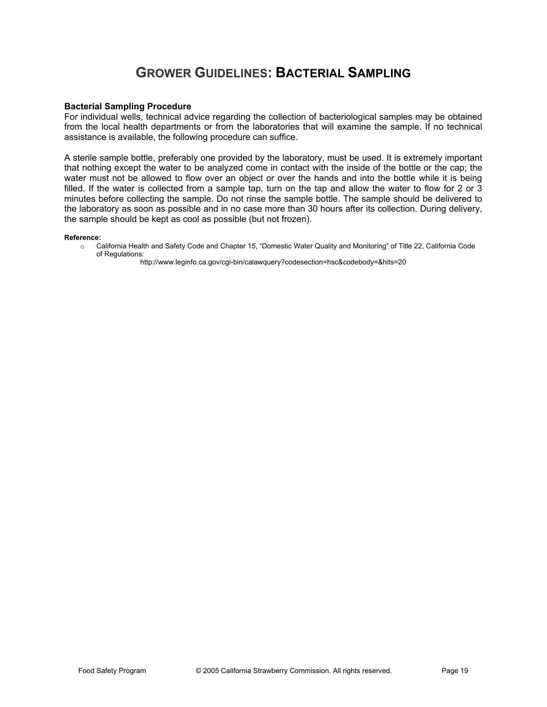## **GROWER GUIDELINES: BACTERIAL SAMPLING**

#### **Bacterial Sampling Procedure**

For individual wells, technical advice regarding the collection of bacteriological samples may be obtained from the local health departments or from the laboratories that will examine the sample. If no technical assistance is available, the following procedure can suffice.

A sterile sample bottle, preferably one provided by the laboratory, must be used. It is extremely important that nothing except the water to be analyzed come in contact with the inside of the bottle or the cap; the water must not be allowed to flow over an object or over the hands and into the bottle while it is being filled. If the water is collected from a sample tap, turn on the tap and allow the water to flow for 2 or 3 minutes before collecting the sample. Do not rinse the sample bottle. The sample should be delivered to the laboratory as soon as possible and in no case more than 30 hours after its collection. During delivery, the sample should be kept as cool as possible (but not frozen).

#### **Reference:**

o California Health and Safety Code and Chapter 15, "Domestic Water Quality and Monitoring" of Title 22, California Code of Regulations:

http://www.leginfo.ca.gov/cgi-bin/calawquery?codesection=hsc&codebody=&hits=20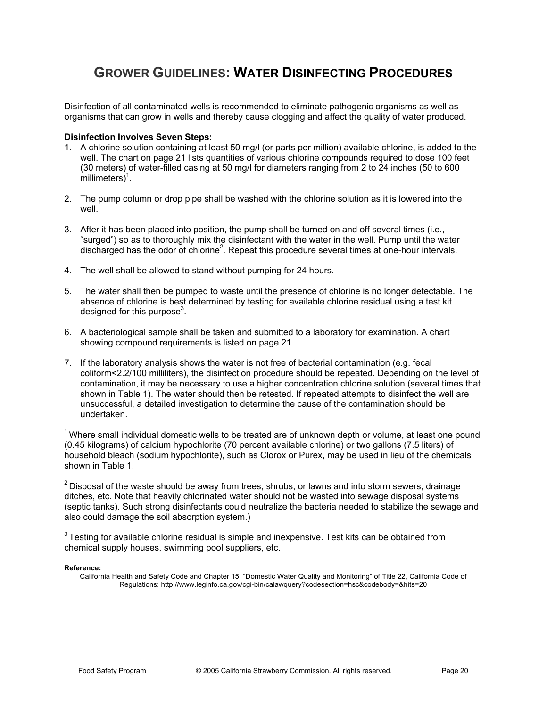### **GROWER GUIDELINES: WATER DISINFECTING PROCEDURES**

Disinfection of all contaminated wells is recommended to eliminate pathogenic organisms as well as organisms that can grow in wells and thereby cause clogging and affect the quality of water produced.

#### **Disinfection Involves Seven Steps:**

- 1. A chlorine solution containing at least 50 mg/l (or parts per million) available chlorine, is added to the well. The chart on page 21 lists quantities of various chlorine compounds required to dose 100 feet (30 meters) of water-filled casing at 50 mg/l for diameters ranging from 2 to 24 inches (50 to 600  $m$ illimeters $)^1$ .
- 2. The pump column or drop pipe shall be washed with the chlorine solution as it is lowered into the well.
- 3. After it has been placed into position, the pump shall be turned on and off several times (i.e., "surged") so as to thoroughly mix the disinfectant with the water in the well. Pump until the water discharged has the odor of chlorine<sup>2</sup>. Repeat this procedure several times at one-hour intervals.
- 4. The well shall be allowed to stand without pumping for 24 hours.
- 5. The water shall then be pumped to waste until the presence of chlorine is no longer detectable. The absence of chlorine is best determined by testing for available chlorine residual using a test kit designed for this purpose $3$ .
- 6. A bacteriological sample shall be taken and submitted to a laboratory for examination. A chart showing compound requirements is listed on page 21.
- 7. If the laboratory analysis shows the water is not free of bacterial contamination (e.g. fecal coliform<2.2/100 milliliters), the disinfection procedure should be repeated. Depending on the level of contamination, it may be necessary to use a higher concentration chlorine solution (several times that shown in Table 1). The water should then be retested. If repeated attempts to disinfect the well are unsuccessful, a detailed investigation to determine the cause of the contamination should be undertaken.

 $1$  Where small individual domestic wells to be treated are of unknown depth or volume, at least one pound (0.45 kilograms) of calcium hypochlorite (70 percent available chlorine) or two gallons (7.5 liters) of household bleach (sodium hypochlorite), such as Clorox or Purex, may be used in lieu of the chemicals shown in Table 1.

 $2$  Disposal of the waste should be away from trees, shrubs, or lawns and into storm sewers, drainage ditches, etc. Note that heavily chlorinated water should not be wasted into sewage disposal systems (septic tanks). Such strong disinfectants could neutralize the bacteria needed to stabilize the sewage and also could damage the soil absorption system.)

 $3$  Testing for available chlorine residual is simple and inexpensive. Test kits can be obtained from chemical supply houses, swimming pool suppliers, etc.

#### **Reference:**

California Health and Safety Code and Chapter 15, "Domestic Water Quality and Monitoring" of Title 22, California Code of Regulations: http://www.leginfo.ca.gov/cgi-bin/calawquery?codesection=hsc&codebody=&hits=20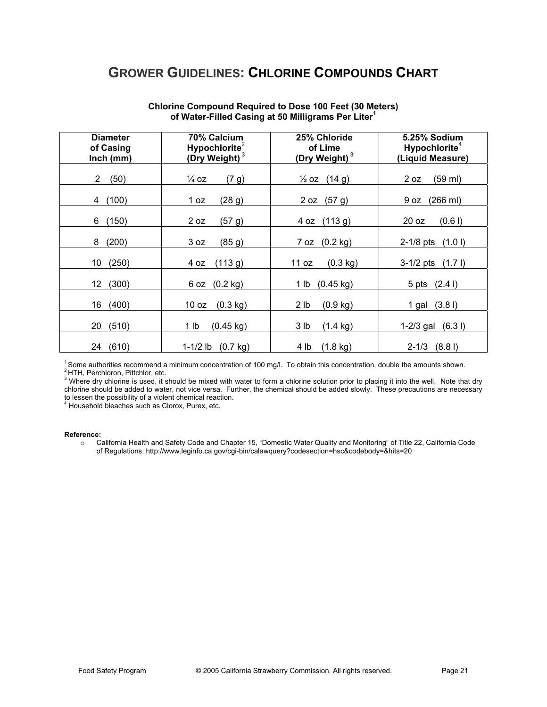### **GROWER GUIDELINES: CHLORINE COMPOUNDS CHART**

| <b>Diameter</b> | 70% Calcium               | 25% Chloride              | 5.25% Sodium              |
|-----------------|---------------------------|---------------------------|---------------------------|
| of Casing       | Hypochlorite <sup>2</sup> | of Lime                   | Hypochlorite <sup>4</sup> |
| Inch (mm)       | (Dry Weight) $3$          | (Dry Weight) <sup>3</sup> | (Liquid Measure)          |
| (50)            | $\frac{1}{4}$ OZ          | $\frac{1}{2}$ oz (14 g)   | (59 ml)                   |
| 2               | (7 g)                     |                           | 2 oz                      |
| (100)           | (28 g)                    | (57 g)                    | (266 ml)                  |
| 4               | 1 oz                      | 2 oz                      | 9 oz                      |
| (150)           | 2 oz                      | (113 g)                   | 20 oz                     |
| 6               | (57 g)                    | 4 oz                      | (0.61)                    |
| (200)           | 3 oz                      | 7 oz (0.2 kg)             | $2-1/8$ pts               |
| 8               | (85 g)                    |                           | (1.01)                    |
| (250)           | (113 g)                   | $(0.3 \text{ kg})$        | $3-1/2$ pts               |
| 10              | 4 oz                      | 11 oz                     | (1.71)                    |
| 12              | $(0.2 \text{ kg})$        | $(0.45 \text{ kg})$       | 5 pts (2.4 l)             |
| (300)           | 6 oz                      | 1 lb                      |                           |
| 16              | $(0.3 \text{ kg})$        | 2 lb                      | (3.81)                    |
| (400)           | 10 oz                     | (0.9 kg)                  | 1 gal                     |
| (510)           | $(0.45 \text{ kg})$       | 3 lb                      | $1-2/3$ gal               |
| 20              | 1 lb                      | $(1.4 \text{ kg})$        | (6.31)                    |
| 24              | 1-1/2 lb                  | $(1.8 \text{ kg})$        | (8.81)                    |
| (610)           | $(0.7 \text{ kg})$        | 4 lb                      | $2 - 1/3$                 |

#### **Chlorine Compound Required to Dose 100 Feet (30 Meters) of Water-Filled Casing at 50 Milligrams Per Liter<sup>1</sup>**

<sup>1</sup> Some authorities recommend a minimum concentration of 100 mg/l. To obtain this concentration, double the amounts shown.<br><sup>2</sup> HTH, Perchloron, Pittchlor, etc.<br><sup>3</sup> Where dry chlorine is used, it should be mixed with water chlorine should be added to water, not vice versa. Further, the chemical should be added slowly. These precautions are necessary to lessen the possibility of a violent chemical reaction.<br><sup>4</sup> Household bleaches such as Clorox, Purex, etc.

#### **Reference:**

o California Health and Safety Code and Chapter 15, "Domestic Water Quality and Monitoring" of Title 22, California Code of Regulations: http://www.leginfo.ca.gov/cgi-bin/calawquery?codesection=hsc&codebody=&hits=20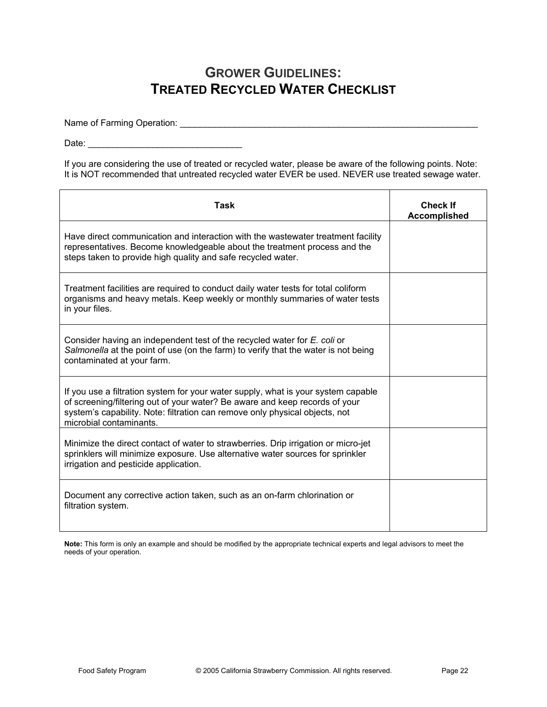## **GROWER GUIDELINES: TREATED RECYCLED WATER CHECKLIST**

Name of Farming Operation: \_\_\_\_\_\_\_\_\_\_\_\_\_\_\_\_\_\_\_\_\_\_\_\_\_\_\_\_\_\_\_\_\_\_\_\_\_\_\_\_\_\_\_\_\_\_\_\_\_\_\_\_\_\_\_\_\_\_\_\_

Date: \_\_\_\_\_\_\_\_\_\_\_\_\_\_\_\_\_\_\_\_\_\_\_\_\_\_\_\_\_\_\_

If you are considering the use of treated or recycled water, please be aware of the following points. Note: It is NOT recommended that untreated recycled water EVER be used. NEVER use treated sewage water.

| <b>Task</b>                                                                                                                                                                                                                                                                | <b>Check If</b><br><b>Accomplished</b> |
|----------------------------------------------------------------------------------------------------------------------------------------------------------------------------------------------------------------------------------------------------------------------------|----------------------------------------|
| Have direct communication and interaction with the wastewater treatment facility<br>representatives. Become knowledgeable about the treatment process and the<br>steps taken to provide high quality and safe recycled water.                                              |                                        |
| Treatment facilities are required to conduct daily water tests for total coliform<br>organisms and heavy metals. Keep weekly or monthly summaries of water tests<br>in your files.                                                                                         |                                        |
| Consider having an independent test of the recycled water for E. coli or<br>Salmonella at the point of use (on the farm) to verify that the water is not being<br>contaminated at your farm.                                                                               |                                        |
| If you use a filtration system for your water supply, what is your system capable<br>of screening/filtering out of your water? Be aware and keep records of your<br>system's capability. Note: filtration can remove only physical objects, not<br>microbial contaminants. |                                        |
| Minimize the direct contact of water to strawberries. Drip irrigation or micro-jet<br>sprinklers will minimize exposure. Use alternative water sources for sprinkler<br>irrigation and pesticide application.                                                              |                                        |
| Document any corrective action taken, such as an on-farm chlorination or<br>filtration system.                                                                                                                                                                             |                                        |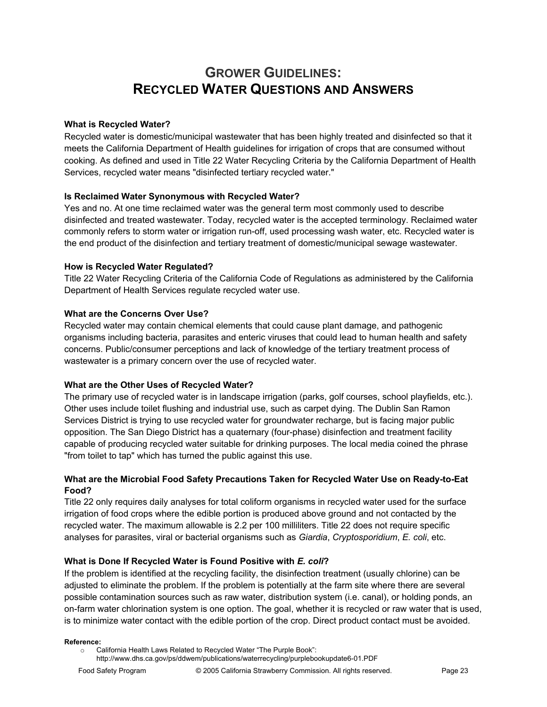# **GROWER GUIDELINES: RECYCLED WATER QUESTIONS AND ANSWERS**

### **What is Recycled Water?**

Recycled water is domestic/municipal wastewater that has been highly treated and disinfected so that it meets the California Department of Health guidelines for irrigation of crops that are consumed without cooking. As defined and used in Title 22 Water Recycling Criteria by the California Department of Health Services, recycled water means "disinfected tertiary recycled water."

### **Is Reclaimed Water Synonymous with Recycled Water?**

Yes and no. At one time reclaimed water was the general term most commonly used to describe disinfected and treated wastewater. Today, recycled water is the accepted terminology. Reclaimed water commonly refers to storm water or irrigation run-off, used processing wash water, etc. Recycled water is the end product of the disinfection and tertiary treatment of domestic/municipal sewage wastewater.

#### **How is Recycled Water Regulated?**

Title 22 Water Recycling Criteria of the California Code of Regulations as administered by the California Department of Health Services regulate recycled water use.

#### **What are the Concerns Over Use?**

Recycled water may contain chemical elements that could cause plant damage, and pathogenic organisms including bacteria, parasites and enteric viruses that could lead to human health and safety concerns. Public/consumer perceptions and lack of knowledge of the tertiary treatment process of wastewater is a primary concern over the use of recycled water.

#### **What are the Other Uses of Recycled Water?**

The primary use of recycled water is in landscape irrigation (parks, golf courses, school playfields, etc.). Other uses include toilet flushing and industrial use, such as carpet dying. The Dublin San Ramon Services District is trying to use recycled water for groundwater recharge, but is facing major public opposition. The San Diego District has a quaternary (four-phase) disinfection and treatment facility capable of producing recycled water suitable for drinking purposes. The local media coined the phrase "from toilet to tap" which has turned the public against this use.

### **What are the Microbial Food Safety Precautions Taken for Recycled Water Use on Ready-to-Eat Food?**

Title 22 only requires daily analyses for total coliform organisms in recycled water used for the surface irrigation of food crops where the edible portion is produced above ground and not contacted by the recycled water. The maximum allowable is 2.2 per 100 milliliters. Title 22 does not require specific analyses for parasites, viral or bacterial organisms such as *Giardia*, *Cryptosporidium*, *E. coli*, etc.

#### **What is Done If Recycled Water is Found Positive with** *E. coli***?**

If the problem is identified at the recycling facility, the disinfection treatment (usually chlorine) can be adjusted to eliminate the problem. If the problem is potentially at the farm site where there are several possible contamination sources such as raw water, distribution system (i.e. canal), or holding ponds, an on-farm water chlorination system is one option. The goal, whether it is recycled or raw water that is used, is to minimize water contact with the edible portion of the crop. Direct product contact must be avoided.

**Reference:** 

o California Health Laws Related to Recycled Water "The Purple Book": http://www.dhs.ca.gov/ps/ddwem/publications/waterrecycling/purplebookupdate6-01.PDF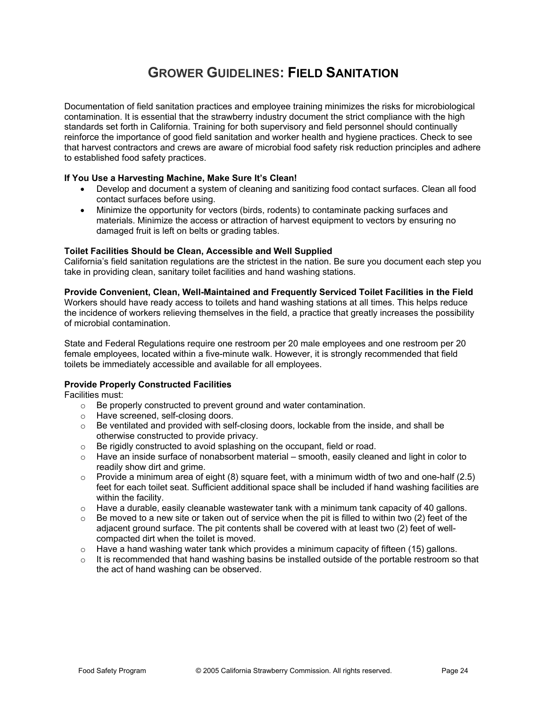# **GROWER GUIDELINES: FIELD SANITATION**

Documentation of field sanitation practices and employee training minimizes the risks for microbiological contamination. It is essential that the strawberry industry document the strict compliance with the high standards set forth in California. Training for both supervisory and field personnel should continually reinforce the importance of good field sanitation and worker health and hygiene practices. Check to see that harvest contractors and crews are aware of microbial food safety risk reduction principles and adhere to established food safety practices.

#### **If You Use a Harvesting Machine, Make Sure It's Clean!**

- Develop and document a system of cleaning and sanitizing food contact surfaces. Clean all food contact surfaces before using.
- Minimize the opportunity for vectors (birds, rodents) to contaminate packing surfaces and materials. Minimize the access or attraction of harvest equipment to vectors by ensuring no damaged fruit is left on belts or grading tables.

#### **Toilet Facilities Should be Clean, Accessible and Well Supplied**

California's field sanitation regulations are the strictest in the nation. Be sure you document each step you take in providing clean, sanitary toilet facilities and hand washing stations.

#### **Provide Convenient, Clean, Well-Maintained and Frequently Serviced Toilet Facilities in the Field**

Workers should have ready access to toilets and hand washing stations at all times. This helps reduce the incidence of workers relieving themselves in the field, a practice that greatly increases the possibility of microbial contamination.

State and Federal Regulations require one restroom per 20 male employees and one restroom per 20 female employees, located within a five-minute walk. However, it is strongly recommended that field toilets be immediately accessible and available for all employees.

#### **Provide Properly Constructed Facilities**

Facilities must:

- o Be properly constructed to prevent ground and water contamination.
- o Have screened, self-closing doors.
- $\circ$  Be ventilated and provided with self-closing doors, lockable from the inside, and shall be otherwise constructed to provide privacy.
- o Be rigidly constructed to avoid splashing on the occupant, field or road.
- $\circ$  Have an inside surface of nonabsorbent material smooth, easily cleaned and light in color to readily show dirt and grime.
- $\circ$  Provide a minimum area of eight (8) square feet, with a minimum width of two and one-half (2.5) feet for each toilet seat. Sufficient additional space shall be included if hand washing facilities are within the facility.
- $\circ$  Have a durable, easily cleanable wastewater tank with a minimum tank capacity of 40 gallons.
- $\circ$  Be moved to a new site or taken out of service when the pit is filled to within two (2) feet of the adjacent ground surface. The pit contents shall be covered with at least two (2) feet of wellcompacted dirt when the toilet is moved.
- o Have a hand washing water tank which provides a minimum capacity of fifteen (15) gallons.
- $\circ$  It is recommended that hand washing basins be installed outside of the portable restroom so that the act of hand washing can be observed.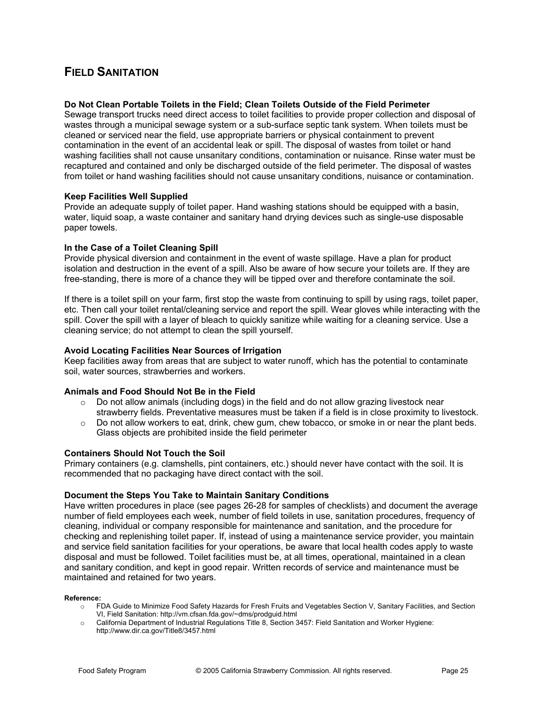### **FIELD SANITATION**

#### **Do Not Clean Portable Toilets in the Field; Clean Toilets Outside of the Field Perimeter**

Sewage transport trucks need direct access to toilet facilities to provide proper collection and disposal of wastes through a municipal sewage system or a sub-surface septic tank system. When toilets must be cleaned or serviced near the field, use appropriate barriers or physical containment to prevent contamination in the event of an accidental leak or spill. The disposal of wastes from toilet or hand washing facilities shall not cause unsanitary conditions, contamination or nuisance. Rinse water must be recaptured and contained and only be discharged outside of the field perimeter. The disposal of wastes from toilet or hand washing facilities should not cause unsanitary conditions, nuisance or contamination.

#### **Keep Facilities Well Supplied**

Provide an adequate supply of toilet paper. Hand washing stations should be equipped with a basin, water, liquid soap, a waste container and sanitary hand drying devices such as single-use disposable paper towels.

#### **In the Case of a Toilet Cleaning Spill**

Provide physical diversion and containment in the event of waste spillage. Have a plan for product isolation and destruction in the event of a spill. Also be aware of how secure your toilets are. If they are free-standing, there is more of a chance they will be tipped over and therefore contaminate the soil.

If there is a toilet spill on your farm, first stop the waste from continuing to spill by using rags, toilet paper, etc. Then call your toilet rental/cleaning service and report the spill. Wear gloves while interacting with the spill. Cover the spill with a layer of bleach to quickly sanitize while waiting for a cleaning service. Use a cleaning service; do not attempt to clean the spill yourself.

#### **Avoid Locating Facilities Near Sources of Irrigation**

Keep facilities away from areas that are subject to water runoff, which has the potential to contaminate soil, water sources, strawberries and workers.

#### **Animals and Food Should Not Be in the Field**

- $\circ$  Do not allow animals (including dogs) in the field and do not allow grazing livestock near strawberry fields. Preventative measures must be taken if a field is in close proximity to livestock.
- o Do not allow workers to eat, drink, chew gum, chew tobacco, or smoke in or near the plant beds. Glass objects are prohibited inside the field perimeter

#### **Containers Should Not Touch the Soil**

Primary containers (e.g. clamshells, pint containers, etc.) should never have contact with the soil. It is recommended that no packaging have direct contact with the soil.

#### **Document the Steps You Take to Maintain Sanitary Conditions**

Have written procedures in place (see pages 26-28 for samples of checklists) and document the average number of field employees each week, number of field toilets in use, sanitation procedures, frequency of cleaning, individual or company responsible for maintenance and sanitation, and the procedure for checking and replenishing toilet paper. If, instead of using a maintenance service provider, you maintain and service field sanitation facilities for your operations, be aware that local health codes apply to waste disposal and must be followed. Toilet facilities must be, at all times, operational, maintained in a clean and sanitary condition, and kept in good repair. Written records of service and maintenance must be maintained and retained for two years.

#### **Reference:**

- o FDA Guide to Minimize Food Safety Hazards for Fresh Fruits and Vegetables Section V, Sanitary Facilities, and Section VI, Field Sanitation: http://vm.cfsan.fda.gov/~dms/prodguid.html
- o California Department of Industrial Regulations Title 8, Section 3457: Field Sanitation and Worker Hygiene: http://www.dir.ca.gov/Title8/3457.html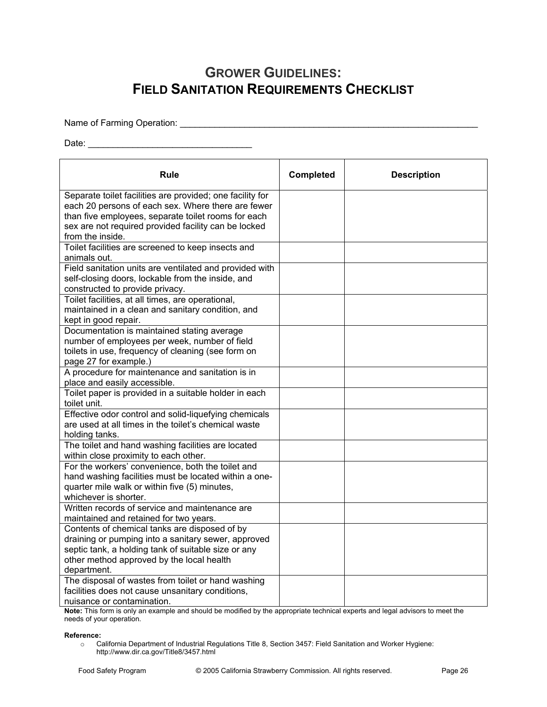# **GROWER GUIDELINES: FIELD SANITATION REQUIREMENTS CHECKLIST**

Name of Farming Operation: \_\_\_\_\_\_\_\_\_\_\_\_\_\_\_\_\_\_\_\_\_\_\_\_\_\_\_\_\_\_\_\_\_\_\_\_\_\_\_\_\_\_\_\_\_\_\_\_\_\_\_\_\_\_\_\_\_\_\_\_

Date: \_\_\_\_\_\_\_\_\_\_\_\_\_\_\_\_\_\_\_\_\_\_\_\_\_\_\_\_\_\_\_\_\_

| Rule                                                                                                          | <b>Completed</b> | <b>Description</b> |
|---------------------------------------------------------------------------------------------------------------|------------------|--------------------|
| Separate toilet facilities are provided; one facility for                                                     |                  |                    |
| each 20 persons of each sex. Where there are fewer                                                            |                  |                    |
| than five employees, separate toilet rooms for each                                                           |                  |                    |
| sex are not required provided facility can be locked                                                          |                  |                    |
| from the inside.                                                                                              |                  |                    |
| Toilet facilities are screened to keep insects and<br>animals out.                                            |                  |                    |
| Field sanitation units are ventilated and provided with                                                       |                  |                    |
| self-closing doors, lockable from the inside, and                                                             |                  |                    |
| constructed to provide privacy.                                                                               |                  |                    |
| Toilet facilities, at all times, are operational,                                                             |                  |                    |
| maintained in a clean and sanitary condition, and                                                             |                  |                    |
| kept in good repair.                                                                                          |                  |                    |
| Documentation is maintained stating average                                                                   |                  |                    |
| number of employees per week, number of field                                                                 |                  |                    |
| toilets in use, frequency of cleaning (see form on                                                            |                  |                    |
| page 27 for example.)                                                                                         |                  |                    |
| A procedure for maintenance and sanitation is in                                                              |                  |                    |
| place and easily accessible.                                                                                  |                  |                    |
| Toilet paper is provided in a suitable holder in each                                                         |                  |                    |
| toilet unit.                                                                                                  |                  |                    |
| Effective odor control and solid-liquefying chemicals<br>are used at all times in the toilet's chemical waste |                  |                    |
| holding tanks.                                                                                                |                  |                    |
| The toilet and hand washing facilities are located                                                            |                  |                    |
| within close proximity to each other.                                                                         |                  |                    |
| For the workers' convenience, both the toilet and                                                             |                  |                    |
| hand washing facilities must be located within a one-                                                         |                  |                    |
| quarter mile walk or within five (5) minutes,                                                                 |                  |                    |
| whichever is shorter.                                                                                         |                  |                    |
| Written records of service and maintenance are                                                                |                  |                    |
| maintained and retained for two years.<br>Contents of chemical tanks are disposed of by                       |                  |                    |
| draining or pumping into a sanitary sewer, approved                                                           |                  |                    |
| septic tank, a holding tank of suitable size or any                                                           |                  |                    |
| other method approved by the local health                                                                     |                  |                    |
| department.                                                                                                   |                  |                    |
| The disposal of wastes from toilet or hand washing                                                            |                  |                    |
| facilities does not cause unsanitary conditions,                                                              |                  |                    |
| nuisance or contamination.                                                                                    |                  |                    |

**Note:** This form is only an example and should be modified by the appropriate technical experts and legal advisors to meet the needs of your operation.

#### **Reference:**

o California Department of Industrial Regulations Title 8, Section 3457: Field Sanitation and Worker Hygiene: http://www.dir.ca.gov/Title8/3457.html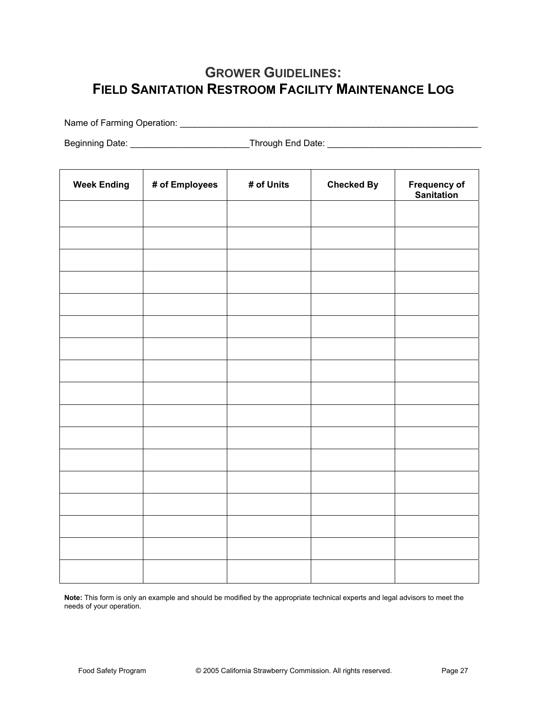# **GROWER GUIDELINES: FIELD SANITATION RESTROOM FACILITY MAINTENANCE LOG**

Name of Farming Operation: \_\_\_\_\_\_\_\_\_\_\_\_\_\_\_\_\_\_\_\_\_\_\_\_\_\_\_\_\_\_\_\_\_\_\_\_\_\_\_\_\_\_\_\_\_\_\_\_\_\_\_\_\_\_\_\_\_\_\_\_

Beginning Date: \_\_\_\_\_\_\_\_\_\_\_\_\_\_\_\_\_\_\_\_\_\_\_\_Through End Date: \_\_\_\_\_\_\_\_\_\_\_\_\_\_\_\_\_\_\_\_\_\_\_\_\_\_\_\_\_\_\_

| <b>Week Ending</b> | # of Employees | # of Units | <b>Checked By</b> | Frequency of<br>Sanitation |
|--------------------|----------------|------------|-------------------|----------------------------|
|                    |                |            |                   |                            |
|                    |                |            |                   |                            |
|                    |                |            |                   |                            |
|                    |                |            |                   |                            |
|                    |                |            |                   |                            |
|                    |                |            |                   |                            |
|                    |                |            |                   |                            |
|                    |                |            |                   |                            |
|                    |                |            |                   |                            |
|                    |                |            |                   |                            |
|                    |                |            |                   |                            |
|                    |                |            |                   |                            |
|                    |                |            |                   |                            |
|                    |                |            |                   |                            |
|                    |                |            |                   |                            |
|                    |                |            |                   |                            |
|                    |                |            |                   |                            |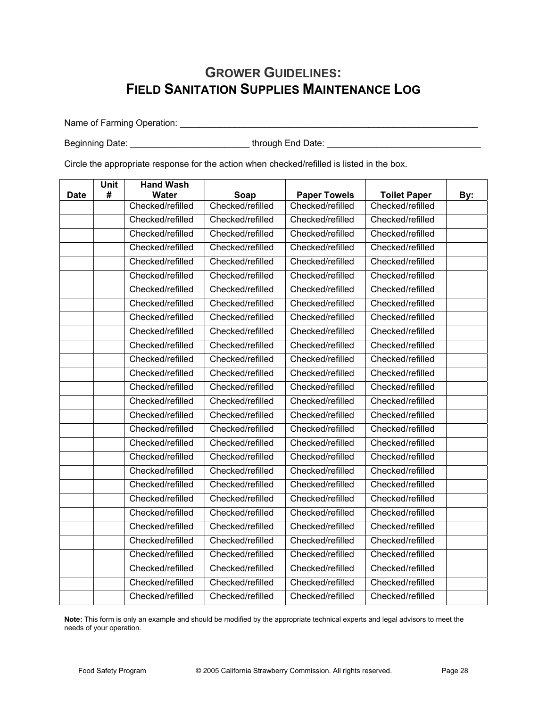## **GROWER GUIDELINES: FIELD SANITATION SUPPLIES MAINTENANCE LOG**

Name of Farming Operation: \_\_\_\_\_\_\_\_\_\_\_\_\_\_\_\_\_\_\_\_\_\_\_\_\_\_\_\_\_\_\_\_\_\_\_\_\_\_\_\_\_\_\_\_\_\_\_\_\_\_\_\_\_\_\_\_\_\_\_\_

Beginning Date: \_\_\_\_\_\_\_\_\_\_\_\_\_\_\_\_\_\_\_\_\_\_\_\_ through End Date: \_\_\_\_\_\_\_\_\_\_\_\_\_\_\_\_\_\_\_\_\_\_\_\_\_\_\_\_\_\_\_

Circle the appropriate response for the action when checked/refilled is listed in the box.

|             | <b>Unit</b> | <b>Hand Wash</b> |                  |                     |                     |     |
|-------------|-------------|------------------|------------------|---------------------|---------------------|-----|
| <b>Date</b> | #           | <b>Water</b>     | Soap             | <b>Paper Towels</b> | <b>Toilet Paper</b> | By: |
|             |             | Checked/refilled | Checked/refilled | Checked/refilled    | Checked/refilled    |     |
|             |             | Checked/refilled | Checked/refilled | Checked/refilled    | Checked/refilled    |     |
|             |             | Checked/refilled | Checked/refilled | Checked/refilled    | Checked/refilled    |     |
|             |             | Checked/refilled | Checked/refilled | Checked/refilled    | Checked/refilled    |     |
|             |             | Checked/refilled | Checked/refilled | Checked/refilled    | Checked/refilled    |     |
|             |             | Checked/refilled | Checked/refilled | Checked/refilled    | Checked/refilled    |     |
|             |             | Checked/refilled | Checked/refilled | Checked/refilled    | Checked/refilled    |     |
|             |             | Checked/refilled | Checked/refilled | Checked/refilled    | Checked/refilled    |     |
|             |             | Checked/refilled | Checked/refilled | Checked/refilled    | Checked/refilled    |     |
|             |             | Checked/refilled | Checked/refilled | Checked/refilled    | Checked/refilled    |     |
|             |             | Checked/refilled | Checked/refilled | Checked/refilled    | Checked/refilled    |     |
|             |             | Checked/refilled | Checked/refilled | Checked/refilled    | Checked/refilled    |     |
|             |             | Checked/refilled | Checked/refilled | Checked/refilled    | Checked/refilled    |     |
|             |             | Checked/refilled | Checked/refilled | Checked/refilled    | Checked/refilled    |     |
|             |             | Checked/refilled | Checked/refilled | Checked/refilled    | Checked/refilled    |     |
|             |             | Checked/refilled | Checked/refilled | Checked/refilled    | Checked/refilled    |     |
|             |             | Checked/refilled | Checked/refilled | Checked/refilled    | Checked/refilled    |     |
|             |             | Checked/refilled | Checked/refilled | Checked/refilled    | Checked/refilled    |     |
|             |             | Checked/refilled | Checked/refilled | Checked/refilled    | Checked/refilled    |     |
|             |             | Checked/refilled | Checked/refilled | Checked/refilled    | Checked/refilled    |     |
|             |             | Checked/refilled | Checked/refilled | Checked/refilled    | Checked/refilled    |     |
|             |             | Checked/refilled | Checked/refilled | Checked/refilled    | Checked/refilled    |     |
|             |             | Checked/refilled | Checked/refilled | Checked/refilled    | Checked/refilled    |     |
|             |             | Checked/refilled | Checked/refilled | Checked/refilled    | Checked/refilled    |     |
|             |             | Checked/refilled | Checked/refilled | Checked/refilled    | Checked/refilled    |     |
|             |             | Checked/refilled | Checked/refilled | Checked/refilled    | Checked/refilled    |     |
|             |             | Checked/refilled | Checked/refilled | Checked/refilled    | Checked/refilled    |     |
|             |             | Checked/refilled | Checked/refilled | Checked/refilled    | Checked/refilled    |     |
|             |             | Checked/refilled | Checked/refilled | Checked/refilled    | Checked/refilled    |     |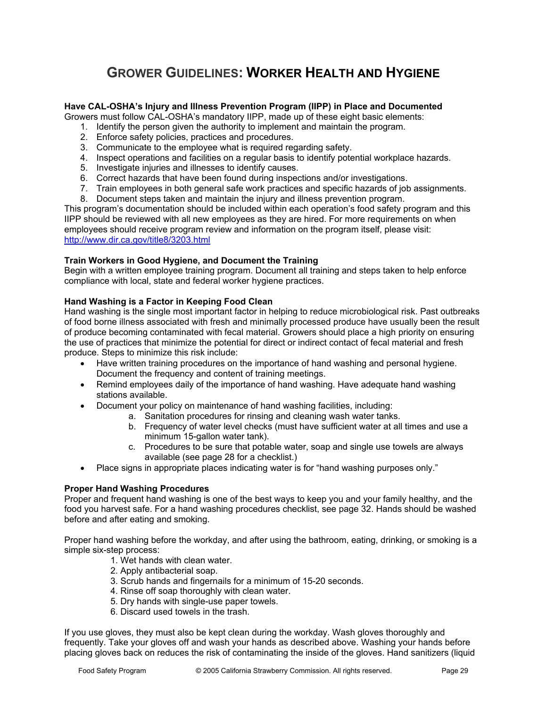# **GROWER GUIDELINES: WORKER HEALTH AND HYGIENE**

### **Have CAL-OSHA's Injury and Illness Prevention Program (IIPP) in Place and Documented**

Growers must follow CAL-OSHA's mandatory IIPP, made up of these eight basic elements:

- 1. Identify the person given the authority to implement and maintain the program.
- 2. Enforce safety policies, practices and procedures.
- 3. Communicate to the employee what is required regarding safety.
- 4. Inspect operations and facilities on a regular basis to identify potential workplace hazards.
- 5. Investigate injuries and illnesses to identify causes.
- 6. Correct hazards that have been found during inspections and/or investigations.
- 7. Train employees in both general safe work practices and specific hazards of job assignments.
- 8. Document steps taken and maintain the injury and illness prevention program.

This program's documentation should be included within each operation's food safety program and this IIPP should be reviewed with all new employees as they are hired. For more requirements on when employees should receive program review and information on the program itself, please visit: http://www.dir.ca.gov/title8/3203.html

### **Train Workers in Good Hygiene, and Document the Training**

Begin with a written employee training program. Document all training and steps taken to help enforce compliance with local, state and federal worker hygiene practices.

### **Hand Washing is a Factor in Keeping Food Clean**

Hand washing is the single most important factor in helping to reduce microbiological risk. Past outbreaks of food borne illness associated with fresh and minimally processed produce have usually been the result of produce becoming contaminated with fecal material. Growers should place a high priority on ensuring the use of practices that minimize the potential for direct or indirect contact of fecal material and fresh produce. Steps to minimize this risk include:

- Have written training procedures on the importance of hand washing and personal hygiene. Document the frequency and content of training meetings.
- Remind employees daily of the importance of hand washing. Have adequate hand washing stations available.
- Document your policy on maintenance of hand washing facilities, including:
	- a. Sanitation procedures for rinsing and cleaning wash water tanks.
	- b. Frequency of water level checks (must have sufficient water at all times and use a minimum 15-gallon water tank).
	- c. Procedures to be sure that potable water, soap and single use towels are always available (see page 28 for a checklist.)
- Place signs in appropriate places indicating water is for "hand washing purposes only."

### **Proper Hand Washing Procedures**

Proper and frequent hand washing is one of the best ways to keep you and your family healthy, and the food you harvest safe. For a hand washing procedures checklist, see page 32. Hands should be washed before and after eating and smoking.

Proper hand washing before the workday, and after using the bathroom, eating, drinking, or smoking is a simple six-step process:

- 1. Wet hands with clean water.
- 2. Apply antibacterial soap.
- 3. Scrub hands and fingernails for a minimum of 15-20 seconds.
- 4. Rinse off soap thoroughly with clean water.
- 5. Dry hands with single-use paper towels.
- 6. Discard used towels in the trash.

If you use gloves, they must also be kept clean during the workday. Wash gloves thoroughly and frequently. Take your gloves off and wash your hands as described above. Washing your hands before placing gloves back on reduces the risk of contaminating the inside of the gloves. Hand sanitizers (liquid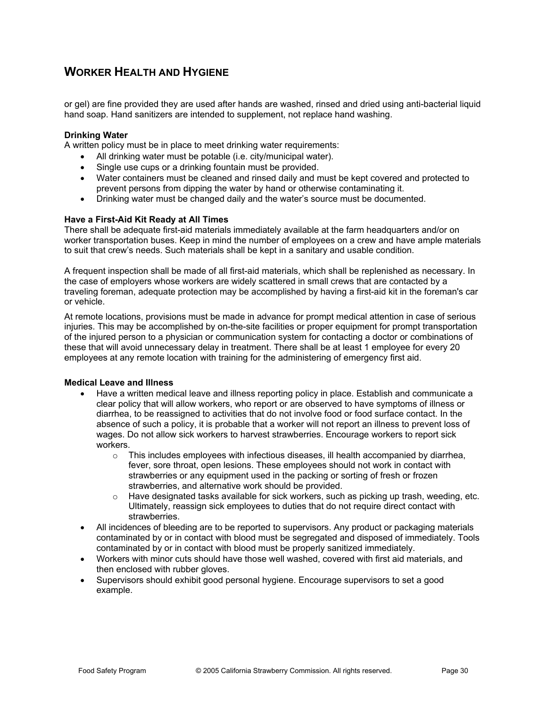### **WORKER HEALTH AND HYGIENE**

or gel) are fine provided they are used after hands are washed, rinsed and dried using anti-bacterial liquid hand soap. Hand sanitizers are intended to supplement, not replace hand washing.

#### **Drinking Water**

A written policy must be in place to meet drinking water requirements:

- All drinking water must be potable (i.e. city/municipal water).
	- Single use cups or a drinking fountain must be provided.
	- Water containers must be cleaned and rinsed daily and must be kept covered and protected to prevent persons from dipping the water by hand or otherwise contaminating it.
	- Drinking water must be changed daily and the water's source must be documented.

### **Have a First-Aid Kit Ready at All Times**

There shall be adequate first-aid materials immediately available at the farm headquarters and/or on worker transportation buses. Keep in mind the number of employees on a crew and have ample materials to suit that crew's needs. Such materials shall be kept in a sanitary and usable condition.

A frequent inspection shall be made of all first-aid materials, which shall be replenished as necessary. In the case of employers whose workers are widely scattered in small crews that are contacted by a traveling foreman, adequate protection may be accomplished by having a first-aid kit in the foreman's car or vehicle.

At remote locations, provisions must be made in advance for prompt medical attention in case of serious injuries. This may be accomplished by on-the-site facilities or proper equipment for prompt transportation of the injured person to a physician or communication system for contacting a doctor or combinations of these that will avoid unnecessary delay in treatment. There shall be at least 1 employee for every 20 employees at any remote location with training for the administering of emergency first aid.

#### **Medical Leave and Illness**

- Have a written medical leave and illness reporting policy in place. Establish and communicate a clear policy that will allow workers, who report or are observed to have symptoms of illness or diarrhea, to be reassigned to activities that do not involve food or food surface contact. In the absence of such a policy, it is probable that a worker will not report an illness to prevent loss of wages. Do not allow sick workers to harvest strawberries. Encourage workers to report sick workers.
	- $\circ$  This includes employees with infectious diseases, ill health accompanied by diarrhea, fever, sore throat, open lesions. These employees should not work in contact with strawberries or any equipment used in the packing or sorting of fresh or frozen strawberries, and alternative work should be provided.
	- $\circ$  Have designated tasks available for sick workers, such as picking up trash, weeding, etc. Ultimately, reassign sick employees to duties that do not require direct contact with strawberries.
- All incidences of bleeding are to be reported to supervisors. Any product or packaging materials contaminated by or in contact with blood must be segregated and disposed of immediately. Tools contaminated by or in contact with blood must be properly sanitized immediately.
- Workers with minor cuts should have those well washed, covered with first aid materials, and then enclosed with rubber gloves.
- Supervisors should exhibit good personal hygiene. Encourage supervisors to set a good example.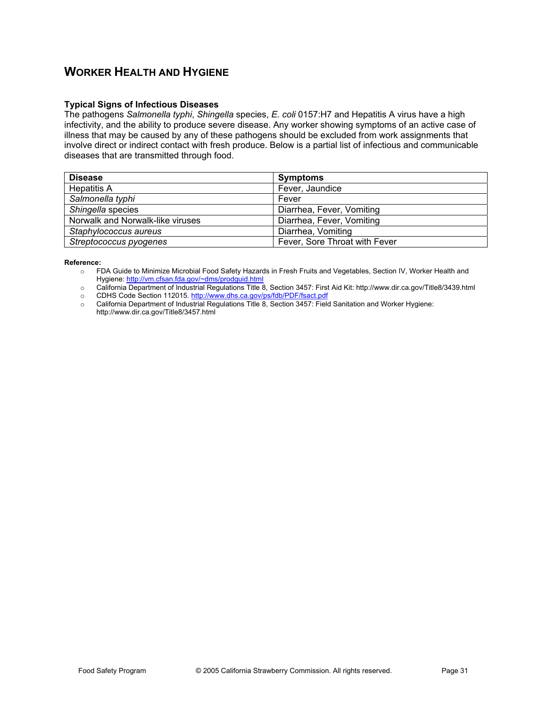### **WORKER HEALTH AND HYGIENE**

### **Typical Signs of Infectious Diseases**

The pathogens *Salmonella typhi*, *Shingella* species, *E. coli* 0157:H7 and Hepatitis A virus have a high infectivity, and the ability to produce severe disease. Any worker showing symptoms of an active case of illness that may be caused by any of these pathogens should be excluded from work assignments that involve direct or indirect contact with fresh produce. Below is a partial list of infectious and communicable diseases that are transmitted through food.

| <b>Disease</b>                   | <b>Symptoms</b>               |
|----------------------------------|-------------------------------|
| <b>Hepatitis A</b>               | Fever, Jaundice               |
| Salmonella typhi                 | Fever                         |
| Shingella species                | Diarrhea, Fever, Vomiting     |
| Norwalk and Norwalk-like viruses | Diarrhea, Fever, Vomiting     |
| Staphylococcus aureus            | Diarrhea, Vomiting            |
| Streptococcus pyogenes           | Fever, Sore Throat with Fever |

#### **Reference:**

o FDA Guide to Minimize Microbial Food Safety Hazards in Fresh Fruits and Vegetables, Section IV, Worker Health and Hygiene: http://vm.cfsan.fda.gov/~dms/prodguid.html

o California Department of Industrial Regulations Title 8, Section 3457: First Aid Kit: http://www.dir.ca.gov/Title8/3439.html

- o CDHS Code Section 112015. http://www.dhs.ca.gov/ps/fdb/PDF/fsact.pdf
- o California Department of Industrial Regulations Title 8, Section 3457: Field Sanitation and Worker Hygiene: http://www.dir.ca.gov/Title8/3457.html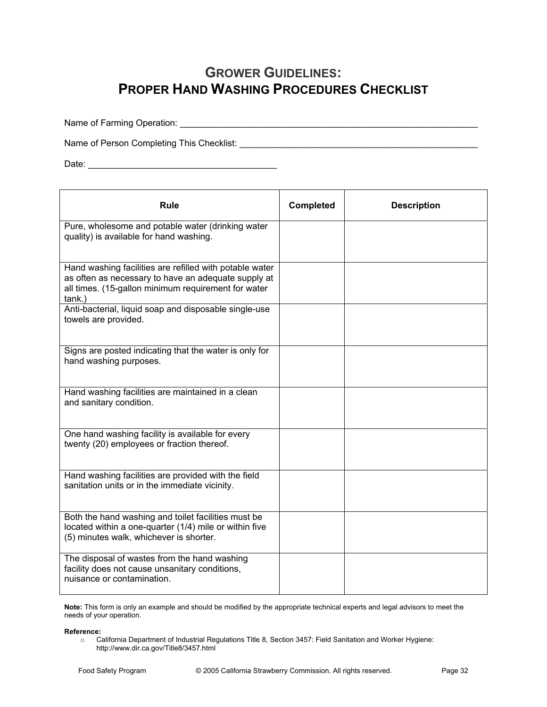## **GROWER GUIDELINES: PROPER HAND WASHING PROCEDURES CHECKLIST**

Name of Farming Operation: \_\_\_\_\_\_\_\_\_\_\_\_\_\_\_\_\_\_\_\_\_\_\_\_\_\_\_\_\_\_\_\_\_\_\_\_\_\_\_\_\_\_\_\_\_\_\_\_\_\_\_\_\_\_\_\_\_\_\_\_

Name of Person Completing This Checklist: \_\_\_\_\_\_\_\_\_\_\_\_\_\_\_\_\_\_\_\_\_\_\_\_\_\_\_\_\_\_\_\_\_\_\_\_\_\_\_\_\_\_\_\_\_\_\_\_

Date: \_\_\_\_\_\_\_\_\_\_\_\_\_\_\_\_\_\_\_\_\_\_\_\_\_\_\_\_\_\_\_\_\_\_\_\_\_\_

| Rule                                                                                                                                                                            | <b>Completed</b> | <b>Description</b> |
|---------------------------------------------------------------------------------------------------------------------------------------------------------------------------------|------------------|--------------------|
| Pure, wholesome and potable water (drinking water<br>quality) is available for hand washing.                                                                                    |                  |                    |
| Hand washing facilities are refilled with potable water<br>as often as necessary to have an adequate supply at<br>all times. (15-gallon minimum requirement for water<br>tank.) |                  |                    |
| Anti-bacterial, liquid soap and disposable single-use<br>towels are provided.                                                                                                   |                  |                    |
| Signs are posted indicating that the water is only for<br>hand washing purposes.                                                                                                |                  |                    |
| Hand washing facilities are maintained in a clean<br>and sanitary condition.                                                                                                    |                  |                    |
| One hand washing facility is available for every<br>twenty (20) employees or fraction thereof.                                                                                  |                  |                    |
| Hand washing facilities are provided with the field<br>sanitation units or in the immediate vicinity.                                                                           |                  |                    |
| Both the hand washing and toilet facilities must be<br>located within a one-quarter (1/4) mile or within five<br>(5) minutes walk, whichever is shorter.                        |                  |                    |
| The disposal of wastes from the hand washing<br>facility does not cause unsanitary conditions,<br>nuisance or contamination.                                                    |                  |                    |

**Note:** This form is only an example and should be modified by the appropriate technical experts and legal advisors to meet the needs of your operation.

#### **Reference:**

o California Department of Industrial Regulations Title 8, Section 3457: Field Sanitation and Worker Hygiene: http://www.dir.ca.gov/Title8/3457.html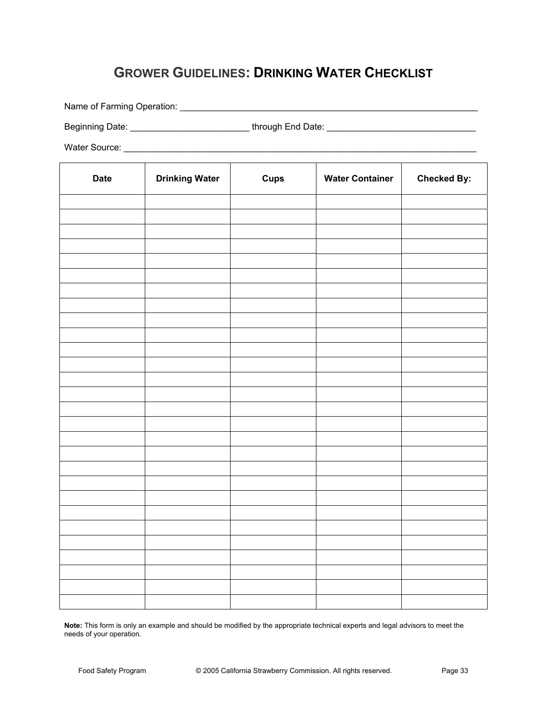# **GROWER GUIDELINES: DRINKING WATER CHECKLIST**

Name of Farming Operation: \_\_\_\_\_\_\_\_\_\_\_\_\_\_\_\_\_\_\_\_\_\_\_\_\_\_\_\_\_\_\_\_\_\_\_\_\_\_\_\_\_\_\_\_\_\_\_\_\_\_\_\_\_\_\_\_\_\_\_\_

Beginning Date: \_\_\_\_\_\_\_\_\_\_\_\_\_\_\_\_\_\_\_\_\_\_\_\_ through End Date: \_\_\_\_\_\_\_\_\_\_\_\_\_\_\_\_\_\_\_\_\_\_\_\_\_\_\_\_\_\_

Water Source: \_\_\_\_\_\_\_\_\_\_\_\_\_\_\_\_\_\_\_\_\_\_\_\_\_\_\_\_\_\_\_\_\_\_\_\_\_\_\_\_\_\_\_\_\_\_\_\_\_\_\_\_\_\_\_\_\_\_\_\_\_\_\_\_\_\_\_\_\_\_\_

| <b>Date</b> | <b>Drinking Water</b> | Cups | <b>Water Container</b> | <b>Checked By:</b> |
|-------------|-----------------------|------|------------------------|--------------------|
|             |                       |      |                        |                    |
|             |                       |      |                        |                    |
|             |                       |      |                        |                    |
|             |                       |      |                        |                    |
|             |                       |      |                        |                    |
|             |                       |      |                        |                    |
|             |                       |      |                        |                    |
|             |                       |      |                        |                    |
|             |                       |      |                        |                    |
|             |                       |      |                        |                    |
|             |                       |      |                        |                    |
|             |                       |      |                        |                    |
|             |                       |      |                        |                    |
|             |                       |      |                        |                    |
|             |                       |      |                        |                    |
|             |                       |      |                        |                    |
|             |                       |      |                        |                    |
|             |                       |      |                        |                    |
|             |                       |      |                        |                    |
|             |                       |      |                        |                    |
|             |                       |      |                        |                    |
|             |                       |      |                        |                    |
|             |                       |      |                        |                    |
|             |                       |      |                        |                    |
|             |                       |      |                        |                    |
|             |                       |      |                        |                    |
|             |                       |      |                        |                    |
|             |                       |      |                        |                    |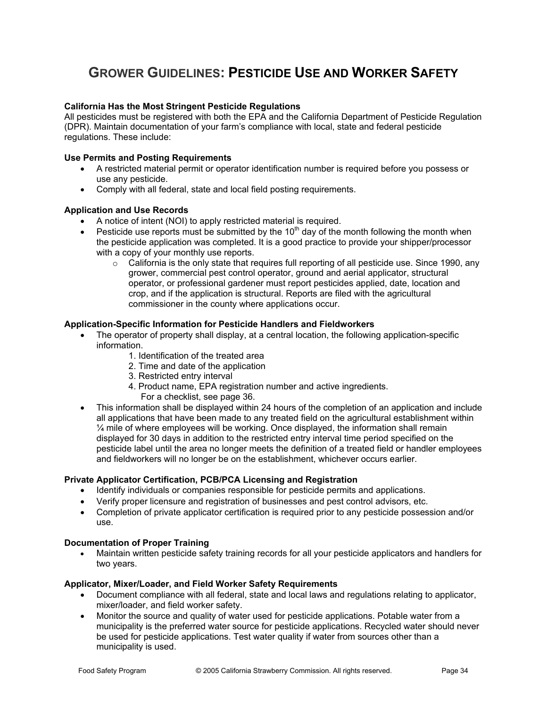# **GROWER GUIDELINES: PESTICIDE USE AND WORKER SAFETY**

### **California Has the Most Stringent Pesticide Regulations**

All pesticides must be registered with both the EPA and the California Department of Pesticide Regulation (DPR). Maintain documentation of your farm's compliance with local, state and federal pesticide regulations. These include:

#### **Use Permits and Posting Requirements**

- x A restricted material permit or operator identification number is required before you possess or use any pesticide.
- Comply with all federal, state and local field posting requirements.

### **Application and Use Records**

- A notice of intent (NOI) to apply restricted material is required.
- Pesticide use reports must be submitted by the  $10<sup>th</sup>$  day of the month following the month when the pesticide application was completed. It is a good practice to provide your shipper/processor with a copy of your monthly use reports.
	- $\circ$  California is the only state that requires full reporting of all pesticide use. Since 1990, any grower, commercial pest control operator, ground and aerial applicator, structural operator, or professional gardener must report pesticides applied, date, location and crop, and if the application is structural. Reports are filed with the agricultural commissioner in the county where applications occur.

#### **Application-Specific Information for Pesticide Handlers and Fieldworkers**

- The operator of property shall display, at a central location, the following application-specific information.
	- 1. Identification of the treated area
	- 2. Time and date of the application
	- 3. Restricted entry interval
	- 4. Product name, EPA registration number and active ingredients.
		- For a checklist, see page 36.
- x This information shall be displayed within 24 hours of the completion of an application and include all applications that have been made to any treated field on the agricultural establishment within ¼ mile of where employees will be working. Once displayed, the information shall remain displayed for 30 days in addition to the restricted entry interval time period specified on the pesticide label until the area no longer meets the definition of a treated field or handler employees and fieldworkers will no longer be on the establishment, whichever occurs earlier.

#### **Private Applicator Certification, PCB/PCA Licensing and Registration**

- Identify individuals or companies responsible for pesticide permits and applications.
- x Verify proper licensure and registration of businesses and pest control advisors, etc.
- Completion of private applicator certification is required prior to any pesticide possession and/or use.

#### **Documentation of Proper Training**

Maintain written pesticide safety training records for all your pesticide applicators and handlers for two years.

#### **Applicator, Mixer/Loader, and Field Worker Safety Requirements**

- Document compliance with all federal, state and local laws and regulations relating to applicator, mixer/loader, and field worker safety.
- Monitor the source and quality of water used for pesticide applications. Potable water from a municipality is the preferred water source for pesticide applications. Recycled water should never be used for pesticide applications. Test water quality if water from sources other than a municipality is used.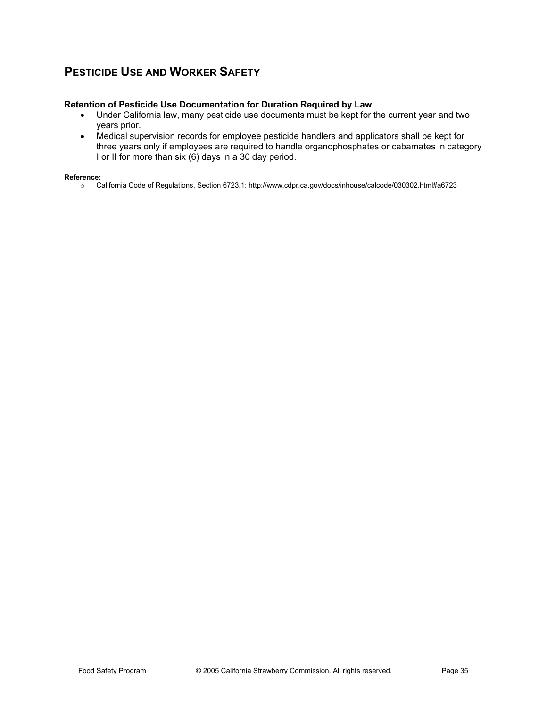### **PESTICIDE USE AND WORKER SAFETY**

### **Retention of Pesticide Use Documentation for Duration Required by Law**

- Under California law, many pesticide use documents must be kept for the current year and two years prior.
- Medical supervision records for employee pesticide handlers and applicators shall be kept for three years only if employees are required to handle organophosphates or cabamates in category I or II for more than six (6) days in a 30 day period.

#### **Reference:**

o California Code of Regulations, Section 6723.1: http://www.cdpr.ca.gov/docs/inhouse/calcode/030302.html#a6723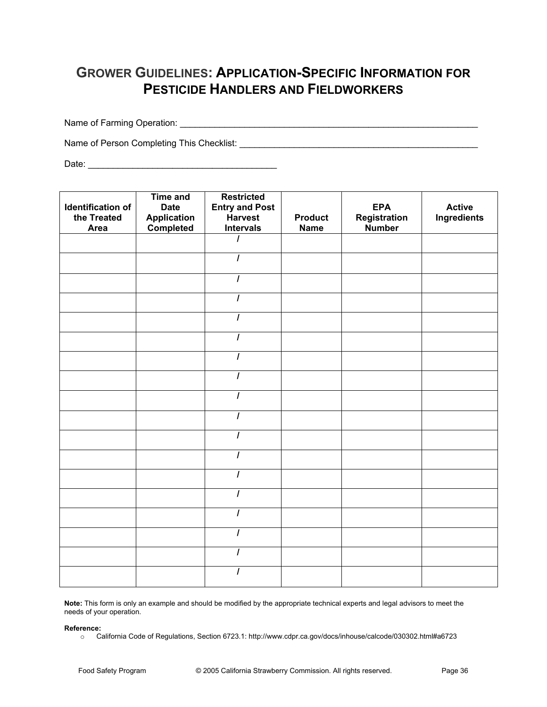# **GROWER GUIDELINES: APPLICATION-SPECIFIC INFORMATION FOR PESTICIDE HANDLERS AND FIELDWORKERS**

Name of Farming Operation: \_\_\_\_\_\_\_\_\_\_\_\_\_\_\_\_\_\_\_\_\_\_\_\_\_\_\_\_\_\_\_\_\_\_\_\_\_\_\_\_\_\_\_\_\_\_\_\_\_\_\_\_\_\_\_\_\_\_\_\_

Name of Person Completing This Checklist: \_\_\_\_\_\_\_\_\_\_\_\_\_\_\_\_\_\_\_\_\_\_\_\_\_\_\_\_\_\_\_\_\_\_\_\_\_\_\_\_\_\_\_\_\_\_\_\_

Date: \_\_\_\_\_\_\_\_\_\_\_\_\_\_\_\_\_\_\_\_\_\_\_\_\_\_\_\_\_\_\_\_\_\_\_\_\_\_

| Identification of<br>the Treated<br>Area | <b>Time and</b><br><b>Date</b><br><b>Application</b><br>Completed | <b>Restricted</b><br><b>Entry and Post</b><br>Harvest<br><b>Intervals</b> | <b>Product</b><br><b>Name</b> | <b>EPA</b><br>Registration<br>Number | <b>Active</b><br>Ingredients |
|------------------------------------------|-------------------------------------------------------------------|---------------------------------------------------------------------------|-------------------------------|--------------------------------------|------------------------------|
|                                          |                                                                   | ı                                                                         |                               |                                      |                              |
|                                          |                                                                   | $\prime$                                                                  |                               |                                      |                              |
|                                          |                                                                   | $\prime$                                                                  |                               |                                      |                              |
|                                          |                                                                   | I                                                                         |                               |                                      |                              |
|                                          |                                                                   | $\prime$                                                                  |                               |                                      |                              |
|                                          |                                                                   | $\overline{I}$                                                            |                               |                                      |                              |
|                                          |                                                                   | I                                                                         |                               |                                      |                              |
|                                          |                                                                   | $\prime$                                                                  |                               |                                      |                              |
|                                          |                                                                   | $\prime$                                                                  |                               |                                      |                              |
|                                          |                                                                   | 1                                                                         |                               |                                      |                              |
|                                          |                                                                   | I                                                                         |                               |                                      |                              |
|                                          |                                                                   | $\overline{I}$                                                            |                               |                                      |                              |
|                                          |                                                                   | $\prime$                                                                  |                               |                                      |                              |
|                                          |                                                                   | I                                                                         |                               |                                      |                              |
|                                          |                                                                   | $\prime$                                                                  |                               |                                      |                              |
|                                          |                                                                   | ı                                                                         |                               |                                      |                              |
|                                          |                                                                   | ı                                                                         |                               |                                      |                              |
|                                          |                                                                   | $\prime$                                                                  |                               |                                      |                              |

**Note:** This form is only an example and should be modified by the appropriate technical experts and legal advisors to meet the needs of your operation.

#### **Reference:**

o California Code of Regulations, Section 6723.1: http://www.cdpr.ca.gov/docs/inhouse/calcode/030302.html#a6723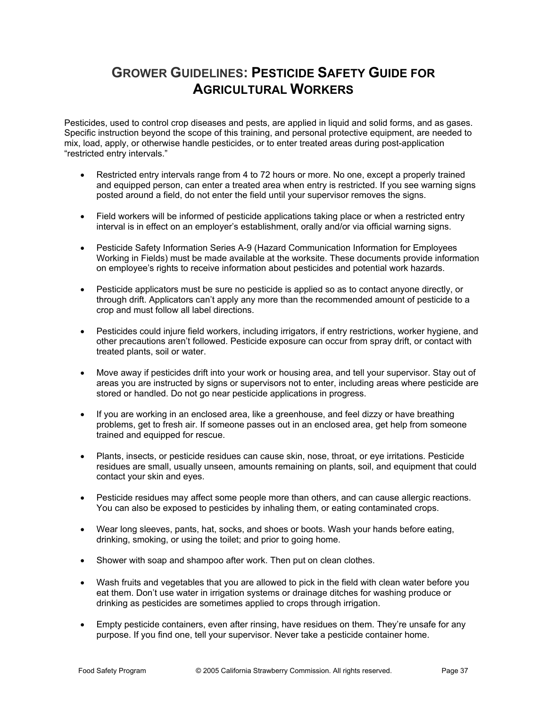## **GROWER GUIDELINES: PESTICIDE SAFETY GUIDE FOR AGRICULTURAL WORKERS**

Pesticides, used to control crop diseases and pests, are applied in liquid and solid forms, and as gases. Specific instruction beyond the scope of this training, and personal protective equipment, are needed to mix, load, apply, or otherwise handle pesticides, or to enter treated areas during post-application "restricted entry intervals."

- Restricted entry intervals range from 4 to 72 hours or more. No one, except a properly trained and equipped person, can enter a treated area when entry is restricted. If you see warning signs posted around a field, do not enter the field until your supervisor removes the signs.
- Field workers will be informed of pesticide applications taking place or when a restricted entry interval is in effect on an employer's establishment, orally and/or via official warning signs.
- x Pesticide Safety Information Series A-9 (Hazard Communication Information for Employees Working in Fields) must be made available at the worksite. These documents provide information on employee's rights to receive information about pesticides and potential work hazards.
- Pesticide applicators must be sure no pesticide is applied so as to contact anyone directly, or through drift. Applicators can't apply any more than the recommended amount of pesticide to a crop and must follow all label directions.
- Pesticides could injure field workers, including irrigators, if entry restrictions, worker hygiene, and other precautions aren't followed. Pesticide exposure can occur from spray drift, or contact with treated plants, soil or water.
- Move away if pesticides drift into your work or housing area, and tell your supervisor. Stay out of areas you are instructed by signs or supervisors not to enter, including areas where pesticide are stored or handled. Do not go near pesticide applications in progress.
- If you are working in an enclosed area, like a greenhouse, and feel dizzy or have breathing problems, get to fresh air. If someone passes out in an enclosed area, get help from someone trained and equipped for rescue.
- Plants, insects, or pesticide residues can cause skin, nose, throat, or eye irritations. Pesticide residues are small, usually unseen, amounts remaining on plants, soil, and equipment that could contact your skin and eyes.
- Pesticide residues may affect some people more than others, and can cause allergic reactions. You can also be exposed to pesticides by inhaling them, or eating contaminated crops.
- Wear long sleeves, pants, hat, socks, and shoes or boots. Wash your hands before eating, drinking, smoking, or using the toilet; and prior to going home.
- Shower with soap and shampoo after work. Then put on clean clothes.
- Wash fruits and vegetables that you are allowed to pick in the field with clean water before you eat them. Don't use water in irrigation systems or drainage ditches for washing produce or drinking as pesticides are sometimes applied to crops through irrigation.
- Empty pesticide containers, even after rinsing, have residues on them. They're unsafe for any purpose. If you find one, tell your supervisor. Never take a pesticide container home.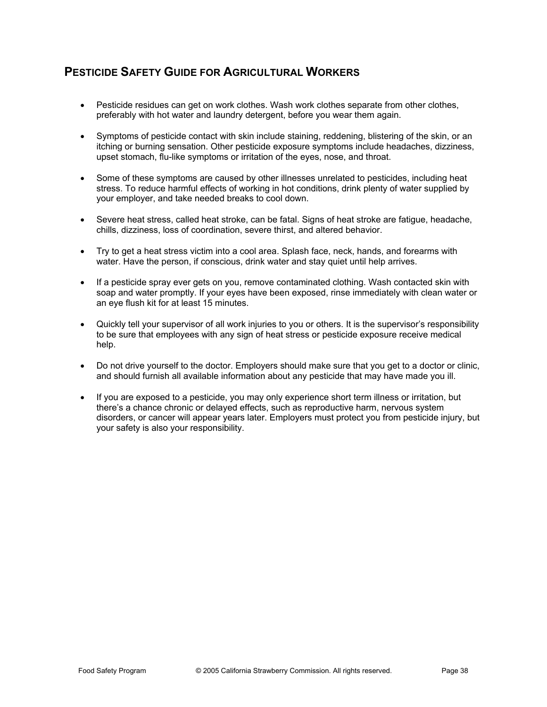### **PESTICIDE SAFETY GUIDE FOR AGRICULTURAL WORKERS**

- Pesticide residues can get on work clothes. Wash work clothes separate from other clothes, preferably with hot water and laundry detergent, before you wear them again.
- Symptoms of pesticide contact with skin include staining, reddening, blistering of the skin, or an itching or burning sensation. Other pesticide exposure symptoms include headaches, dizziness, upset stomach, flu-like symptoms or irritation of the eyes, nose, and throat.
- Some of these symptoms are caused by other illnesses unrelated to pesticides, including heat stress. To reduce harmful effects of working in hot conditions, drink plenty of water supplied by your employer, and take needed breaks to cool down.
- Severe heat stress, called heat stroke, can be fatal. Signs of heat stroke are fatigue, headache, chills, dizziness, loss of coordination, severe thirst, and altered behavior.
- Try to get a heat stress victim into a cool area. Splash face, neck, hands, and forearms with water. Have the person, if conscious, drink water and stay quiet until help arrives.
- If a pesticide spray ever gets on you, remove contaminated clothing. Wash contacted skin with soap and water promptly. If your eyes have been exposed, rinse immediately with clean water or an eye flush kit for at least 15 minutes.
- Quickly tell your supervisor of all work injuries to you or others. It is the supervisor's responsibility to be sure that employees with any sign of heat stress or pesticide exposure receive medical help.
- Do not drive yourself to the doctor. Employers should make sure that you get to a doctor or clinic, and should furnish all available information about any pesticide that may have made you ill.
- If you are exposed to a pesticide, you may only experience short term illness or irritation, but there's a chance chronic or delayed effects, such as reproductive harm, nervous system disorders, or cancer will appear years later. Employers must protect you from pesticide injury, but your safety is also your responsibility.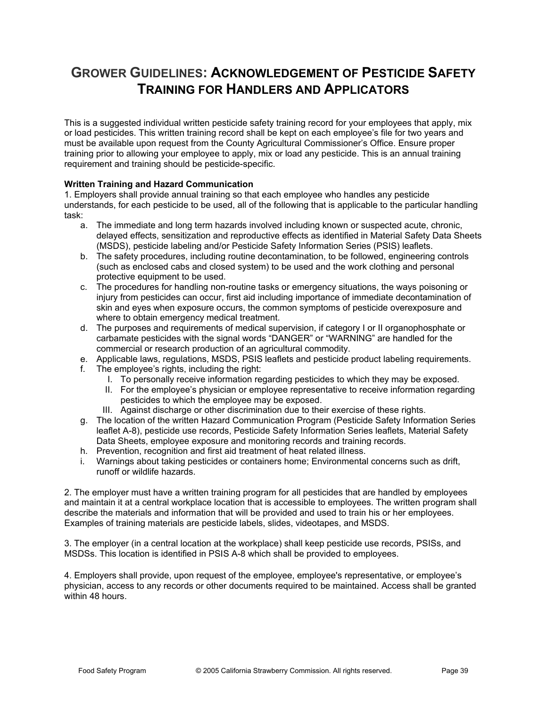# **GROWER GUIDELINES: ACKNOWLEDGEMENT OF PESTICIDE SAFETY TRAINING FOR HANDLERS AND APPLICATORS**

This is a suggested individual written pesticide safety training record for your employees that apply, mix or load pesticides. This written training record shall be kept on each employee's file for two years and must be available upon request from the County Agricultural Commissioner's Office. Ensure proper training prior to allowing your employee to apply, mix or load any pesticide. This is an annual training requirement and training should be pesticide-specific.

### **Written Training and Hazard Communication**

1. Employers shall provide annual training so that each employee who handles any pesticide understands, for each pesticide to be used, all of the following that is applicable to the particular handling task:

- a. The immediate and long term hazards involved including known or suspected acute, chronic, delayed effects, sensitization and reproductive effects as identified in Material Safety Data Sheets (MSDS), pesticide labeling and/or Pesticide Safety Information Series (PSIS) leaflets.
- b. The safety procedures, including routine decontamination, to be followed, engineering controls (such as enclosed cabs and closed system) to be used and the work clothing and personal protective equipment to be used.
- c. The procedures for handling non-routine tasks or emergency situations, the ways poisoning or injury from pesticides can occur, first aid including importance of immediate decontamination of skin and eyes when exposure occurs, the common symptoms of pesticide overexposure and where to obtain emergency medical treatment.
- d. The purposes and requirements of medical supervision, if category I or II organophosphate or carbamate pesticides with the signal words "DANGER" or "WARNING" are handled for the commercial or research production of an agricultural commodity.
- e. Applicable laws, regulations, MSDS, PSIS leaflets and pesticide product labeling requirements.
- f. The employee's rights, including the right:
	- I. To personally receive information regarding pesticides to which they may be exposed.
	- II. For the employee's physician or employee representative to receive information regarding pesticides to which the employee may be exposed.
	- III. Against discharge or other discrimination due to their exercise of these rights.
- g. The location of the written Hazard Communication Program (Pesticide Safety Information Series leaflet A-8), pesticide use records, Pesticide Safety Information Series leaflets, Material Safety Data Sheets, employee exposure and monitoring records and training records.
- h. Prevention, recognition and first aid treatment of heat related illness.
- i. Warnings about taking pesticides or containers home; Environmental concerns such as drift, runoff or wildlife hazards.

2. The employer must have a written training program for all pesticides that are handled by employees and maintain it at a central workplace location that is accessible to employees. The written program shall describe the materials and information that will be provided and used to train his or her employees. Examples of training materials are pesticide labels, slides, videotapes, and MSDS.

3. The employer (in a central location at the workplace) shall keep pesticide use records, PSISs, and MSDSs. This location is identified in PSIS A-8 which shall be provided to employees.

4. Employers shall provide, upon request of the employee, employee's representative, or employee's physician, access to any records or other documents required to be maintained. Access shall be granted within 48 hours.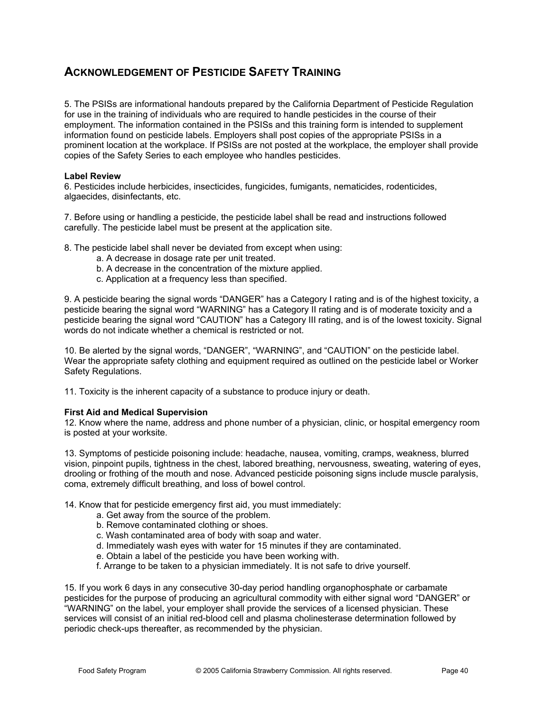5. The PSISs are informational handouts prepared by the California Department of Pesticide Regulation for use in the training of individuals who are required to handle pesticides in the course of their employment. The information contained in the PSISs and this training form is intended to supplement information found on pesticide labels. Employers shall post copies of the appropriate PSISs in a prominent location at the workplace. If PSISs are not posted at the workplace, the employer shall provide copies of the Safety Series to each employee who handles pesticides.

### **Label Review**

6. Pesticides include herbicides, insecticides, fungicides, fumigants, nematicides, rodenticides, algaecides, disinfectants, etc.

7. Before using or handling a pesticide, the pesticide label shall be read and instructions followed carefully. The pesticide label must be present at the application site.

8. The pesticide label shall never be deviated from except when using:

- a. A decrease in dosage rate per unit treated.
- b. A decrease in the concentration of the mixture applied.
- c. Application at a frequency less than specified.

9. A pesticide bearing the signal words "DANGER" has a Category I rating and is of the highest toxicity, a pesticide bearing the signal word "WARNING" has a Category II rating and is of moderate toxicity and a pesticide bearing the signal word "CAUTION" has a Category III rating, and is of the lowest toxicity. Signal words do not indicate whether a chemical is restricted or not.

10. Be alerted by the signal words, "DANGER", "WARNING", and "CAUTION" on the pesticide label. Wear the appropriate safety clothing and equipment required as outlined on the pesticide label or Worker Safety Regulations.

11. Toxicity is the inherent capacity of a substance to produce injury or death.

### **First Aid and Medical Supervision**

12. Know where the name, address and phone number of a physician, clinic, or hospital emergency room is posted at your worksite.

13. Symptoms of pesticide poisoning include: headache, nausea, vomiting, cramps, weakness, blurred vision, pinpoint pupils, tightness in the chest, labored breathing, nervousness, sweating, watering of eyes, drooling or frothing of the mouth and nose. Advanced pesticide poisoning signs include muscle paralysis, coma, extremely difficult breathing, and loss of bowel control.

14. Know that for pesticide emergency first aid, you must immediately:

- a. Get away from the source of the problem.
- b. Remove contaminated clothing or shoes.
- c. Wash contaminated area of body with soap and water.
- d. Immediately wash eyes with water for 15 minutes if they are contaminated.
- e. Obtain a label of the pesticide you have been working with.
- f. Arrange to be taken to a physician immediately. It is not safe to drive yourself.

15. If you work 6 days in any consecutive 30-day period handling organophosphate or carbamate pesticides for the purpose of producing an agricultural commodity with either signal word "DANGER" or "WARNING" on the label, your employer shall provide the services of a licensed physician. These services will consist of an initial red-blood cell and plasma cholinesterase determination followed by periodic check-ups thereafter, as recommended by the physician.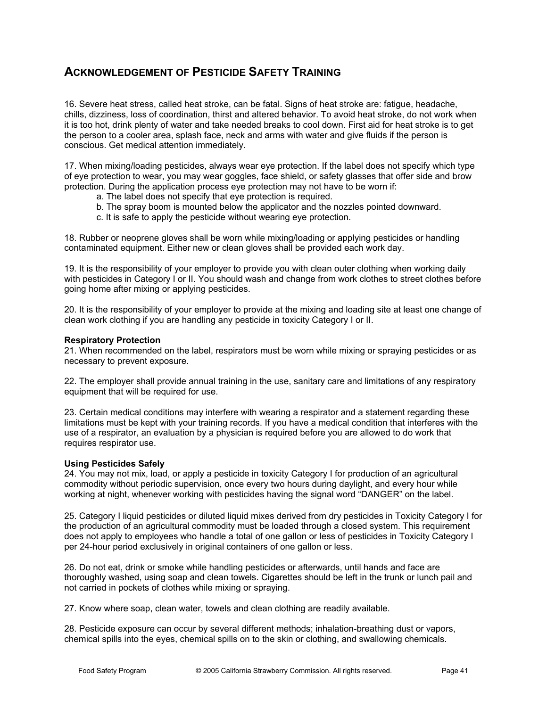16. Severe heat stress, called heat stroke, can be fatal. Signs of heat stroke are: fatigue, headache, chills, dizziness, loss of coordination, thirst and altered behavior. To avoid heat stroke, do not work when it is too hot, drink plenty of water and take needed breaks to cool down. First aid for heat stroke is to get the person to a cooler area, splash face, neck and arms with water and give fluids if the person is conscious. Get medical attention immediately.

17. When mixing/loading pesticides, always wear eye protection. If the label does not specify which type of eye protection to wear, you may wear goggles, face shield, or safety glasses that offer side and brow protection. During the application process eye protection may not have to be worn if:

- a. The label does not specify that eye protection is required.
- b. The spray boom is mounted below the applicator and the nozzles pointed downward.
- c. It is safe to apply the pesticide without wearing eye protection.

18. Rubber or neoprene gloves shall be worn while mixing/loading or applying pesticides or handling contaminated equipment. Either new or clean gloves shall be provided each work day.

19. It is the responsibility of your employer to provide you with clean outer clothing when working daily with pesticides in Category I or II. You should wash and change from work clothes to street clothes before going home after mixing or applying pesticides.

20. It is the responsibility of your employer to provide at the mixing and loading site at least one change of clean work clothing if you are handling any pesticide in toxicity Category I or II.

### **Respiratory Protection**

21. When recommended on the label, respirators must be worn while mixing or spraying pesticides or as necessary to prevent exposure.

22. The employer shall provide annual training in the use, sanitary care and limitations of any respiratory equipment that will be required for use.

23. Certain medical conditions may interfere with wearing a respirator and a statement regarding these limitations must be kept with your training records. If you have a medical condition that interferes with the use of a respirator, an evaluation by a physician is required before you are allowed to do work that requires respirator use.

### **Using Pesticides Safely**

24. You may not mix, load, or apply a pesticide in toxicity Category I for production of an agricultural commodity without periodic supervision, once every two hours during daylight, and every hour while working at night, whenever working with pesticides having the signal word "DANGER" on the label.

25. Category I liquid pesticides or diluted liquid mixes derived from dry pesticides in Toxicity Category I for the production of an agricultural commodity must be loaded through a closed system. This requirement does not apply to employees who handle a total of one gallon or less of pesticides in Toxicity Category I per 24-hour period exclusively in original containers of one gallon or less.

26. Do not eat, drink or smoke while handling pesticides or afterwards, until hands and face are thoroughly washed, using soap and clean towels. Cigarettes should be left in the trunk or lunch pail and not carried in pockets of clothes while mixing or spraying.

27. Know where soap, clean water, towels and clean clothing are readily available.

28. Pesticide exposure can occur by several different methods; inhalation-breathing dust or vapors, chemical spills into the eyes, chemical spills on to the skin or clothing, and swallowing chemicals.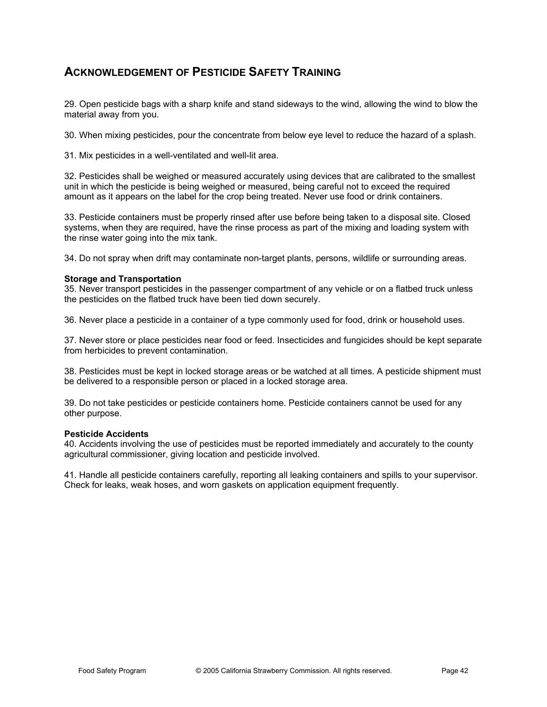29. Open pesticide bags with a sharp knife and stand sideways to the wind, allowing the wind to blow the material away from you.

30. When mixing pesticides, pour the concentrate from below eye level to reduce the hazard of a splash.

31. Mix pesticides in a well-ventilated and well-lit area.

32. Pesticides shall be weighed or measured accurately using devices that are calibrated to the smallest unit in which the pesticide is being weighed or measured, being careful not to exceed the required amount as it appears on the label for the crop being treated. Never use food or drink containers.

33. Pesticide containers must be properly rinsed after use before being taken to a disposal site. Closed systems, when they are required, have the rinse process as part of the mixing and loading system with the rinse water going into the mix tank.

34. Do not spray when drift may contaminate non-target plants, persons, wildlife or surrounding areas.

### **Storage and Transportation**

35. Never transport pesticides in the passenger compartment of any vehicle or on a flatbed truck unless the pesticides on the flatbed truck have been tied down securely.

36. Never place a pesticide in a container of a type commonly used for food, drink or household uses.

37. Never store or place pesticides near food or feed. Insecticides and fungicides should be kept separate from herbicides to prevent contamination.

38. Pesticides must be kept in locked storage areas or be watched at all times. A pesticide shipment must be delivered to a responsible person or placed in a locked storage area.

39. Do not take pesticides or pesticide containers home. Pesticide containers cannot be used for any other purpose.

### **Pesticide Accidents**

40. Accidents involving the use of pesticides must be reported immediately and accurately to the county agricultural commissioner, giving location and pesticide involved.

41. Handle all pesticide containers carefully, reporting all leaking containers and spills to your supervisor. Check for leaks, weak hoses, and worn gaskets on application equipment frequently.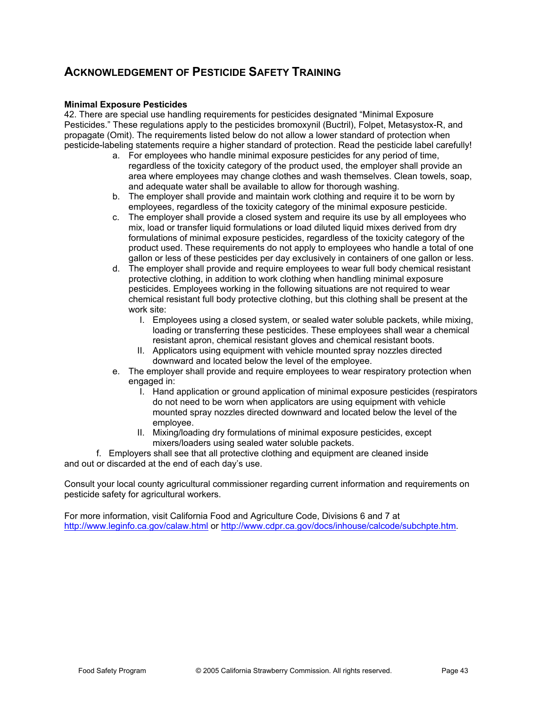### **Minimal Exposure Pesticides**

42. There are special use handling requirements for pesticides designated "Minimal Exposure Pesticides." These regulations apply to the pesticides bromoxynil (Buctril), Folpet, Metasystox-R, and propagate (Omit). The requirements listed below do not allow a lower standard of protection when pesticide-labeling statements require a higher standard of protection. Read the pesticide label carefully!

- a. For employees who handle minimal exposure pesticides for any period of time, regardless of the toxicity category of the product used, the employer shall provide an area where employees may change clothes and wash themselves. Clean towels, soap, and adequate water shall be available to allow for thorough washing.
- b. The employer shall provide and maintain work clothing and require it to be worn by employees, regardless of the toxicity category of the minimal exposure pesticide.
- c. The employer shall provide a closed system and require its use by all employees who mix, load or transfer liquid formulations or load diluted liquid mixes derived from dry formulations of minimal exposure pesticides, regardless of the toxicity category of the product used. These requirements do not apply to employees who handle a total of one gallon or less of these pesticides per day exclusively in containers of one gallon or less.
- d. The employer shall provide and require employees to wear full body chemical resistant protective clothing, in addition to work clothing when handling minimal exposure pesticides. Employees working in the following situations are not required to wear chemical resistant full body protective clothing, but this clothing shall be present at the work site:
	- I. Employees using a closed system, or sealed water soluble packets, while mixing, loading or transferring these pesticides. These employees shall wear a chemical resistant apron, chemical resistant gloves and chemical resistant boots.
	- II. Applicators using equipment with vehicle mounted spray nozzles directed downward and located below the level of the employee.
- e. The employer shall provide and require employees to wear respiratory protection when engaged in:
	- I. Hand application or ground application of minimal exposure pesticides (respirators do not need to be worn when applicators are using equipment with vehicle mounted spray nozzles directed downward and located below the level of the employee.
	- II. Mixing/loading dry formulations of minimal exposure pesticides, except mixers/loaders using sealed water soluble packets.

f. Employers shall see that all protective clothing and equipment are cleaned inside and out or discarded at the end of each day's use.

Consult your local county agricultural commissioner regarding current information and requirements on pesticide safety for agricultural workers.

For more information, visit California Food and Agriculture Code, Divisions 6 and 7 at http://www.leginfo.ca.gov/calaw.html or http://www.cdpr.ca.gov/docs/inhouse/calcode/subchpte.htm.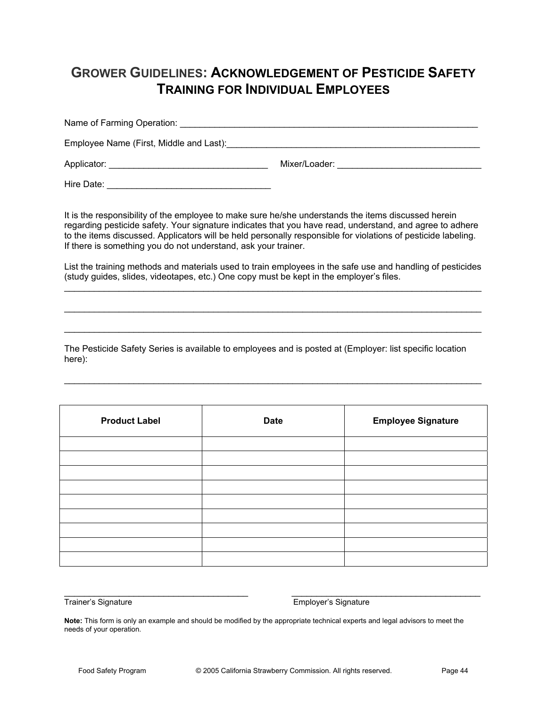## **GROWER GUIDELINES: ACKNOWLEDGEMENT OF PESTICIDE SAFETY TRAINING FOR INDIVIDUAL EMPLOYEES**

Name of Farming Operation: \_\_\_\_\_\_\_\_\_\_\_\_\_\_\_\_\_\_\_\_\_\_\_\_\_\_\_\_\_\_\_\_\_\_\_\_\_\_\_\_\_\_\_\_\_\_\_\_\_\_\_\_\_\_\_\_\_\_\_\_ Employee Name (First, Middle and Last):\_\_\_\_\_\_\_\_\_\_\_\_\_\_\_\_\_\_\_\_\_\_\_\_\_\_\_\_\_\_\_\_\_\_\_\_\_\_\_\_\_\_\_\_\_\_\_\_\_\_\_ Applicator: \_\_\_\_\_\_\_\_\_\_\_\_\_\_\_\_\_\_\_\_\_\_\_\_\_\_\_\_\_\_\_\_ Mixer/Loader: \_\_\_\_\_\_\_\_\_\_\_\_\_\_\_\_\_\_\_\_\_\_\_\_\_\_\_\_\_

Hire Date: \_\_\_\_\_\_\_\_\_\_\_\_\_\_\_\_\_\_\_\_\_\_\_\_\_\_\_\_\_\_\_\_\_

It is the responsibility of the employee to make sure he/she understands the items discussed herein regarding pesticide safety. Your signature indicates that you have read, understand, and agree to adhere to the items discussed. Applicators will be held personally responsible for violations of pesticide labeling. If there is something you do not understand, ask your trainer.

List the training methods and materials used to train employees in the safe use and handling of pesticides (study guides, slides, videotapes, etc.) One copy must be kept in the employer's files.  $\mathcal{L}_\text{max}$  , and the contribution of the contribution of the contribution of the contribution of the contribution of the contribution of the contribution of the contribution of the contribution of the contribution of t

 $\_$  , and the set of the set of the set of the set of the set of the set of the set of the set of the set of the set of the set of the set of the set of the set of the set of the set of the set of the set of the set of th

 $\_$  , and the set of the set of the set of the set of the set of the set of the set of the set of the set of the set of the set of the set of the set of the set of the set of the set of the set of the set of the set of th

 $\mathcal{L}_\text{max}$  , and the contribution of the contribution of the contribution of the contribution of the contribution of the contribution of the contribution of the contribution of the contribution of the contribution of t

The Pesticide Safety Series is available to employees and is posted at (Employer: list specific location here):

| <b>Product Label</b> | <b>Date</b> | <b>Employee Signature</b> |
|----------------------|-------------|---------------------------|
|                      |             |                           |
|                      |             |                           |
|                      |             |                           |
|                      |             |                           |
|                      |             |                           |
|                      |             |                           |
|                      |             |                           |
|                      |             |                           |
|                      |             |                           |

 $\_$  ,  $\_$  ,  $\_$  ,  $\_$  ,  $\_$  ,  $\_$  ,  $\_$  ,  $\_$  ,  $\_$  ,  $\_$  ,  $\_$  ,  $\_$  ,  $\_$  ,  $\_$  ,  $\_$  ,  $\_$  ,  $\_$  ,  $\_$  ,  $\_$  ,  $\_$  ,  $\_$  ,  $\_$  ,  $\_$  ,  $\_$  ,  $\_$  ,  $\_$  ,  $\_$  ,  $\_$  ,  $\_$  ,  $\_$  ,  $\_$  ,  $\_$  ,  $\_$  ,  $\_$  ,  $\_$  ,  $\_$  ,  $\_$  , Trainer's Signature **Employer's** Signature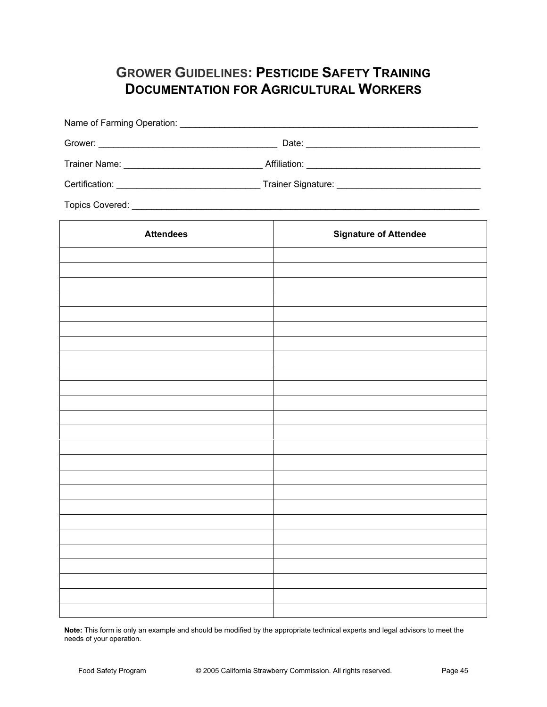# **GROWER GUIDELINES: PESTICIDE SAFETY TRAINING DOCUMENTATION FOR AGRICULTURAL WORKERS**

| <b>Attendees</b> | <b>Signature of Attendee</b> |  |  |  |
|------------------|------------------------------|--|--|--|
|                  |                              |  |  |  |
|                  |                              |  |  |  |
|                  |                              |  |  |  |
|                  |                              |  |  |  |
|                  |                              |  |  |  |
|                  |                              |  |  |  |
|                  |                              |  |  |  |
|                  |                              |  |  |  |
|                  |                              |  |  |  |
|                  |                              |  |  |  |
|                  |                              |  |  |  |
|                  |                              |  |  |  |
|                  |                              |  |  |  |
|                  |                              |  |  |  |
|                  |                              |  |  |  |
|                  |                              |  |  |  |
|                  |                              |  |  |  |
|                  |                              |  |  |  |
|                  |                              |  |  |  |
|                  |                              |  |  |  |
|                  |                              |  |  |  |
|                  |                              |  |  |  |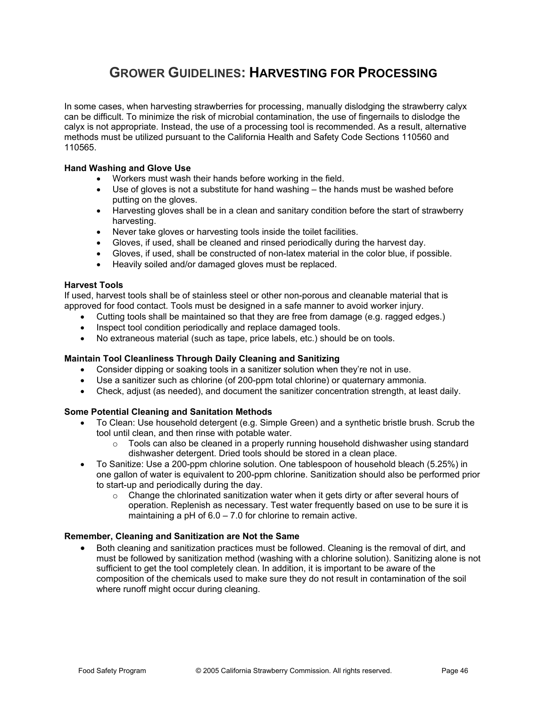### **GROWER GUIDELINES: HARVESTING FOR PROCESSING**

In some cases, when harvesting strawberries for processing, manually dislodging the strawberry calyx can be difficult. To minimize the risk of microbial contamination, the use of fingernails to dislodge the calyx is not appropriate. Instead, the use of a processing tool is recommended. As a result, alternative methods must be utilized pursuant to the California Health and Safety Code Sections 110560 and 110565.

### **Hand Washing and Glove Use**

- Workers must wash their hands before working in the field.
- $\bullet$  Use of gloves is not a substitute for hand washing the hands must be washed before putting on the gloves.
- Harvesting gloves shall be in a clean and sanitary condition before the start of strawberry harvesting.
- Never take gloves or harvesting tools inside the toilet facilities.
- Gloves, if used, shall be cleaned and rinsed periodically during the harvest day.
- Gloves, if used, shall be constructed of non-latex material in the color blue, if possible.
- Heavily soiled and/or damaged gloves must be replaced.

### **Harvest Tools**

If used, harvest tools shall be of stainless steel or other non-porous and cleanable material that is approved for food contact. Tools must be designed in a safe manner to avoid worker injury.

- Cutting tools shall be maintained so that they are free from damage (e.g. ragged edges.)
- Inspect tool condition periodically and replace damaged tools.
- No extraneous material (such as tape, price labels, etc.) should be on tools.

### **Maintain Tool Cleanliness Through Daily Cleaning and Sanitizing**

- $\bullet$  Consider dipping or soaking tools in a sanitizer solution when they're not in use.
- Use a sanitizer such as chlorine (of 200-ppm total chlorine) or quaternary ammonia.
- Check, adjust (as needed), and document the sanitizer concentration strength, at least daily.

### **Some Potential Cleaning and Sanitation Methods**

- To Clean: Use household detergent (e.g. Simple Green) and a synthetic bristle brush. Scrub the tool until clean, and then rinse with potable water.
	- $\circ$  Tools can also be cleaned in a properly running household dishwasher using standard dishwasher detergent. Dried tools should be stored in a clean place.
- To Sanitize: Use a 200-ppm chlorine solution. One tablespoon of household bleach (5.25%) in one gallon of water is equivalent to 200-ppm chlorine. Sanitization should also be performed prior to start-up and periodically during the day.
	- $\circ$  Change the chlorinated sanitization water when it gets dirty or after several hours of operation. Replenish as necessary. Test water frequently based on use to be sure it is maintaining a pH of 6.0 – 7.0 for chlorine to remain active.

### **Remember, Cleaning and Sanitization are Not the Same**

Both cleaning and sanitization practices must be followed. Cleaning is the removal of dirt, and must be followed by sanitization method (washing with a chlorine solution). Sanitizing alone is not sufficient to get the tool completely clean. In addition, it is important to be aware of the composition of the chemicals used to make sure they do not result in contamination of the soil where runoff might occur during cleaning.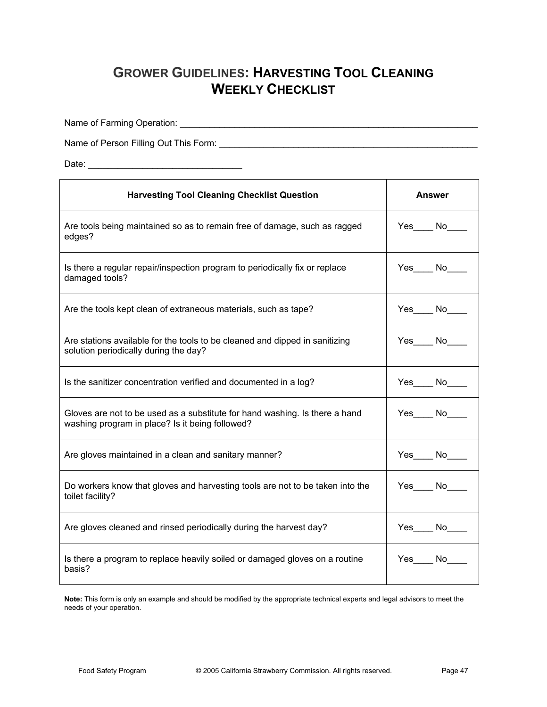## **GROWER GUIDELINES: HARVESTING TOOL CLEANING WEEKLY CHECKLIST**

Name of Farming Operation: \_\_\_\_\_\_\_\_\_\_\_\_\_\_\_\_\_\_\_\_\_\_\_\_\_\_\_\_\_\_\_\_\_\_\_\_\_\_\_\_\_\_\_\_\_\_\_\_\_\_\_\_\_\_\_\_\_\_\_\_

Name of Person Filling Out This Form: \_\_\_\_\_\_\_\_\_\_\_\_\_\_\_\_\_\_\_\_\_\_\_\_\_\_\_\_\_\_\_\_\_\_\_\_\_\_\_\_\_\_\_\_\_\_\_\_\_\_\_\_

Date: \_\_\_\_\_\_\_\_\_\_\_\_\_\_\_\_\_\_\_\_\_\_\_\_\_\_\_\_\_\_\_

| <b>Harvesting Tool Cleaning Checklist Question</b>                                                                             | Answer   |  |
|--------------------------------------------------------------------------------------------------------------------------------|----------|--|
| Are tools being maintained so as to remain free of damage, such as ragged<br>edges?                                            | Yes No   |  |
| Is there a regular repair/inspection program to periodically fix or replace<br>damaged tools?                                  | Yes No   |  |
| Are the tools kept clean of extraneous materials, such as tape?                                                                | Yes No   |  |
| Are stations available for the tools to be cleaned and dipped in sanitizing<br>solution periodically during the day?           | $Yes$ No |  |
| Is the sanitizer concentration verified and documented in a log?                                                               | Yes No   |  |
| Gloves are not to be used as a substitute for hand washing. Is there a hand<br>washing program in place? Is it being followed? | Yes No   |  |
| Are gloves maintained in a clean and sanitary manner?                                                                          | Yes No   |  |
| Do workers know that gloves and harvesting tools are not to be taken into the<br>toilet facility?                              | Yes No   |  |
| Are gloves cleaned and rinsed periodically during the harvest day?                                                             | Yes No   |  |
| Is there a program to replace heavily soiled or damaged gloves on a routine<br>basis?                                          | Yes No   |  |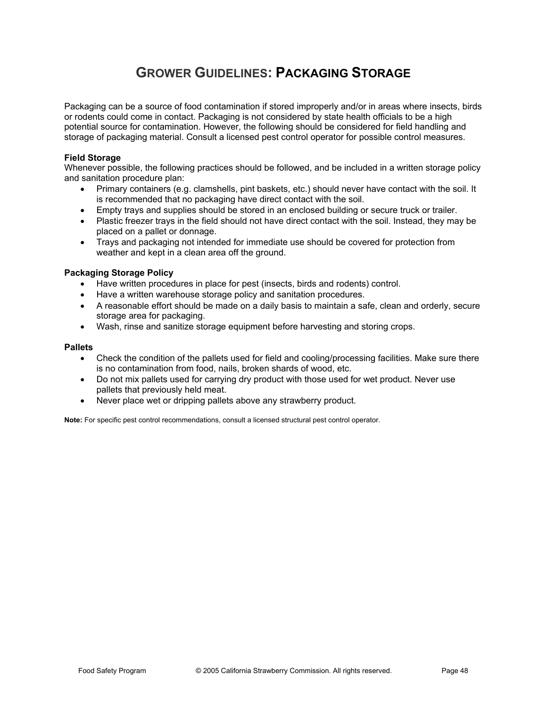# **GROWER GUIDELINES: PACKAGING STORAGE**

Packaging can be a source of food contamination if stored improperly and/or in areas where insects, birds or rodents could come in contact. Packaging is not considered by state health officials to be a high potential source for contamination. However, the following should be considered for field handling and storage of packaging material. Consult a licensed pest control operator for possible control measures.

### **Field Storage**

Whenever possible, the following practices should be followed, and be included in a written storage policy and sanitation procedure plan:

- Primary containers (e.g. clamshells, pint baskets, etc.) should never have contact with the soil. It is recommended that no packaging have direct contact with the soil.
- Empty trays and supplies should be stored in an enclosed building or secure truck or trailer.
- Plastic freezer trays in the field should not have direct contact with the soil. Instead, they may be placed on a pallet or donnage.
- Trays and packaging not intended for immediate use should be covered for protection from weather and kept in a clean area off the ground.

### **Packaging Storage Policy**

- Have written procedures in place for pest (insects, birds and rodents) control.
- Have a written warehouse storage policy and sanitation procedures.
- $\bullet$  A reasonable effort should be made on a daily basis to maintain a safe, clean and orderly, secure storage area for packaging.
- Wash, rinse and sanitize storage equipment before harvesting and storing crops.

#### **Pallets**

- Check the condition of the pallets used for field and cooling/processing facilities. Make sure there is no contamination from food, nails, broken shards of wood, etc.
- Do not mix pallets used for carrying dry product with those used for wet product. Never use pallets that previously held meat.
- Never place wet or dripping pallets above any strawberry product.

**Note:** For specific pest control recommendations, consult a licensed structural pest control operator.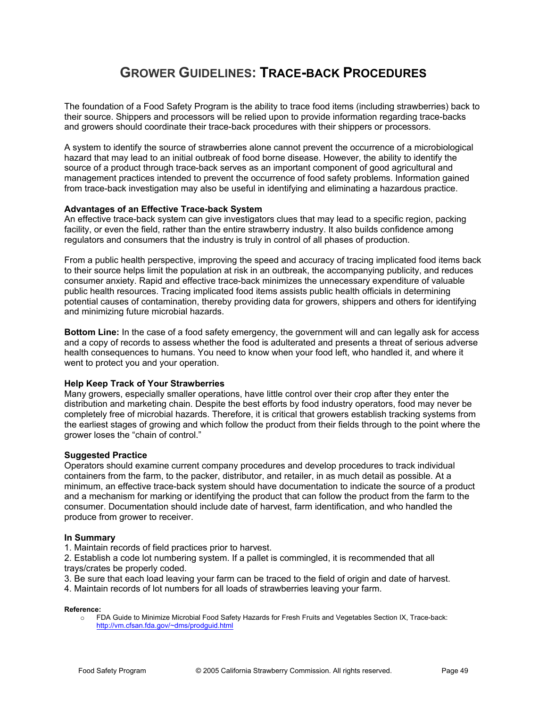### **GROWER GUIDELINES: TRACE-BACK PROCEDURES**

The foundation of a Food Safety Program is the ability to trace food items (including strawberries) back to their source. Shippers and processors will be relied upon to provide information regarding trace-backs and growers should coordinate their trace-back procedures with their shippers or processors.

A system to identify the source of strawberries alone cannot prevent the occurrence of a microbiological hazard that may lead to an initial outbreak of food borne disease. However, the ability to identify the source of a product through trace-back serves as an important component of good agricultural and management practices intended to prevent the occurrence of food safety problems. Information gained from trace-back investigation may also be useful in identifying and eliminating a hazardous practice.

#### **Advantages of an Effective Trace-back System**

An effective trace-back system can give investigators clues that may lead to a specific region, packing facility, or even the field, rather than the entire strawberry industry. It also builds confidence among regulators and consumers that the industry is truly in control of all phases of production.

From a public health perspective, improving the speed and accuracy of tracing implicated food items back to their source helps limit the population at risk in an outbreak, the accompanying publicity, and reduces consumer anxiety. Rapid and effective trace-back minimizes the unnecessary expenditure of valuable public health resources. Tracing implicated food items assists public health officials in determining potential causes of contamination, thereby providing data for growers, shippers and others for identifying and minimizing future microbial hazards.

**Bottom Line:** In the case of a food safety emergency, the government will and can legally ask for access and a copy of records to assess whether the food is adulterated and presents a threat of serious adverse health consequences to humans. You need to know when your food left, who handled it, and where it went to protect you and your operation.

#### **Help Keep Track of Your Strawberries**

Many growers, especially smaller operations, have little control over their crop after they enter the distribution and marketing chain. Despite the best efforts by food industry operators, food may never be completely free of microbial hazards. Therefore, it is critical that growers establish tracking systems from the earliest stages of growing and which follow the product from their fields through to the point where the grower loses the "chain of control."

#### **Suggested Practice**

Operators should examine current company procedures and develop procedures to track individual containers from the farm, to the packer, distributor, and retailer, in as much detail as possible. At a minimum, an effective trace-back system should have documentation to indicate the source of a product and a mechanism for marking or identifying the product that can follow the product from the farm to the consumer. Documentation should include date of harvest, farm identification, and who handled the produce from grower to receiver.

#### **In Summary**

1. Maintain records of field practices prior to harvest.

2. Establish a code lot numbering system. If a pallet is commingled, it is recommended that all trays/crates be properly coded.

3. Be sure that each load leaving your farm can be traced to the field of origin and date of harvest.

4. Maintain records of lot numbers for all loads of strawberries leaving your farm.

#### **Reference:**

o FDA Guide to Minimize Microbial Food Safety Hazards for Fresh Fruits and Vegetables Section IX, Trace-back: http://vm.cfsan.fda.gov/~dms/prodguid.html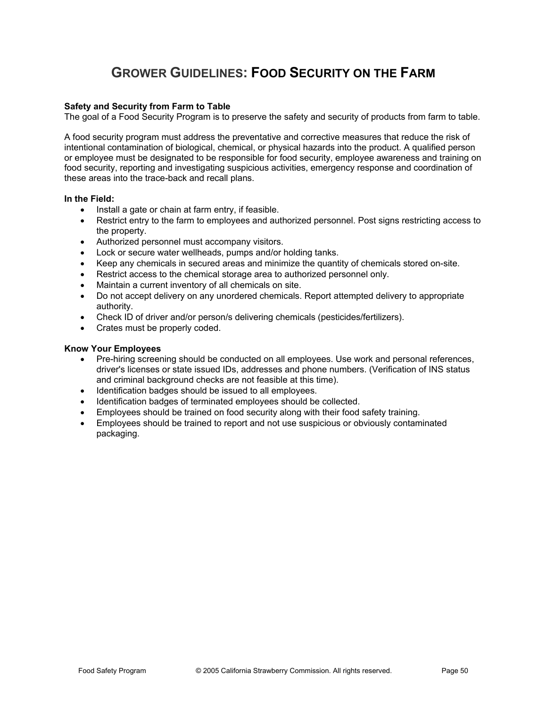## **GROWER GUIDELINES: FOOD SECURITY ON THE FARM**

### **Safety and Security from Farm to Table**

The goal of a Food Security Program is to preserve the safety and security of products from farm to table.

A food security program must address the preventative and corrective measures that reduce the risk of intentional contamination of biological, chemical, or physical hazards into the product. A qualified person or employee must be designated to be responsible for food security, employee awareness and training on food security, reporting and investigating suspicious activities, emergency response and coordination of these areas into the trace-back and recall plans.

#### **In the Field:**

- Install a gate or chain at farm entry, if feasible.
- Restrict entry to the farm to employees and authorized personnel. Post signs restricting access to the property.
- Authorized personnel must accompany visitors.
- Lock or secure water wellheads, pumps and/or holding tanks.
- Keep any chemicals in secured areas and minimize the quantity of chemicals stored on-site.
- Restrict access to the chemical storage area to authorized personnel only.
- Maintain a current inventory of all chemicals on site.
- Do not accept delivery on any unordered chemicals. Report attempted delivery to appropriate authority.
- Check ID of driver and/or person/s delivering chemicals (pesticides/fertilizers).
- Crates must be properly coded.

#### **Know Your Employees**

- Pre-hiring screening should be conducted on all employees. Use work and personal references, driver's licenses or state issued IDs, addresses and phone numbers. (Verification of INS status and criminal background checks are not feasible at this time).
- Identification badges should be issued to all employees.
- Identification badges of terminated employees should be collected.
- Employees should be trained on food security along with their food safety training.
- Employees should be trained to report and not use suspicious or obviously contaminated packaging.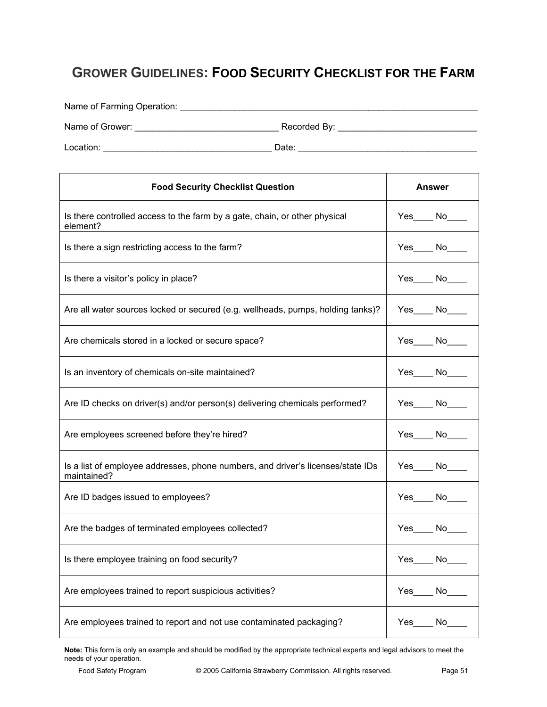## **GROWER GUIDELINES: FOOD SECURITY CHECKLIST FOR THE FARM**

Name of Farming Operation: \_\_\_\_\_\_\_\_\_\_\_\_\_\_\_\_\_\_\_\_\_\_\_\_\_\_\_\_\_\_\_\_\_\_\_\_\_\_\_\_\_\_\_\_\_\_\_\_\_\_\_\_\_\_\_\_\_\_\_\_

Name of Grower: \_\_\_\_\_\_\_\_\_\_\_\_\_\_\_\_\_\_\_\_\_\_\_\_\_\_\_\_\_ Recorded By: \_\_\_\_\_\_\_\_\_\_\_\_\_\_\_\_\_\_\_\_\_\_\_\_\_\_\_\_

Location: \_\_\_\_\_\_\_\_\_\_\_\_\_\_\_\_\_\_\_\_\_\_\_\_\_\_\_\_\_\_\_\_\_\_ Date: \_\_\_\_\_\_\_\_\_\_\_\_\_\_\_\_\_\_\_\_\_\_\_\_\_\_\_\_\_\_\_\_\_\_\_\_

| <b>Food Security Checklist Question</b>                                                        | Answer          |
|------------------------------------------------------------------------------------------------|-----------------|
| Is there controlled access to the farm by a gate, chain, or other physical<br>element?         | $Yes$ No $N$    |
| Is there a sign restricting access to the farm?                                                | Yes No          |
| Is there a visitor's policy in place?                                                          | $Yes$ No        |
| Are all water sources locked or secured (e.g. wellheads, pumps, holding tanks)?                | $Yes$ No        |
| Are chemicals stored in a locked or secure space?                                              | $Yes$ No        |
| Is an inventory of chemicals on-site maintained?                                               | $Yes$ No        |
| Are ID checks on driver(s) and/or person(s) delivering chemicals performed?                    | $Yes$ No $\_\_$ |
| Are employees screened before they're hired?                                                   | $Yes$ No        |
| Is a list of employee addresses, phone numbers, and driver's licenses/state IDs<br>maintained? | $Yes$ No $\_\_$ |
| Are ID badges issued to employees?                                                             | $Yes$ No $\_\_$ |
| Are the badges of terminated employees collected?                                              | $Yes$ No $N$    |
| Is there employee training on food security?                                                   | $Yes$ No        |
| Are employees trained to report suspicious activities?                                         | $Yes$ No $\_\_$ |
| Are employees trained to report and not use contaminated packaging?                            | Yes No          |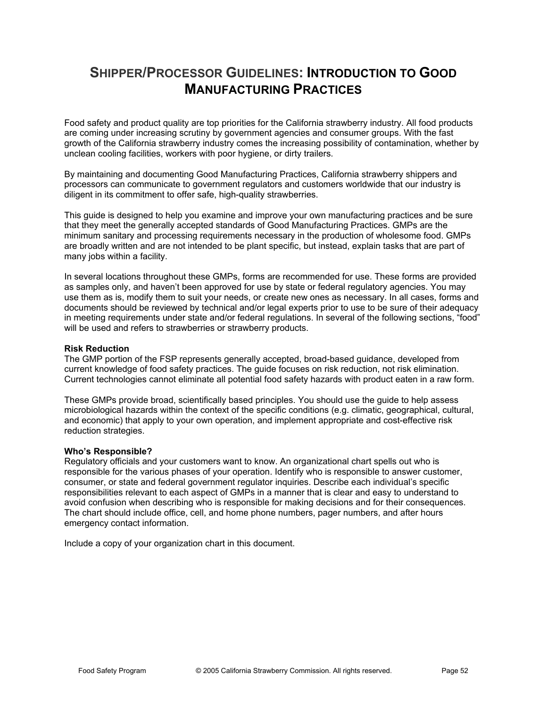### **SHIPPER/PROCESSOR GUIDELINES: INTRODUCTION TO GOOD MANUFACTURING PRACTICES**

Food safety and product quality are top priorities for the California strawberry industry. All food products are coming under increasing scrutiny by government agencies and consumer groups. With the fast growth of the California strawberry industry comes the increasing possibility of contamination, whether by unclean cooling facilities, workers with poor hygiene, or dirty trailers.

By maintaining and documenting Good Manufacturing Practices, California strawberry shippers and processors can communicate to government regulators and customers worldwide that our industry is diligent in its commitment to offer safe, high-quality strawberries.

This guide is designed to help you examine and improve your own manufacturing practices and be sure that they meet the generally accepted standards of Good Manufacturing Practices. GMPs are the minimum sanitary and processing requirements necessary in the production of wholesome food. GMPs are broadly written and are not intended to be plant specific, but instead, explain tasks that are part of many jobs within a facility.

In several locations throughout these GMPs, forms are recommended for use. These forms are provided as samples only, and haven't been approved for use by state or federal regulatory agencies. You may use them as is, modify them to suit your needs, or create new ones as necessary. In all cases, forms and documents should be reviewed by technical and/or legal experts prior to use to be sure of their adequacy in meeting requirements under state and/or federal regulations. In several of the following sections, "food" will be used and refers to strawberries or strawberry products.

### **Risk Reduction**

The GMP portion of the FSP represents generally accepted, broad-based guidance, developed from current knowledge of food safety practices. The guide focuses on risk reduction, not risk elimination. Current technologies cannot eliminate all potential food safety hazards with product eaten in a raw form.

These GMPs provide broad, scientifically based principles. You should use the guide to help assess microbiological hazards within the context of the specific conditions (e.g. climatic, geographical, cultural, and economic) that apply to your own operation, and implement appropriate and cost-effective risk reduction strategies.

#### **Who's Responsible?**

Regulatory officials and your customers want to know. An organizational chart spells out who is responsible for the various phases of your operation. Identify who is responsible to answer customer, consumer, or state and federal government regulator inquiries. Describe each individual's specific responsibilities relevant to each aspect of GMPs in a manner that is clear and easy to understand to avoid confusion when describing who is responsible for making decisions and for their consequences. The chart should include office, cell, and home phone numbers, pager numbers, and after hours emergency contact information.

Include a copy of your organization chart in this document.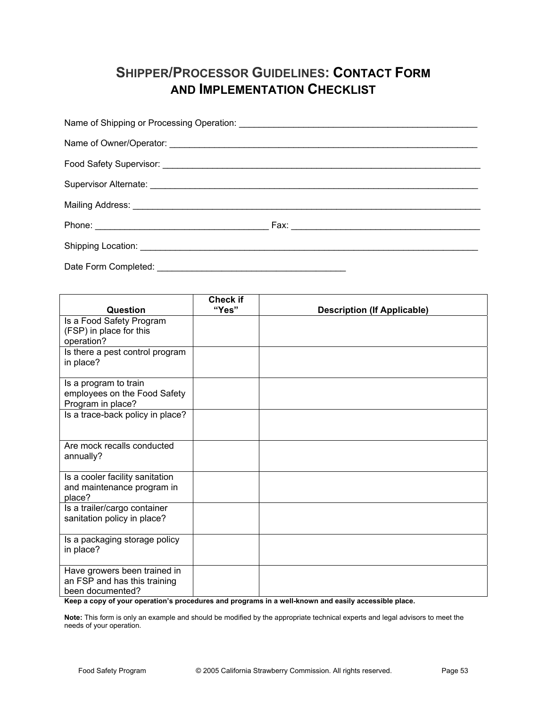## **SHIPPER/PROCESSOR GUIDELINES: CONTACT FORM AND IMPLEMENTATION CHECKLIST**

| Date Form Completed: |  |
|----------------------|--|

| Question                                                                         | Check if<br>"Yes" | <b>Description (If Applicable)</b> |
|----------------------------------------------------------------------------------|-------------------|------------------------------------|
| Is a Food Safety Program<br>(FSP) in place for this<br>operation?                |                   |                                    |
| Is there a pest control program<br>in place?                                     |                   |                                    |
| Is a program to train<br>employees on the Food Safety<br>Program in place?       |                   |                                    |
| Is a trace-back policy in place?                                                 |                   |                                    |
| Are mock recalls conducted<br>annually?                                          |                   |                                    |
| Is a cooler facility sanitation<br>and maintenance program in<br>place?          |                   |                                    |
| Is a trailer/cargo container<br>sanitation policy in place?                      |                   |                                    |
| Is a packaging storage policy<br>in place?                                       |                   |                                    |
| Have growers been trained in<br>an FSP and has this training<br>been documented? |                   |                                    |

**Keep a copy of your operation's procedures and programs in a well-known and easily accessible place.**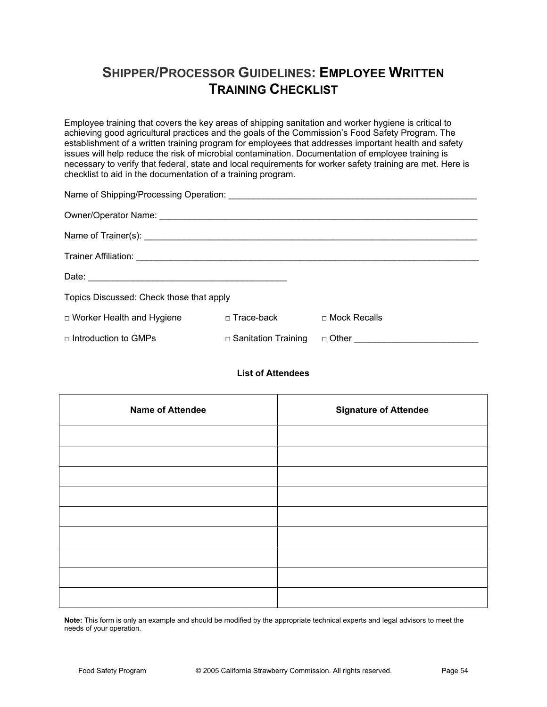## **SHIPPER/PROCESSOR GUIDELINES: EMPLOYEE WRITTEN TRAINING CHECKLIST**

Employee training that covers the key areas of shipping sanitation and worker hygiene is critical to achieving good agricultural practices and the goals of the Commission's Food Safety Program. The establishment of a written training program for employees that addresses important health and safety issues will help reduce the risk of microbial contamination. Documentation of employee training is necessary to verify that federal, state and local requirements for worker safety training are met. Here is checklist to aid in the documentation of a training program.

| Topics Discussed: Check those that apply |                            |                                             |  |  |  |
|------------------------------------------|----------------------------|---------------------------------------------|--|--|--|
| $\Box$ Worker Health and Hygiene         | ⊓ Trace-back               | □ Mock Recalls                              |  |  |  |
| $\Box$ Introduction to GMPs              | $\Box$ Sanitation Training | □ Other <u>____________________________</u> |  |  |  |

### **List of Attendees**

| <b>Name of Attendee</b> | <b>Signature of Attendee</b> |
|-------------------------|------------------------------|
|                         |                              |
|                         |                              |
|                         |                              |
|                         |                              |
|                         |                              |
|                         |                              |
|                         |                              |
|                         |                              |
|                         |                              |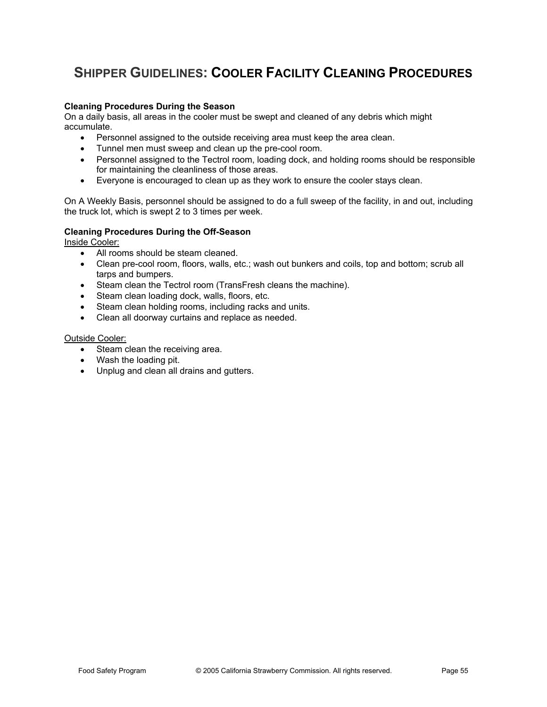# **SHIPPER GUIDELINES: COOLER FACILITY CLEANING PROCEDURES**

### **Cleaning Procedures During the Season**

On a daily basis, all areas in the cooler must be swept and cleaned of any debris which might accumulate.

- Personnel assigned to the outside receiving area must keep the area clean.
- Tunnel men must sweep and clean up the pre-cool room.
- Personnel assigned to the Tectrol room, loading dock, and holding rooms should be responsible for maintaining the cleanliness of those areas.
- Everyone is encouraged to clean up as they work to ensure the cooler stays clean.

On A Weekly Basis, personnel should be assigned to do a full sweep of the facility, in and out, including the truck lot, which is swept 2 to 3 times per week.

#### **Cleaning Procedures During the Off-Season**

Inside Cooler:

- All rooms should be steam cleaned.
- Clean pre-cool room, floors, walls, etc.; wash out bunkers and coils, top and bottom; scrub all tarps and bumpers.
- Steam clean the Tectrol room (TransFresh cleans the machine).
- Steam clean loading dock, walls, floors, etc.
- Steam clean holding rooms, including racks and units.
- Clean all doorway curtains and replace as needed.

#### Outside Cooler:

- Steam clean the receiving area.
- $\bullet$  Wash the loading pit.
- Unplug and clean all drains and gutters.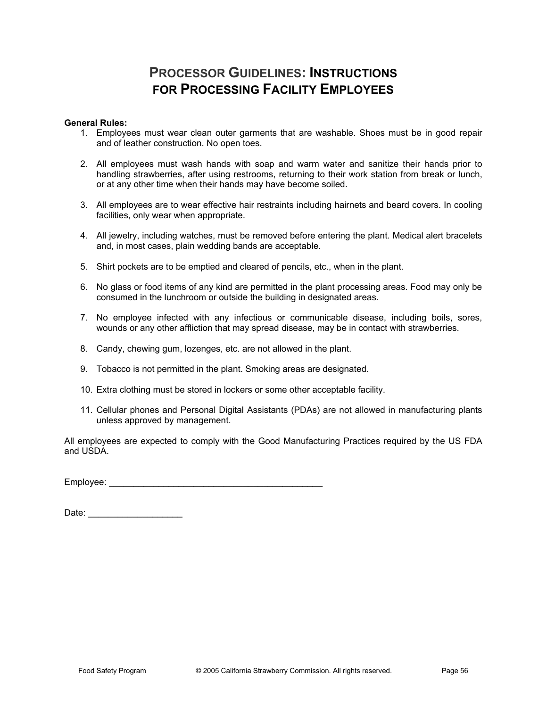### **PROCESSOR GUIDELINES: INSTRUCTIONS FOR PROCESSING FACILITY EMPLOYEES**

### **General Rules:**

- 1. Employees must wear clean outer garments that are washable. Shoes must be in good repair and of leather construction. No open toes.
- 2. All employees must wash hands with soap and warm water and sanitize their hands prior to handling strawberries, after using restrooms, returning to their work station from break or lunch, or at any other time when their hands may have become soiled.
- 3. All employees are to wear effective hair restraints including hairnets and beard covers. In cooling facilities, only wear when appropriate.
- 4. All jewelry, including watches, must be removed before entering the plant. Medical alert bracelets and, in most cases, plain wedding bands are acceptable.
- 5. Shirt pockets are to be emptied and cleared of pencils, etc., when in the plant.
- 6. No glass or food items of any kind are permitted in the plant processing areas. Food may only be consumed in the lunchroom or outside the building in designated areas.
- 7. No employee infected with any infectious or communicable disease, including boils, sores, wounds or any other affliction that may spread disease, may be in contact with strawberries.
- 8. Candy, chewing gum, lozenges, etc. are not allowed in the plant.
- 9. Tobacco is not permitted in the plant. Smoking areas are designated.
- 10. Extra clothing must be stored in lockers or some other acceptable facility.
- 11. Cellular phones and Personal Digital Assistants (PDAs) are not allowed in manufacturing plants unless approved by management.

All employees are expected to comply with the Good Manufacturing Practices required by the US FDA and USDA.

Employee:  $\blacksquare$ 

Date: \_\_\_\_\_\_\_\_\_\_\_\_\_\_\_\_\_\_\_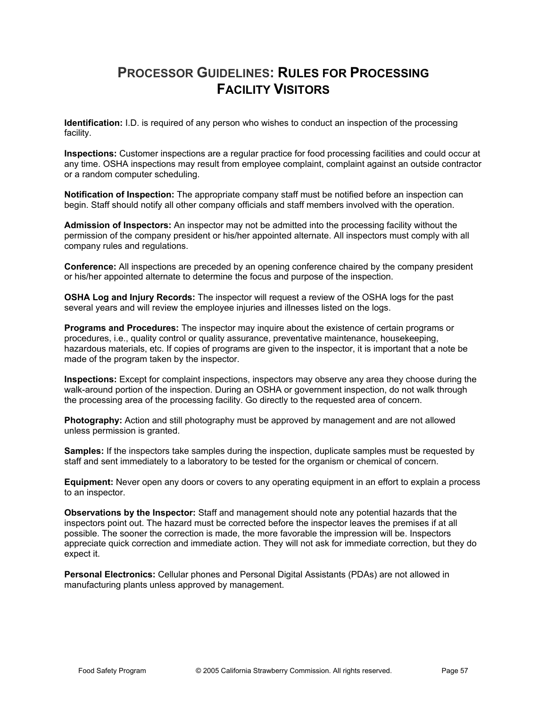## **PROCESSOR GUIDELINES: RULES FOR PROCESSING FACILITY VISITORS**

**Identification:** I.D. is required of any person who wishes to conduct an inspection of the processing facility.

**Inspections:** Customer inspections are a regular practice for food processing facilities and could occur at any time. OSHA inspections may result from employee complaint, complaint against an outside contractor or a random computer scheduling.

**Notification of Inspection:** The appropriate company staff must be notified before an inspection can begin. Staff should notify all other company officials and staff members involved with the operation.

**Admission of Inspectors:** An inspector may not be admitted into the processing facility without the permission of the company president or his/her appointed alternate. All inspectors must comply with all company rules and regulations.

**Conference:** All inspections are preceded by an opening conference chaired by the company president or his/her appointed alternate to determine the focus and purpose of the inspection.

**OSHA Log and Injury Records:** The inspector will request a review of the OSHA logs for the past several years and will review the employee injuries and illnesses listed on the logs.

**Programs and Procedures:** The inspector may inquire about the existence of certain programs or procedures, i.e., quality control or quality assurance, preventative maintenance, housekeeping, hazardous materials, etc. If copies of programs are given to the inspector, it is important that a note be made of the program taken by the inspector.

**Inspections:** Except for complaint inspections, inspectors may observe any area they choose during the walk-around portion of the inspection. During an OSHA or government inspection, do not walk through the processing area of the processing facility. Go directly to the requested area of concern.

**Photography:** Action and still photography must be approved by management and are not allowed unless permission is granted.

**Samples:** If the inspectors take samples during the inspection, duplicate samples must be requested by staff and sent immediately to a laboratory to be tested for the organism or chemical of concern.

**Equipment:** Never open any doors or covers to any operating equipment in an effort to explain a process to an inspector.

**Observations by the Inspector:** Staff and management should note any potential hazards that the inspectors point out. The hazard must be corrected before the inspector leaves the premises if at all possible. The sooner the correction is made, the more favorable the impression will be. Inspectors appreciate quick correction and immediate action. They will not ask for immediate correction, but they do expect it.

**Personal Electronics:** Cellular phones and Personal Digital Assistants (PDAs) are not allowed in manufacturing plants unless approved by management.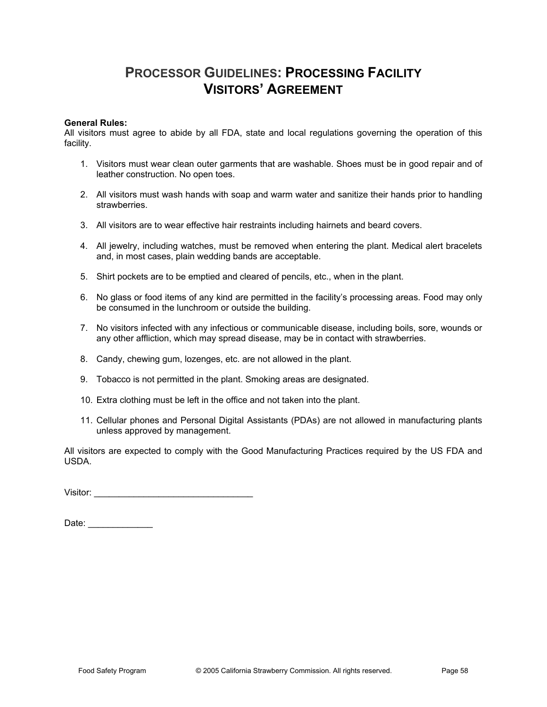## **PROCESSOR GUIDELINES: PROCESSING FACILITY VISITORS' AGREEMENT**

#### **General Rules:**

All visitors must agree to abide by all FDA, state and local regulations governing the operation of this facility.

- 1. Visitors must wear clean outer garments that are washable. Shoes must be in good repair and of leather construction. No open toes.
- 2. All visitors must wash hands with soap and warm water and sanitize their hands prior to handling strawberries.
- 3. All visitors are to wear effective hair restraints including hairnets and beard covers.
- 4. All jewelry, including watches, must be removed when entering the plant. Medical alert bracelets and, in most cases, plain wedding bands are acceptable.
- 5. Shirt pockets are to be emptied and cleared of pencils, etc., when in the plant.
- 6. No glass or food items of any kind are permitted in the facility's processing areas. Food may only be consumed in the lunchroom or outside the building.
- 7. No visitors infected with any infectious or communicable disease, including boils, sore, wounds or any other affliction, which may spread disease, may be in contact with strawberries.
- 8. Candy, chewing gum, lozenges, etc. are not allowed in the plant.
- 9. Tobacco is not permitted in the plant. Smoking areas are designated.
- 10. Extra clothing must be left in the office and not taken into the plant.
- 11. Cellular phones and Personal Digital Assistants (PDAs) are not allowed in manufacturing plants unless approved by management.

All visitors are expected to comply with the Good Manufacturing Practices required by the US FDA and USDA.

Visitor: \_\_\_\_\_\_\_\_\_\_\_\_\_\_\_\_\_\_\_\_\_\_\_\_\_\_\_\_\_\_\_\_

Date: \_\_\_\_\_\_\_\_\_\_\_\_\_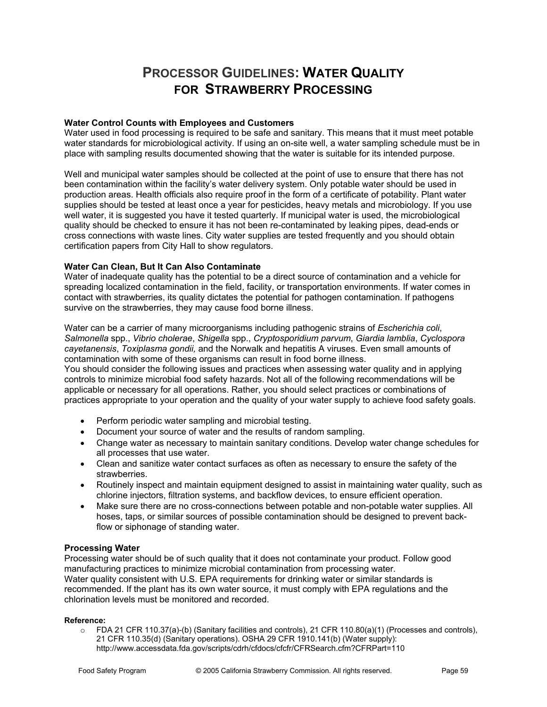### **PROCESSOR GUIDELINES: WATER QUALITY FOR STRAWBERRY PROCESSING**

### **Water Control Counts with Employees and Customers**

Water used in food processing is required to be safe and sanitary. This means that it must meet potable water standards for microbiological activity. If using an on-site well, a water sampling schedule must be in place with sampling results documented showing that the water is suitable for its intended purpose.

Well and municipal water samples should be collected at the point of use to ensure that there has not been contamination within the facility's water delivery system. Only potable water should be used in production areas. Health officials also require proof in the form of a certificate of potability. Plant water supplies should be tested at least once a year for pesticides, heavy metals and microbiology. If you use well water, it is suggested you have it tested quarterly. If municipal water is used, the microbiological quality should be checked to ensure it has not been re-contaminated by leaking pipes, dead-ends or cross connections with waste lines. City water supplies are tested frequently and you should obtain certification papers from City Hall to show regulators.

### **Water Can Clean, But It Can Also Contaminate**

Water of inadequate quality has the potential to be a direct source of contamination and a vehicle for spreading localized contamination in the field, facility, or transportation environments. If water comes in contact with strawberries, its quality dictates the potential for pathogen contamination. If pathogens survive on the strawberries, they may cause food borne illness.

Water can be a carrier of many microorganisms including pathogenic strains of *Escherichia coli*, *Salmonella* spp., *Vibrio cholerae*, *Shigella* spp., *Cryptosporidium parvum*, *Giardia lamblia*, *Cyclospora cayetanensis*, *Toxiplasma gondii,* and the Norwalk and hepatitis A viruses. Even small amounts of contamination with some of these organisms can result in food borne illness.

You should consider the following issues and practices when assessing water quality and in applying controls to minimize microbial food safety hazards. Not all of the following recommendations will be applicable or necessary for all operations. Rather, you should select practices or combinations of practices appropriate to your operation and the quality of your water supply to achieve food safety goals.

- Perform periodic water sampling and microbial testing.
- Document your source of water and the results of random sampling.
- Change water as necessary to maintain sanitary conditions. Develop water change schedules for all processes that use water.
- Clean and sanitize water contact surfaces as often as necessary to ensure the safety of the strawberries.
- Routinely inspect and maintain equipment designed to assist in maintaining water quality, such as chlorine injectors, filtration systems, and backflow devices, to ensure efficient operation.
- Make sure there are no cross-connections between potable and non-potable water supplies. All hoses, taps, or similar sources of possible contamination should be designed to prevent backflow or siphonage of standing water.

### **Processing Water**

Processing water should be of such quality that it does not contaminate your product. Follow good manufacturing practices to minimize microbial contamination from processing water. Water quality consistent with U.S. EPA requirements for drinking water or similar standards is recommended. If the plant has its own water source, it must comply with EPA regulations and the chlorination levels must be monitored and recorded.

#### **Reference:**

o FDA 21 CFR 110.37(a)-(b) (Sanitary facilities and controls), 21 CFR 110.80(a)(1) (Processes and controls), 21 CFR 110.35(d) (Sanitary operations). OSHA 29 CFR 1910.141(b) (Water supply): http://www.accessdata.fda.gov/scripts/cdrh/cfdocs/cfcfr/CFRSearch.cfm?CFRPart=110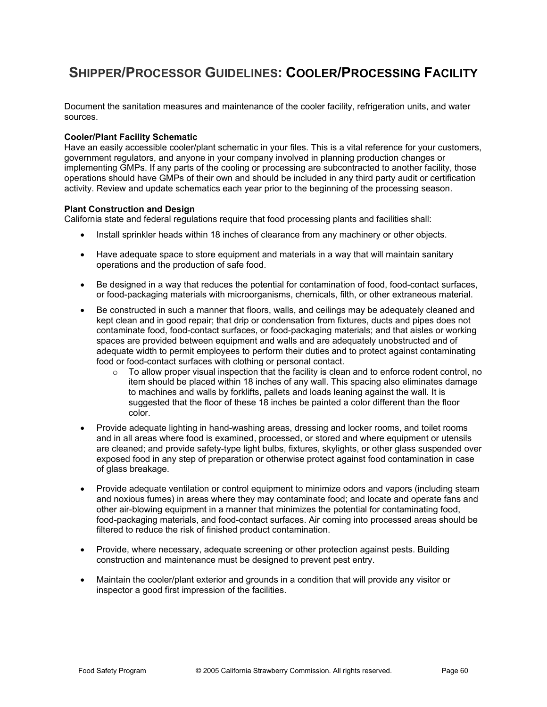## **SHIPPER/PROCESSOR GUIDELINES: COOLER/PROCESSING FACILITY**

Document the sanitation measures and maintenance of the cooler facility, refrigeration units, and water sources.

### **Cooler/Plant Facility Schematic**

Have an easily accessible cooler/plant schematic in your files. This is a vital reference for your customers, government regulators, and anyone in your company involved in planning production changes or implementing GMPs. If any parts of the cooling or processing are subcontracted to another facility, those operations should have GMPs of their own and should be included in any third party audit or certification activity. Review and update schematics each year prior to the beginning of the processing season.

#### **Plant Construction and Design**

California state and federal regulations require that food processing plants and facilities shall:

- Install sprinkler heads within 18 inches of clearance from any machinery or other objects.
- Have adequate space to store equipment and materials in a way that will maintain sanitary operations and the production of safe food.
- Be designed in a way that reduces the potential for contamination of food, food-contact surfaces, or food-packaging materials with microorganisms, chemicals, filth, or other extraneous material.
- Be constructed in such a manner that floors, walls, and ceilings may be adequately cleaned and kept clean and in good repair; that drip or condensation from fixtures, ducts and pipes does not contaminate food, food-contact surfaces, or food-packaging materials; and that aisles or working spaces are provided between equipment and walls and are adequately unobstructed and of adequate width to permit employees to perform their duties and to protect against contaminating food or food-contact surfaces with clothing or personal contact.
	- $\circ$  To allow proper visual inspection that the facility is clean and to enforce rodent control, no item should be placed within 18 inches of any wall. This spacing also eliminates damage to machines and walls by forklifts, pallets and loads leaning against the wall. It is suggested that the floor of these 18 inches be painted a color different than the floor color.
- Provide adequate lighting in hand-washing areas, dressing and locker rooms, and toilet rooms and in all areas where food is examined, processed, or stored and where equipment or utensils are cleaned; and provide safety-type light bulbs, fixtures, skylights, or other glass suspended over exposed food in any step of preparation or otherwise protect against food contamination in case of glass breakage.
- Provide adequate ventilation or control equipment to minimize odors and vapors (including steam and noxious fumes) in areas where they may contaminate food; and locate and operate fans and other air-blowing equipment in a manner that minimizes the potential for contaminating food, food-packaging materials, and food-contact surfaces. Air coming into processed areas should be filtered to reduce the risk of finished product contamination.
- Provide, where necessary, adequate screening or other protection against pests. Building construction and maintenance must be designed to prevent pest entry.
- Maintain the cooler/plant exterior and grounds in a condition that will provide any visitor or inspector a good first impression of the facilities.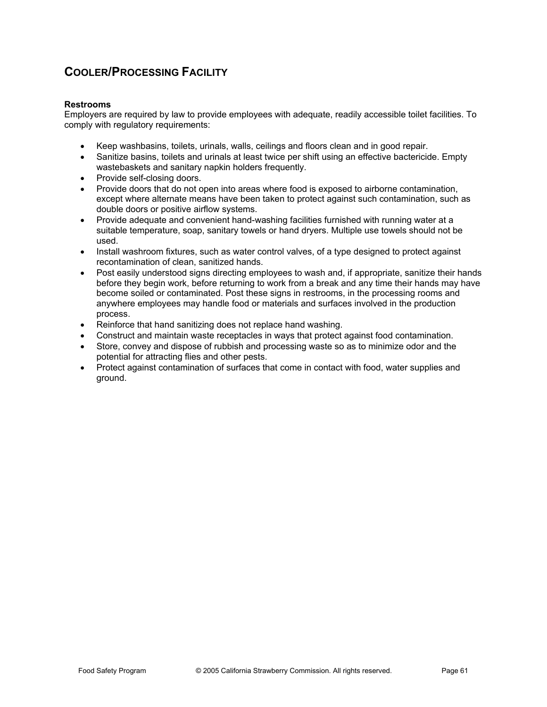### **COOLER/PROCESSING FACILITY**

### **Restrooms**

Employers are required by law to provide employees with adequate, readily accessible toilet facilities. To comply with regulatory requirements:

- x Keep washbasins, toilets, urinals, walls, ceilings and floors clean and in good repair.
- Sanitize basins, toilets and urinals at least twice per shift using an effective bactericide. Empty wastebaskets and sanitary napkin holders frequently.
- Provide self-closing doors.
- Provide doors that do not open into areas where food is exposed to airborne contamination, except where alternate means have been taken to protect against such contamination, such as double doors or positive airflow systems.
- Provide adequate and convenient hand-washing facilities furnished with running water at a suitable temperature, soap, sanitary towels or hand dryers. Multiple use towels should not be used.
- Install washroom fixtures, such as water control valves, of a type designed to protect against recontamination of clean, sanitized hands.
- Post easily understood signs directing employees to wash and, if appropriate, sanitize their hands before they begin work, before returning to work from a break and any time their hands may have become soiled or contaminated. Post these signs in restrooms, in the processing rooms and anywhere employees may handle food or materials and surfaces involved in the production process.
- Reinforce that hand sanitizing does not replace hand washing.
- Construct and maintain waste receptacles in ways that protect against food contamination.
- Store, convey and dispose of rubbish and processing waste so as to minimize odor and the potential for attracting flies and other pests.
- Protect against contamination of surfaces that come in contact with food, water supplies and ground.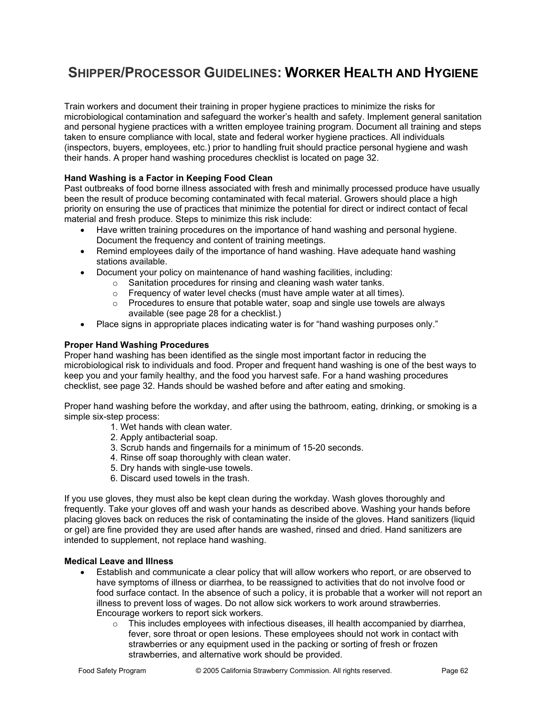# **SHIPPER/PROCESSOR GUIDELINES: WORKER HEALTH AND HYGIENE**

Train workers and document their training in proper hygiene practices to minimize the risks for microbiological contamination and safeguard the worker's health and safety. Implement general sanitation and personal hygiene practices with a written employee training program. Document all training and steps taken to ensure compliance with local, state and federal worker hygiene practices. All individuals (inspectors, buyers, employees, etc.) prior to handling fruit should practice personal hygiene and wash their hands. A proper hand washing procedures checklist is located on page 32.

### **Hand Washing is a Factor in Keeping Food Clean**

Past outbreaks of food borne illness associated with fresh and minimally processed produce have usually been the result of produce becoming contaminated with fecal material. Growers should place a high priority on ensuring the use of practices that minimize the potential for direct or indirect contact of fecal material and fresh produce. Steps to minimize this risk include:

- Have written training procedures on the importance of hand washing and personal hygiene. Document the frequency and content of training meetings.
- Remind employees daily of the importance of hand washing. Have adequate hand washing stations available.
- Document your policy on maintenance of hand washing facilities, including:
	- o Sanitation procedures for rinsing and cleaning wash water tanks.
	- o Frequency of water level checks (must have ample water at all times).
	- $\circ$  Procedures to ensure that potable water, soap and single use towels are always available (see page 28 for a checklist.)
- Place signs in appropriate places indicating water is for "hand washing purposes only."

### **Proper Hand Washing Procedures**

Proper hand washing has been identified as the single most important factor in reducing the microbiological risk to individuals and food. Proper and frequent hand washing is one of the best ways to keep you and your family healthy, and the food you harvest safe. For a hand washing procedures checklist, see page 32. Hands should be washed before and after eating and smoking.

Proper hand washing before the workday, and after using the bathroom, eating, drinking, or smoking is a simple six-step process:

- 1. Wet hands with clean water.
- 2. Apply antibacterial soap.
- 3. Scrub hands and fingernails for a minimum of 15-20 seconds.
- 4. Rinse off soap thoroughly with clean water.
- 5. Dry hands with single-use towels.
- 6. Discard used towels in the trash.

If you use gloves, they must also be kept clean during the workday. Wash gloves thoroughly and frequently. Take your gloves off and wash your hands as described above. Washing your hands before placing gloves back on reduces the risk of contaminating the inside of the gloves. Hand sanitizers (liquid or gel) are fine provided they are used after hands are washed, rinsed and dried. Hand sanitizers are intended to supplement, not replace hand washing.

### **Medical Leave and Illness**

- Establish and communicate a clear policy that will allow workers who report, or are observed to have symptoms of illness or diarrhea, to be reassigned to activities that do not involve food or food surface contact. In the absence of such a policy, it is probable that a worker will not report an illness to prevent loss of wages. Do not allow sick workers to work around strawberries. Encourage workers to report sick workers.
	- $\circ$  This includes employees with infectious diseases, ill health accompanied by diarrhea, fever, sore throat or open lesions. These employees should not work in contact with strawberries or any equipment used in the packing or sorting of fresh or frozen strawberries, and alternative work should be provided.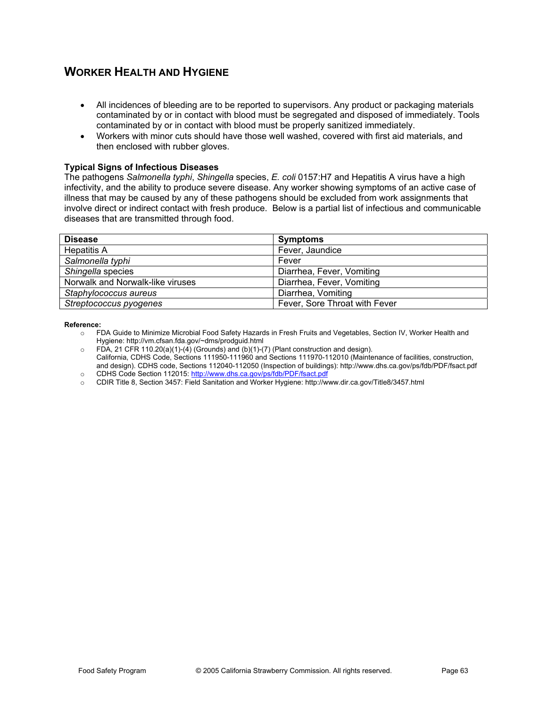### **WORKER HEALTH AND HYGIENE**

- All incidences of bleeding are to be reported to supervisors. Any product or packaging materials contaminated by or in contact with blood must be segregated and disposed of immediately. Tools contaminated by or in contact with blood must be properly sanitized immediately.
- Workers with minor cuts should have those well washed, covered with first aid materials, and then enclosed with rubber gloves.

### **Typical Signs of Infectious Diseases**

The pathogens *Salmonella typhi*, *Shingella* species, *E. coli* 0157:H7 and Hepatitis A virus have a high infectivity, and the ability to produce severe disease. Any worker showing symptoms of an active case of illness that may be caused by any of these pathogens should be excluded from work assignments that involve direct or indirect contact with fresh produce. Below is a partial list of infectious and communicable diseases that are transmitted through food.

| <b>Disease</b>                   | <b>Symptoms</b>               |
|----------------------------------|-------------------------------|
| <b>Hepatitis A</b>               | Fever, Jaundice               |
| Salmonella typhi                 | Fever                         |
| Shingella species                | Diarrhea, Fever, Vomiting     |
| Norwalk and Norwalk-like viruses | Diarrhea, Fever, Vomiting     |
| Staphylococcus aureus            | Diarrhea, Vomiting            |
| Streptococcus pyogenes           | Fever, Sore Throat with Fever |

#### **Reference:**

- o FDA Guide to Minimize Microbial Food Safety Hazards in Fresh Fruits and Vegetables, Section IV, Worker Health and Hygiene: http://vm.cfsan.fda.gov/~dms/prodguid.html
- $\circ$  FDA, 21 CFR 110.20(a)(1)-(4) (Grounds) and (b)(1)-(7) (Plant construction and design). California, CDHS Code, Sections 111950-111960 and Sections 111970-112010 (Maintenance of facilities, construction, and design). CDHS code, Sections 112040-112050 (Inspection of buildings): http://www.dhs.ca.gov/ps/fdb/PDF/fsact.pdf o CDHS Code Section 112015: http://www.dhs.ca.gov/ps/fdb/PDF/fsact.pdf
- o CDIR Title 8, Section 3457: Field Sanitation and Worker Hygiene: http://www.dir.ca.gov/Title8/3457.html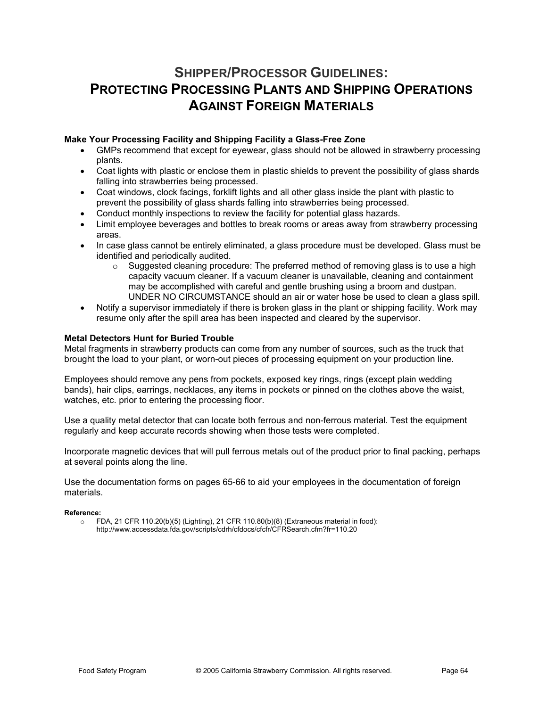### **SHIPPER/PROCESSOR GUIDELINES: PROTECTING PROCESSING PLANTS AND SHIPPING OPERATIONS AGAINST FOREIGN MATERIALS**

### **Make Your Processing Facility and Shipping Facility a Glass-Free Zone**

- GMPs recommend that except for eyewear, glass should not be allowed in strawberry processing plants.
- Coat lights with plastic or enclose them in plastic shields to prevent the possibility of glass shards falling into strawberries being processed.
- Coat windows, clock facings, forklift lights and all other glass inside the plant with plastic to prevent the possibility of glass shards falling into strawberries being processed.
- Conduct monthly inspections to review the facility for potential glass hazards.
- Limit employee beverages and bottles to break rooms or areas away from strawberry processing areas.
- In case glass cannot be entirely eliminated, a glass procedure must be developed. Glass must be identified and periodically audited.
	- $\circ$  Suggested cleaning procedure: The preferred method of removing glass is to use a high capacity vacuum cleaner. If a vacuum cleaner is unavailable, cleaning and containment may be accomplished with careful and gentle brushing using a broom and dustpan. UNDER NO CIRCUMSTANCE should an air or water hose be used to clean a glass spill.
- Notify a supervisor immediately if there is broken glass in the plant or shipping facility. Work may resume only after the spill area has been inspected and cleared by the supervisor.

### **Metal Detectors Hunt for Buried Trouble**

Metal fragments in strawberry products can come from any number of sources, such as the truck that brought the load to your plant, or worn-out pieces of processing equipment on your production line.

Employees should remove any pens from pockets, exposed key rings, rings (except plain wedding bands), hair clips, earrings, necklaces, any items in pockets or pinned on the clothes above the waist, watches, etc. prior to entering the processing floor.

Use a quality metal detector that can locate both ferrous and non-ferrous material. Test the equipment regularly and keep accurate records showing when those tests were completed.

Incorporate magnetic devices that will pull ferrous metals out of the product prior to final packing, perhaps at several points along the line.

Use the documentation forms on pages 65-66 to aid your employees in the documentation of foreign materials.

#### **Reference:**

 $\circ$  FDA, 21 CFR 110.20(b)(5) (Lighting), 21 CFR 110.80(b)(8) (Extraneous material in food): http://www.accessdata.fda.gov/scripts/cdrh/cfdocs/cfcfr/CFRSearch.cfm?fr=110.20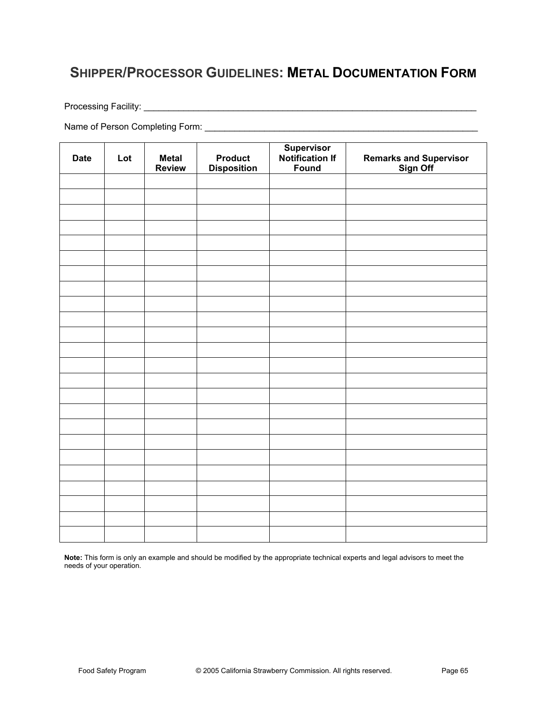### **SHIPPER/PROCESSOR GUIDELINES: METAL DOCUMENTATION FORM**

Processing Facility: \_\_\_\_\_\_\_\_\_\_\_\_\_\_\_\_\_\_\_\_\_\_\_\_\_\_\_\_\_\_\_\_\_\_\_\_\_\_\_\_\_\_\_\_\_\_\_\_\_\_\_\_\_\_\_\_\_\_\_\_\_\_\_\_\_\_\_

Name of Person Completing Form: \_\_\_\_\_\_\_\_\_\_\_\_\_\_\_\_\_\_\_\_\_\_\_\_\_\_\_\_\_\_\_\_\_\_\_\_\_\_\_\_\_\_\_\_\_\_\_\_\_\_\_\_\_\_\_

| <b>Date</b> | Lot | <b>Metal</b><br><b>Review</b> | <b>Product</b><br><b>Disposition</b> | Supervisor<br>Notification If<br>Found | Remarks and Supervisor<br>Sign Off |
|-------------|-----|-------------------------------|--------------------------------------|----------------------------------------|------------------------------------|
|             |     |                               |                                      |                                        |                                    |
|             |     |                               |                                      |                                        |                                    |
|             |     |                               |                                      |                                        |                                    |
|             |     |                               |                                      |                                        |                                    |
|             |     |                               |                                      |                                        |                                    |
|             |     |                               |                                      |                                        |                                    |
|             |     |                               |                                      |                                        |                                    |
|             |     |                               |                                      |                                        |                                    |
|             |     |                               |                                      |                                        |                                    |
|             |     |                               |                                      |                                        |                                    |
|             |     |                               |                                      |                                        |                                    |
|             |     |                               |                                      |                                        |                                    |
|             |     |                               |                                      |                                        |                                    |
|             |     |                               |                                      |                                        |                                    |
|             |     |                               |                                      |                                        |                                    |
|             |     |                               |                                      |                                        |                                    |
|             |     |                               |                                      |                                        |                                    |
|             |     |                               |                                      |                                        |                                    |
|             |     |                               |                                      |                                        |                                    |
|             |     |                               |                                      |                                        |                                    |
|             |     |                               |                                      |                                        |                                    |
|             |     |                               |                                      |                                        |                                    |
|             |     |                               |                                      |                                        |                                    |
|             |     |                               |                                      |                                        |                                    |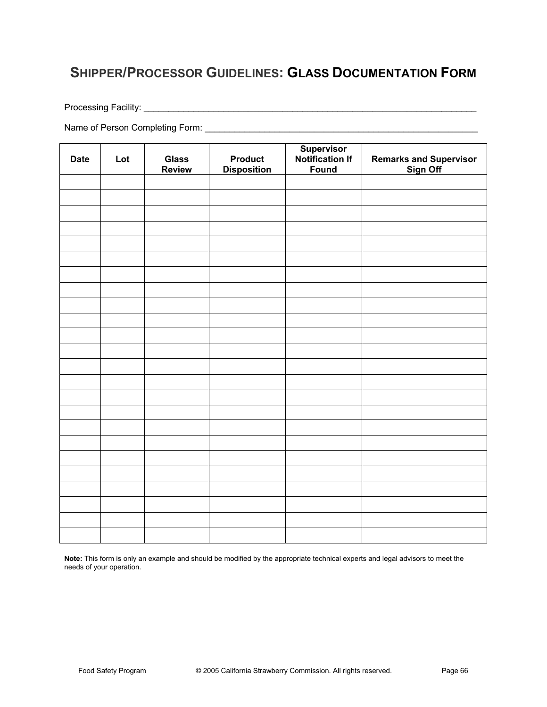## **SHIPPER/PROCESSOR GUIDELINES: GLASS DOCUMENTATION FORM**

Processing Facility: \_\_\_\_\_\_\_\_\_\_\_\_\_\_\_\_\_\_\_\_\_\_\_\_\_\_\_\_\_\_\_\_\_\_\_\_\_\_\_\_\_\_\_\_\_\_\_\_\_\_\_\_\_\_\_\_\_\_\_\_\_\_\_\_\_\_\_

Name of Person Completing Form: \_\_\_\_\_\_\_\_\_\_\_\_\_\_\_\_\_\_\_\_\_\_\_\_\_\_\_\_\_\_\_\_\_\_\_\_\_\_\_\_\_\_\_\_\_\_\_\_\_\_\_\_\_\_\_

| <b>Date</b> | Lot | <b>Glass</b><br><b>Review</b> | <b>Product</b><br><b>Disposition</b> | Supervisor<br>Notification If<br>Found | Remarks and Supervisor<br>Sign Off |
|-------------|-----|-------------------------------|--------------------------------------|----------------------------------------|------------------------------------|
|             |     |                               |                                      |                                        |                                    |
|             |     |                               |                                      |                                        |                                    |
|             |     |                               |                                      |                                        |                                    |
|             |     |                               |                                      |                                        |                                    |
|             |     |                               |                                      |                                        |                                    |
|             |     |                               |                                      |                                        |                                    |
|             |     |                               |                                      |                                        |                                    |
|             |     |                               |                                      |                                        |                                    |
|             |     |                               |                                      |                                        |                                    |
|             |     |                               |                                      |                                        |                                    |
|             |     |                               |                                      |                                        |                                    |
|             |     |                               |                                      |                                        |                                    |
|             |     |                               |                                      |                                        |                                    |
|             |     |                               |                                      |                                        |                                    |
|             |     |                               |                                      |                                        |                                    |
|             |     |                               |                                      |                                        |                                    |
|             |     |                               |                                      |                                        |                                    |
|             |     |                               |                                      |                                        |                                    |
|             |     |                               |                                      |                                        |                                    |
|             |     |                               |                                      |                                        |                                    |
|             |     |                               |                                      |                                        |                                    |
|             |     |                               |                                      |                                        |                                    |
|             |     |                               |                                      |                                        |                                    |
|             |     |                               |                                      |                                        |                                    |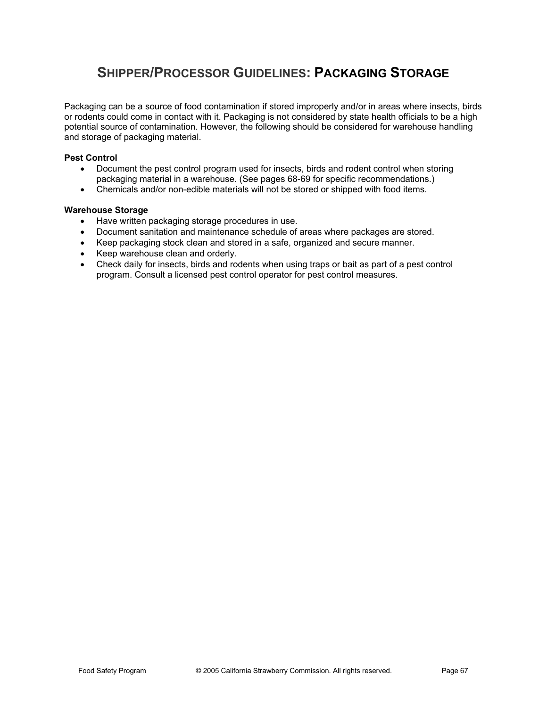### **SHIPPER/PROCESSOR GUIDELINES: PACKAGING STORAGE**

Packaging can be a source of food contamination if stored improperly and/or in areas where insects, birds or rodents could come in contact with it. Packaging is not considered by state health officials to be a high potential source of contamination. However, the following should be considered for warehouse handling and storage of packaging material.

### **Pest Control**

- Document the pest control program used for insects, birds and rodent control when storing packaging material in a warehouse. (See pages 68-69 for specific recommendations.)
- Chemicals and/or non-edible materials will not be stored or shipped with food items.

### **Warehouse Storage**

- Have written packaging storage procedures in use.
- Document sanitation and maintenance schedule of areas where packages are stored.
- Keep packaging stock clean and stored in a safe, organized and secure manner.
- Keep warehouse clean and orderly.
- Check daily for insects, birds and rodents when using traps or bait as part of a pest control program. Consult a licensed pest control operator for pest control measures.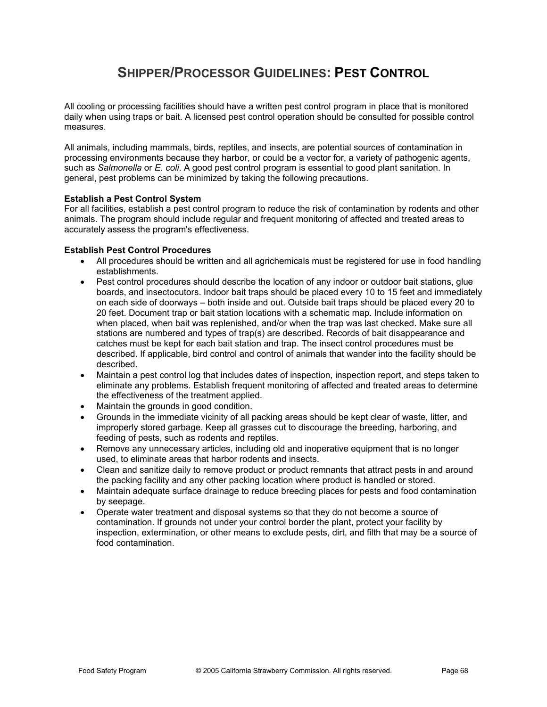## **SHIPPER/PROCESSOR GUIDELINES: PEST CONTROL**

All cooling or processing facilities should have a written pest control program in place that is monitored daily when using traps or bait. A licensed pest control operation should be consulted for possible control measures.

All animals, including mammals, birds, reptiles, and insects, are potential sources of contamination in processing environments because they harbor, or could be a vector for, a variety of pathogenic agents, such as *Salmonella* or *E. coli*. A good pest control program is essential to good plant sanitation. In general, pest problems can be minimized by taking the following precautions.

### **Establish a Pest Control System**

For all facilities, establish a pest control program to reduce the risk of contamination by rodents and other animals. The program should include regular and frequent monitoring of affected and treated areas to accurately assess the program's effectiveness.

### **Establish Pest Control Procedures**

- All procedures should be written and all agrichemicals must be registered for use in food handling establishments.
- Pest control procedures should describe the location of any indoor or outdoor bait stations, glue boards, and insectocutors. Indoor bait traps should be placed every 10 to 15 feet and immediately on each side of doorways – both inside and out. Outside bait traps should be placed every 20 to 20 feet. Document trap or bait station locations with a schematic map. Include information on when placed, when bait was replenished, and/or when the trap was last checked. Make sure all stations are numbered and types of trap(s) are described. Records of bait disappearance and catches must be kept for each bait station and trap. The insect control procedures must be described. If applicable, bird control and control of animals that wander into the facility should be described.
- Maintain a pest control log that includes dates of inspection, inspection report, and steps taken to eliminate any problems. Establish frequent monitoring of affected and treated areas to determine the effectiveness of the treatment applied.
- Maintain the grounds in good condition.
- Grounds in the immediate vicinity of all packing areas should be kept clear of waste, litter, and improperly stored garbage. Keep all grasses cut to discourage the breeding, harboring, and feeding of pests, such as rodents and reptiles.
- Remove any unnecessary articles, including old and inoperative equipment that is no longer used, to eliminate areas that harbor rodents and insects.
- Clean and sanitize daily to remove product or product remnants that attract pests in and around the packing facility and any other packing location where product is handled or stored.
- Maintain adequate surface drainage to reduce breeding places for pests and food contamination by seepage.
- Operate water treatment and disposal systems so that they do not become a source of contamination. If grounds not under your control border the plant, protect your facility by inspection, extermination, or other means to exclude pests, dirt, and filth that may be a source of food contamination.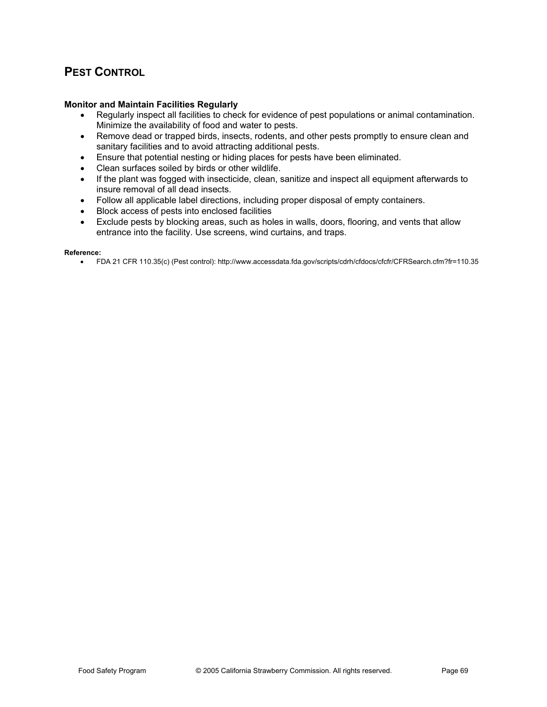### **PEST CONTROL**

### **Monitor and Maintain Facilities Regularly**

- Regularly inspect all facilities to check for evidence of pest populations or animal contamination. Minimize the availability of food and water to pests.
- Remove dead or trapped birds, insects, rodents, and other pests promptly to ensure clean and sanitary facilities and to avoid attracting additional pests.
- **Ensure that potential nesting or hiding places for pests have been eliminated.**
- Clean surfaces soiled by birds or other wildlife.
- If the plant was fogged with insecticide, clean, sanitize and inspect all equipment afterwards to insure removal of all dead insects.
- Follow all applicable label directions, including proper disposal of empty containers.
- **•** Block access of pests into enclosed facilities
- Exclude pests by blocking areas, such as holes in walls, doors, flooring, and vents that allow entrance into the facility. Use screens, wind curtains, and traps.

#### **Reference:**

x FDA 21 CFR 110.35(c) (Pest control): http://www.accessdata.fda.gov/scripts/cdrh/cfdocs/cfcfr/CFRSearch.cfm?fr=110.35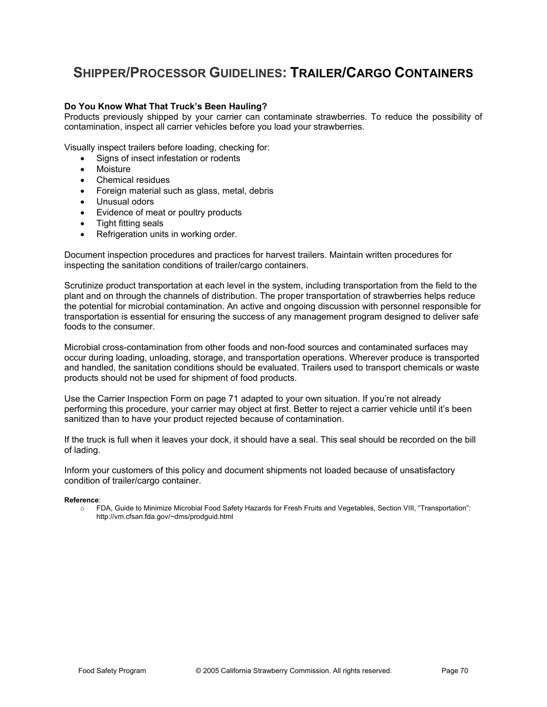### **SHIPPER/PROCESSOR GUIDELINES: TRAILER/CARGO CONTAINERS**

### **Do You Know What That Truck's Been Hauling?**

Products previously shipped by your carrier can contaminate strawberries. To reduce the possibility of contamination, inspect all carrier vehicles before you load your strawberries.

Visually inspect trailers before loading, checking for:

- Signs of insect infestation or rodents
- **Moisture**
- Chemical residues
- Foreign material such as glass, metal, debris
- Unusual odors
- Evidence of meat or poultry products
- Tight fitting seals
- Refrigeration units in working order.

Document inspection procedures and practices for harvest trailers. Maintain written procedures for inspecting the sanitation conditions of trailer/cargo containers.

Scrutinize product transportation at each level in the system, including transportation from the field to the plant and on through the channels of distribution. The proper transportation of strawberries helps reduce the potential for microbial contamination. An active and ongoing discussion with personnel responsible for transportation is essential for ensuring the success of any management program designed to deliver safe foods to the consumer.

Microbial cross-contamination from other foods and non-food sources and contaminated surfaces may occur during loading, unloading, storage, and transportation operations. Wherever produce is transported and handled, the sanitation conditions should be evaluated. Trailers used to transport chemicals or waste products should not be used for shipment of food products.

Use the Carrier Inspection Form on page 71 adapted to your own situation. If you're not already performing this procedure, your carrier may object at first. Better to reject a carrier vehicle until it's been sanitized than to have your product rejected because of contamination.

If the truck is full when it leaves your dock, it should have a seal. This seal should be recorded on the bill of lading.

Inform your customers of this policy and document shipments not loaded because of unsatisfactory condition of trailer/cargo container.

#### **Reference**:

o FDA, Guide to Minimize Microbial Food Safety Hazards for Fresh Fruits and Vegetables, Section VIII, "Transportation": http://vm.cfsan.fda.gov/~dms/prodguid.html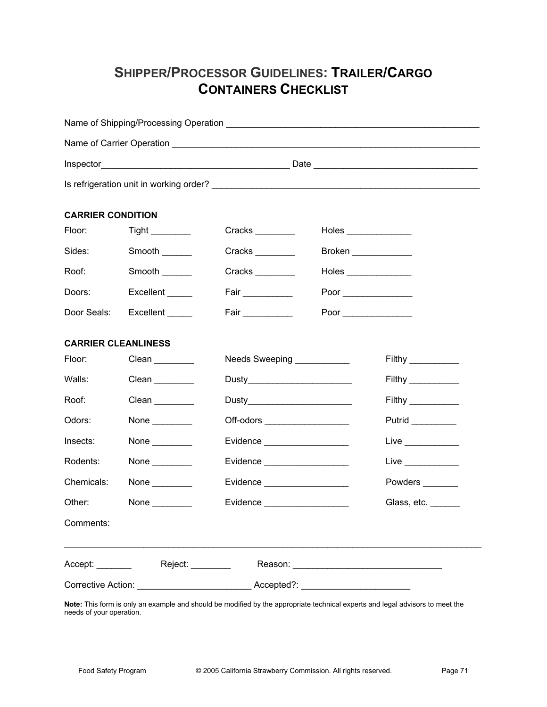# **SHIPPER/PROCESSOR GUIDELINES: TRAILER/CARGO CONTAINERS CHECKLIST**

|                                      |                                       |                                                                                   |             | Is refrigeration unit in working order?<br><u> and the contract of the contract of the contract of the contract of the contract of the contract of the contract of</u> |  |  |
|--------------------------------------|---------------------------------------|-----------------------------------------------------------------------------------|-------------|------------------------------------------------------------------------------------------------------------------------------------------------------------------------|--|--|
| <b>CARRIER CONDITION</b>             |                                       |                                                                                   |             |                                                                                                                                                                        |  |  |
| Floor: The Thomas State              | Tight                                 | Cracks                                                                            |             |                                                                                                                                                                        |  |  |
| Sides:                               | Smooth                                | Cracks                                                                            | Broken      |                                                                                                                                                                        |  |  |
| Roof:                                | Smooth                                | Cracks                                                                            | Holes       |                                                                                                                                                                        |  |  |
| Doors:                               | Excellent _____                       | Fair                                                                              |             |                                                                                                                                                                        |  |  |
|                                      | Door Seals: Excellent _____           | Fair <u>Letter</u>                                                                | Poor $\_\_$ |                                                                                                                                                                        |  |  |
| <b>CARRIER CLEANLINESS</b><br>Floor: |                                       | Needs Sweeping ___________                                                        |             |                                                                                                                                                                        |  |  |
| Walls:                               |                                       |                                                                                   |             |                                                                                                                                                                        |  |  |
| Roof:                                |                                       | Dusty__________________________                                                   |             |                                                                                                                                                                        |  |  |
| Odors:                               | None $\_\_$                           | Dusty___________________________                                                  |             |                                                                                                                                                                        |  |  |
| Insects:                             | None $\_\_$                           | Off-odors _____________________                                                   |             | Live $\_\_$                                                                                                                                                            |  |  |
| Rodents:                             |                                       | Evidence ____________________                                                     |             |                                                                                                                                                                        |  |  |
| Chemicals:                           | None $\qquad$<br>None $\qquad \qquad$ | Evidence _____________________<br>Evidence ___________________                    |             | Live $\qquad \qquad$<br>Powders                                                                                                                                        |  |  |
| Other:                               |                                       |                                                                                   |             |                                                                                                                                                                        |  |  |
| Comments:                            | None $\_\_$                           | Evidence ___________________                                                      |             | Glass, etc.                                                                                                                                                            |  |  |
|                                      |                                       |                                                                                   |             |                                                                                                                                                                        |  |  |
|                                      |                                       | Corrective Action: ________________________________Accepted?: ___________________ |             |                                                                                                                                                                        |  |  |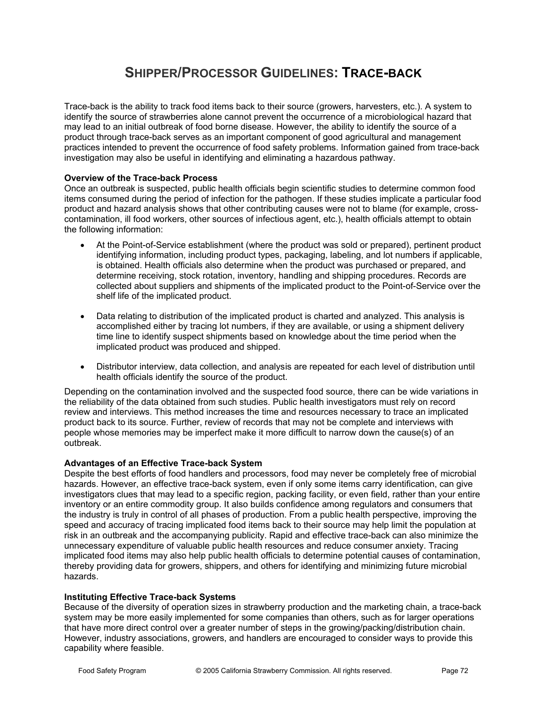# **SHIPPER/PROCESSOR GUIDELINES: TRACE-BACK**

Trace-back is the ability to track food items back to their source (growers, harvesters, etc.). A system to identify the source of strawberries alone cannot prevent the occurrence of a microbiological hazard that may lead to an initial outbreak of food borne disease. However, the ability to identify the source of a product through trace-back serves as an important component of good agricultural and management practices intended to prevent the occurrence of food safety problems. Information gained from trace-back investigation may also be useful in identifying and eliminating a hazardous pathway.

### **Overview of the Trace-back Process**

Once an outbreak is suspected, public health officials begin scientific studies to determine common food items consumed during the period of infection for the pathogen. If these studies implicate a particular food product and hazard analysis shows that other contributing causes were not to blame (for example, crosscontamination, ill food workers, other sources of infectious agent, etc.), health officials attempt to obtain the following information:

- At the Point-of-Service establishment (where the product was sold or prepared), pertinent product identifying information, including product types, packaging, labeling, and lot numbers if applicable, is obtained. Health officials also determine when the product was purchased or prepared, and determine receiving, stock rotation, inventory, handling and shipping procedures. Records are collected about suppliers and shipments of the implicated product to the Point-of-Service over the shelf life of the implicated product.
- Data relating to distribution of the implicated product is charted and analyzed. This analysis is accomplished either by tracing lot numbers, if they are available, or using a shipment delivery time line to identify suspect shipments based on knowledge about the time period when the implicated product was produced and shipped.
- Distributor interview, data collection, and analysis are repeated for each level of distribution until health officials identify the source of the product.

Depending on the contamination involved and the suspected food source, there can be wide variations in the reliability of the data obtained from such studies. Public health investigators must rely on record review and interviews. This method increases the time and resources necessary to trace an implicated product back to its source. Further, review of records that may not be complete and interviews with people whose memories may be imperfect make it more difficult to narrow down the cause(s) of an outbreak.

### **Advantages of an Effective Trace-back System**

Despite the best efforts of food handlers and processors, food may never be completely free of microbial hazards. However, an effective trace-back system, even if only some items carry identification, can give investigators clues that may lead to a specific region, packing facility, or even field, rather than your entire inventory or an entire commodity group. It also builds confidence among regulators and consumers that the industry is truly in control of all phases of production. From a public health perspective, improving the speed and accuracy of tracing implicated food items back to their source may help limit the population at risk in an outbreak and the accompanying publicity. Rapid and effective trace-back can also minimize the unnecessary expenditure of valuable public health resources and reduce consumer anxiety. Tracing implicated food items may also help public health officials to determine potential causes of contamination, thereby providing data for growers, shippers, and others for identifying and minimizing future microbial hazards.

### **Instituting Effective Trace-back Systems**

Because of the diversity of operation sizes in strawberry production and the marketing chain, a trace-back system may be more easily implemented for some companies than others, such as for larger operations that have more direct control over a greater number of steps in the growing/packing/distribution chain. However, industry associations, growers, and handlers are encouraged to consider ways to provide this capability where feasible.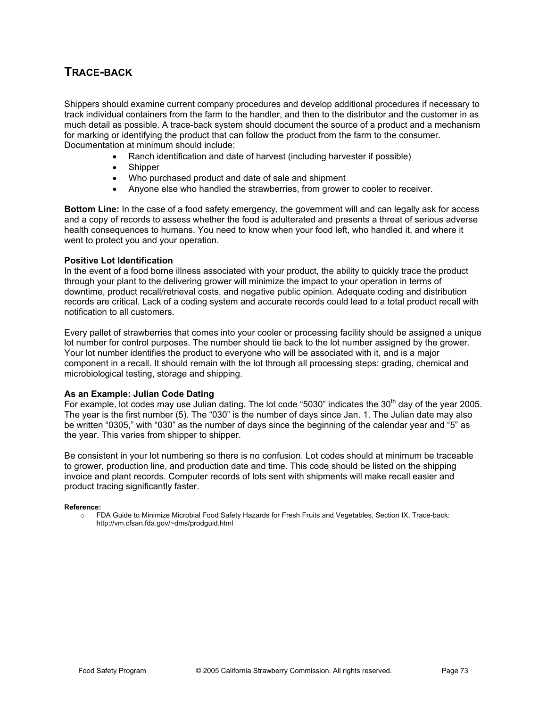### **TRACE-BACK**

Shippers should examine current company procedures and develop additional procedures if necessary to track individual containers from the farm to the handler, and then to the distributor and the customer in as much detail as possible. A trace-back system should document the source of a product and a mechanism for marking or identifying the product that can follow the product from the farm to the consumer. Documentation at minimum should include:

- Ranch identification and date of harvest (including harvester if possible)
- **Shipper**
- Who purchased product and date of sale and shipment
- x Anyone else who handled the strawberries, from grower to cooler to receiver.

**Bottom Line:** In the case of a food safety emergency, the government will and can legally ask for access and a copy of records to assess whether the food is adulterated and presents a threat of serious adverse health consequences to humans. You need to know when your food left, who handled it, and where it went to protect you and your operation.

#### **Positive Lot Identification**

In the event of a food borne illness associated with your product, the ability to quickly trace the product through your plant to the delivering grower will minimize the impact to your operation in terms of downtime, product recall/retrieval costs, and negative public opinion. Adequate coding and distribution records are critical. Lack of a coding system and accurate records could lead to a total product recall with notification to all customers.

Every pallet of strawberries that comes into your cooler or processing facility should be assigned a unique lot number for control purposes. The number should tie back to the lot number assigned by the grower. Your lot number identifies the product to everyone who will be associated with it, and is a major component in a recall. It should remain with the lot through all processing steps: grading, chemical and microbiological testing, storage and shipping.

#### **As an Example: Julian Code Dating**

For example, lot codes may use Julian dating. The lot code "5030" indicates the 30<sup>th</sup> day of the year 2005. The year is the first number (5). The "030" is the number of days since Jan. 1. The Julian date may also be written "0305," with "030" as the number of days since the beginning of the calendar year and "5" as the year. This varies from shipper to shipper.

Be consistent in your lot numbering so there is no confusion. Lot codes should at minimum be traceable to grower, production line, and production date and time. This code should be listed on the shipping invoice and plant records. Computer records of lots sent with shipments will make recall easier and product tracing significantly faster.

#### **Reference:**

o FDA Guide to Minimize Microbial Food Safety Hazards for Fresh Fruits and Vegetables, Section IX, Trace-back: http://vm.cfsan.fda.gov/~dms/prodguid.html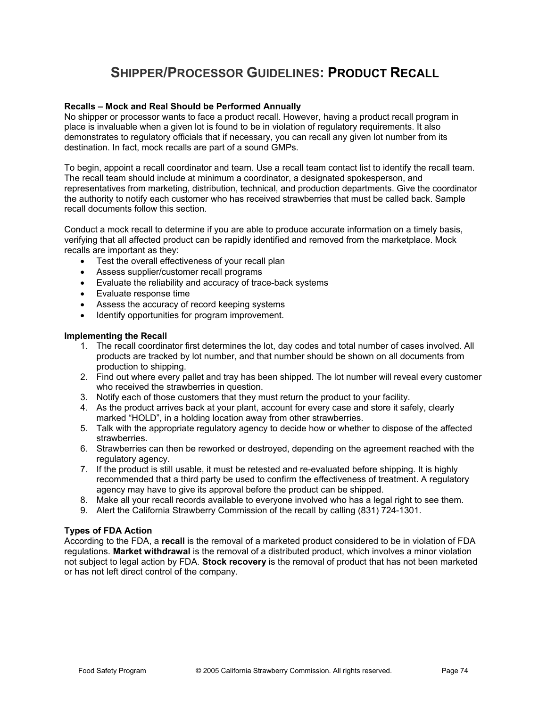# **SHIPPER/PROCESSOR GUIDELINES: PRODUCT RECALL**

#### **Recalls – Mock and Real Should be Performed Annually**

No shipper or processor wants to face a product recall. However, having a product recall program in place is invaluable when a given lot is found to be in violation of regulatory requirements. It also demonstrates to regulatory officials that if necessary, you can recall any given lot number from its destination. In fact, mock recalls are part of a sound GMPs.

To begin, appoint a recall coordinator and team. Use a recall team contact list to identify the recall team. The recall team should include at minimum a coordinator, a designated spokesperson, and representatives from marketing, distribution, technical, and production departments. Give the coordinator the authority to notify each customer who has received strawberries that must be called back. Sample recall documents follow this section.

Conduct a mock recall to determine if you are able to produce accurate information on a timely basis, verifying that all affected product can be rapidly identified and removed from the marketplace. Mock recalls are important as they:

- Test the overall effectiveness of your recall plan
- Assess supplier/customer recall programs
- $\bullet$  Evaluate the reliability and accuracy of trace-back systems
- Evaluate response time
- Assess the accuracy of record keeping systems
- Identify opportunities for program improvement.

#### **Implementing the Recall**

- 1. The recall coordinator first determines the lot, day codes and total number of cases involved. All products are tracked by lot number, and that number should be shown on all documents from production to shipping.
- 2. Find out where every pallet and tray has been shipped. The lot number will reveal every customer who received the strawberries in question.
- 3. Notify each of those customers that they must return the product to your facility.
- 4. As the product arrives back at your plant, account for every case and store it safely, clearly marked "HOLD", in a holding location away from other strawberries.
- 5. Talk with the appropriate regulatory agency to decide how or whether to dispose of the affected strawberries.
- 6. Strawberries can then be reworked or destroyed, depending on the agreement reached with the regulatory agency.
- 7. If the product is still usable, it must be retested and re-evaluated before shipping. It is highly recommended that a third party be used to confirm the effectiveness of treatment. A regulatory agency may have to give its approval before the product can be shipped.
- 8. Make all your recall records available to everyone involved who has a legal right to see them.
- 9. Alert the California Strawberry Commission of the recall by calling (831) 724-1301.

#### **Types of FDA Action**

According to the FDA, a **recall** is the removal of a marketed product considered to be in violation of FDA regulations. **Market withdrawal** is the removal of a distributed product, which involves a minor violation not subject to legal action by FDA. **Stock recovery** is the removal of product that has not been marketed or has not left direct control of the company.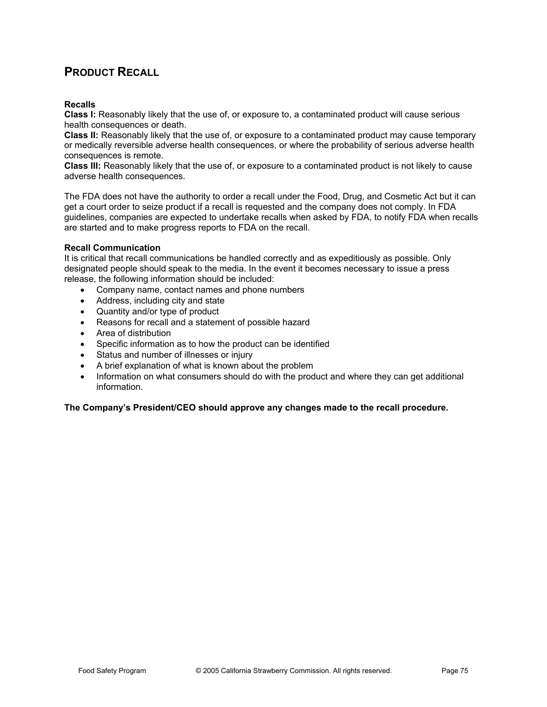### **PRODUCT RECALL**

#### **Recalls**

**Class I:** Reasonably likely that the use of, or exposure to, a contaminated product will cause serious health consequences or death.

**Class II:** Reasonably likely that the use of, or exposure to a contaminated product may cause temporary or medically reversible adverse health consequences, or where the probability of serious adverse health consequences is remote.

**Class III:** Reasonably likely that the use of, or exposure to a contaminated product is not likely to cause adverse health consequences.

The FDA does not have the authority to order a recall under the Food, Drug, and Cosmetic Act but it can get a court order to seize product if a recall is requested and the company does not comply. In FDA guidelines, companies are expected to undertake recalls when asked by FDA, to notify FDA when recalls are started and to make progress reports to FDA on the recall.

#### **Recall Communication**

It is critical that recall communications be handled correctly and as expeditiously as possible. Only designated people should speak to the media. In the event it becomes necessary to issue a press release, the following information should be included:

- Company name, contact names and phone numbers
- Address, including city and state
- Quantity and/or type of product
- Reasons for recall and a statement of possible hazard
- Area of distribution
- Specific information as to how the product can be identified
- Status and number of illnesses or injury
- A brief explanation of what is known about the problem
- Information on what consumers should do with the product and where they can get additional information.

**The Company's President/CEO should approve any changes made to the recall procedure.**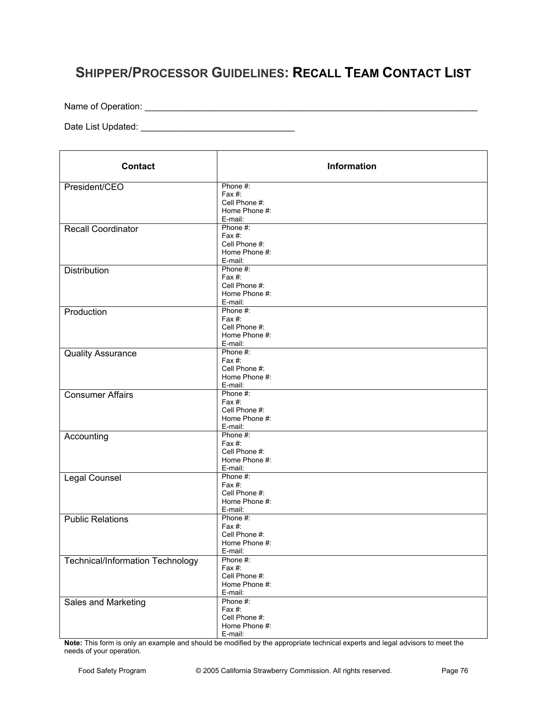# **SHIPPER/PROCESSOR GUIDELINES: RECALL TEAM CONTACT LIST**

Name of Operation: \_\_\_\_\_\_\_\_\_\_\_\_\_\_\_\_\_\_\_\_\_\_\_\_\_\_\_\_\_\_\_\_\_\_\_\_\_\_\_\_\_\_\_\_\_\_\_\_\_\_\_\_\_\_\_\_\_\_\_\_\_\_\_\_\_\_\_

Date List Updated: \_\_\_\_\_\_\_\_\_\_\_\_\_\_\_\_\_\_\_\_\_\_\_\_\_\_\_\_\_\_\_

| <b>Contact</b>                          | Information                                                        |
|-----------------------------------------|--------------------------------------------------------------------|
| President/CEO                           | Phone #:<br>Fax #:<br>Cell Phone #:<br>Home Phone #:<br>E-mail:    |
| <b>Recall Coordinator</b>               | Phone #:<br>Fax $#$ :<br>Cell Phone #:<br>Home Phone #:<br>E-mail: |
| <b>Distribution</b>                     | Phone #:<br>Fax $#$ :<br>Cell Phone #:<br>Home Phone #:<br>E-mail: |
| Production                              | Phone #:<br>Fax $#$ :<br>Cell Phone #:<br>Home Phone #:<br>E-mail: |
| <b>Quality Assurance</b>                | Phone #:<br>Fax $#$ :<br>Cell Phone #:<br>Home Phone #:<br>E-mail: |
| <b>Consumer Affairs</b>                 | Phone #:<br>Fax $#$ :<br>Cell Phone #:<br>Home Phone #:<br>E-mail: |
| Accounting                              | Phone #:<br>Fax $#$ :<br>Cell Phone #:<br>Home Phone #:<br>E-mail: |
| Legal Counsel                           | Phone #:<br>Fax $#$ :<br>Cell Phone #:<br>Home Phone #:<br>E-mail: |
| <b>Public Relations</b>                 | Phone #:<br>Fax #:<br>Cell Phone #:<br>Home Phone #:<br>E-mail:    |
| <b>Technical/Information Technology</b> | Phone #:<br>Fax #:<br>Cell Phone #:<br>Home Phone #:<br>E-mail:    |
| Sales and Marketing                     | Phone #:<br>Fax #:<br>Cell Phone #:<br>Home Phone #:<br>E-mail:    |

**Note:** This form is only an example and should be modified by the appropriate technical experts and legal advisors to meet the needs of your operation.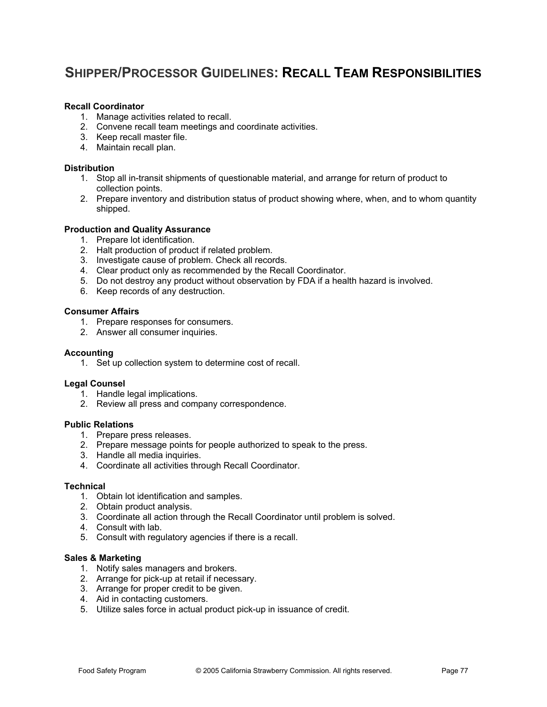# **SHIPPER/PROCESSOR GUIDELINES: RECALL TEAM RESPONSIBILITIES**

#### **Recall Coordinator**

- 1. Manage activities related to recall.
- 2. Convene recall team meetings and coordinate activities.
- 3. Keep recall master file.
- 4. Maintain recall plan.

#### **Distribution**

- 1. Stop all in-transit shipments of questionable material, and arrange for return of product to collection points.
- 2. Prepare inventory and distribution status of product showing where, when, and to whom quantity shipped.

#### **Production and Quality Assurance**

- 1. Prepare lot identification.
- 2. Halt production of product if related problem.
- 3. Investigate cause of problem. Check all records.
- 4. Clear product only as recommended by the Recall Coordinator.
- 5. Do not destroy any product without observation by FDA if a health hazard is involved.
- 6. Keep records of any destruction.

#### **Consumer Affairs**

- 1. Prepare responses for consumers.
- 2. Answer all consumer inquiries.

#### **Accounting**

1. Set up collection system to determine cost of recall.

#### **Legal Counsel**

- 1. Handle legal implications.
- 2. Review all press and company correspondence.

#### **Public Relations**

- 1. Prepare press releases.
- 2. Prepare message points for people authorized to speak to the press.
- 3. Handle all media inquiries.
- 4. Coordinate all activities through Recall Coordinator.

#### **Technical**

- 1. Obtain lot identification and samples.
- 2. Obtain product analysis.
- 3. Coordinate all action through the Recall Coordinator until problem is solved.
- 4. Consult with lab.
- 5. Consult with regulatory agencies if there is a recall.

#### **Sales & Marketing**

- 1. Notify sales managers and brokers.
- 2. Arrange for pick-up at retail if necessary.
- 3. Arrange for proper credit to be given.
- 4. Aid in contacting customers.
- 5. Utilize sales force in actual product pick-up in issuance of credit.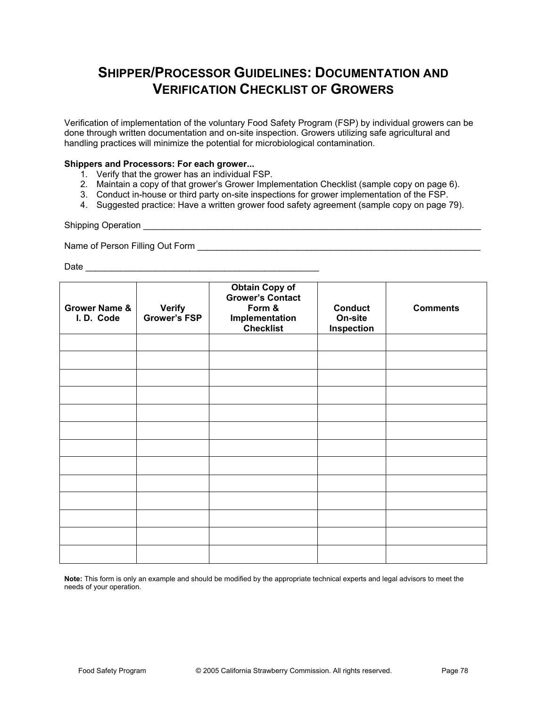# **SHIPPER/PROCESSOR GUIDELINES: DOCUMENTATION AND VERIFICATION CHECKLIST OF GROWERS**

Verification of implementation of the voluntary Food Safety Program (FSP) by individual growers can be done through written documentation and on-site inspection. Growers utilizing safe agricultural and handling practices will minimize the potential for microbiological contamination.

#### **Shippers and Processors: For each grower...**

- 1. Verify that the grower has an individual FSP.
- 2. Maintain a copy of that grower's Grower Implementation Checklist (sample copy on page 6).
- 3. Conduct in-house or third party on-site inspections for grower implementation of the FSP.
- 4. Suggested practice: Have a written grower food safety agreement (sample copy on page 79).

Shipping Operation **Example 20** and  $\overline{a}$  and  $\overline{b}$  and  $\overline{c}$  and  $\overline{d}$  and  $\overline{c}$  and  $\overline{c}$  and  $\overline{c}$  and  $\overline{c}$  and  $\overline{c}$  and  $\overline{c}$  and  $\overline{c}$  and  $\overline{c}$  and  $\overline{c}$  and  $\overline{c}$  and  $\overline$ 

Name of Person Filling Out Form \_\_\_\_\_\_\_\_\_\_\_\_\_\_\_\_\_\_\_\_\_\_\_\_\_\_\_\_\_\_\_\_\_\_\_\_\_\_\_\_\_\_\_\_\_\_\_\_\_\_\_\_\_\_\_\_\_

Date \_\_\_\_\_\_\_\_\_\_\_\_\_\_\_\_\_\_\_\_\_\_\_\_\_\_\_\_\_\_\_\_\_\_\_\_\_\_\_\_\_\_\_\_\_\_\_

| <b>Grower Name &amp;</b><br>I.D. Code | <b>Verify</b><br><b>Grower's FSP</b> | <b>Obtain Copy of</b><br><b>Grower's Contact</b><br>Form &<br>Implementation<br><b>Checklist</b> | <b>Conduct</b><br>On-site<br><b>Inspection</b> | <b>Comments</b> |
|---------------------------------------|--------------------------------------|--------------------------------------------------------------------------------------------------|------------------------------------------------|-----------------|
|                                       |                                      |                                                                                                  |                                                |                 |
|                                       |                                      |                                                                                                  |                                                |                 |
|                                       |                                      |                                                                                                  |                                                |                 |
|                                       |                                      |                                                                                                  |                                                |                 |
|                                       |                                      |                                                                                                  |                                                |                 |
|                                       |                                      |                                                                                                  |                                                |                 |
|                                       |                                      |                                                                                                  |                                                |                 |
|                                       |                                      |                                                                                                  |                                                |                 |
|                                       |                                      |                                                                                                  |                                                |                 |
|                                       |                                      |                                                                                                  |                                                |                 |
|                                       |                                      |                                                                                                  |                                                |                 |
|                                       |                                      |                                                                                                  |                                                |                 |
|                                       |                                      |                                                                                                  |                                                |                 |

**Note:** This form is only an example and should be modified by the appropriate technical experts and legal advisors to meet the needs of your operation.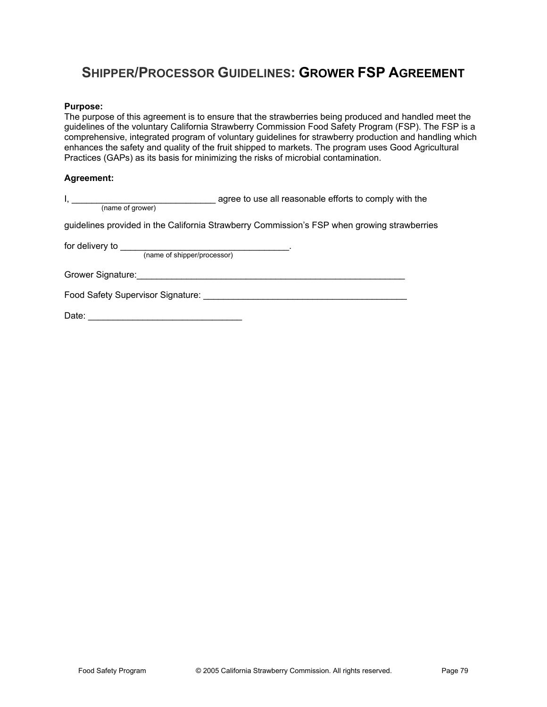# **SHIPPER/PROCESSOR GUIDELINES: GROWER FSP AGREEMENT**

#### **Purpose:**

The purpose of this agreement is to ensure that the strawberries being produced and handled meet the guidelines of the voluntary California Strawberry Commission Food Safety Program (FSP). The FSP is a comprehensive, integrated program of voluntary guidelines for strawberry production and handling which enhances the safety and quality of the fruit shipped to markets. The program uses Good Agricultural Practices (GAPs) as its basis for minimizing the risks of microbial contamination.

#### **Agreement:**

| $\mathsf{I}, \mathsf{I}$                                                                                                                                                                                                             | agree to use all reasonable efforts to comply with the                                      |
|--------------------------------------------------------------------------------------------------------------------------------------------------------------------------------------------------------------------------------------|---------------------------------------------------------------------------------------------|
| (name of grower)                                                                                                                                                                                                                     |                                                                                             |
|                                                                                                                                                                                                                                      | guidelines provided in the California Strawberry Commission's FSP when growing strawberries |
| (name of shipper/processor)                                                                                                                                                                                                          |                                                                                             |
| Grower Signature: <u>contract and a series of the series of the series of the series of the series of the series of the series of the series of the series of the series of the series of the series of the series of the series</u> |                                                                                             |
|                                                                                                                                                                                                                                      |                                                                                             |
|                                                                                                                                                                                                                                      |                                                                                             |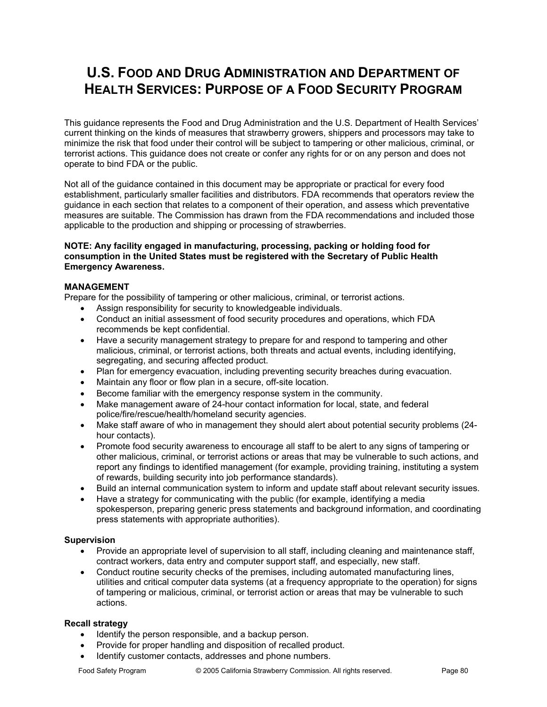# **U.S. FOOD AND DRUG ADMINISTRATION AND DEPARTMENT OF HEALTH SERVICES: PURPOSE OF A FOOD SECURITY PROGRAM**

This guidance represents the Food and Drug Administration and the U.S. Department of Health Services' current thinking on the kinds of measures that strawberry growers, shippers and processors may take to minimize the risk that food under their control will be subject to tampering or other malicious, criminal, or terrorist actions. This guidance does not create or confer any rights for or on any person and does not operate to bind FDA or the public.

Not all of the guidance contained in this document may be appropriate or practical for every food establishment, particularly smaller facilities and distributors. FDA recommends that operators review the guidance in each section that relates to a component of their operation, and assess which preventative measures are suitable. The Commission has drawn from the FDA recommendations and included those applicable to the production and shipping or processing of strawberries.

#### **NOTE: Any facility engaged in manufacturing, processing, packing or holding food for consumption in the United States must be registered with the Secretary of Public Health Emergency Awareness.**

#### **MANAGEMENT**

Prepare for the possibility of tampering or other malicious, criminal, or terrorist actions.

- Assign responsibility for security to knowledgeable individuals.
- Conduct an initial assessment of food security procedures and operations, which FDA recommends be kept confidential.
- Have a security management strategy to prepare for and respond to tampering and other malicious, criminal, or terrorist actions, both threats and actual events, including identifying, segregating, and securing affected product.
- Plan for emergency evacuation, including preventing security breaches during evacuation.
- Maintain any floor or flow plan in a secure, off-site location.
- Become familiar with the emergency response system in the community.
- Make management aware of 24-hour contact information for local, state, and federal police/fire/rescue/health/homeland security agencies.
- Make staff aware of who in management they should alert about potential security problems (24hour contacts).
- Promote food security awareness to encourage all staff to be alert to any signs of tampering or other malicious, criminal, or terrorist actions or areas that may be vulnerable to such actions, and report any findings to identified management (for example, providing training, instituting a system of rewards, building security into job performance standards).
- Build an internal communication system to inform and update staff about relevant security issues.
- Have a strategy for communicating with the public (for example, identifying a media spokesperson, preparing generic press statements and background information, and coordinating press statements with appropriate authorities).

#### **Supervision**

- Provide an appropriate level of supervision to all staff, including cleaning and maintenance staff, contract workers, data entry and computer support staff, and especially, new staff.
- Conduct routine security checks of the premises, including automated manufacturing lines, utilities and critical computer data systems (at a frequency appropriate to the operation) for signs of tampering or malicious, criminal, or terrorist action or areas that may be vulnerable to such actions.

#### **Recall strategy**

- Identify the person responsible, and a backup person.
- Provide for proper handling and disposition of recalled product.
- Identify customer contacts, addresses and phone numbers.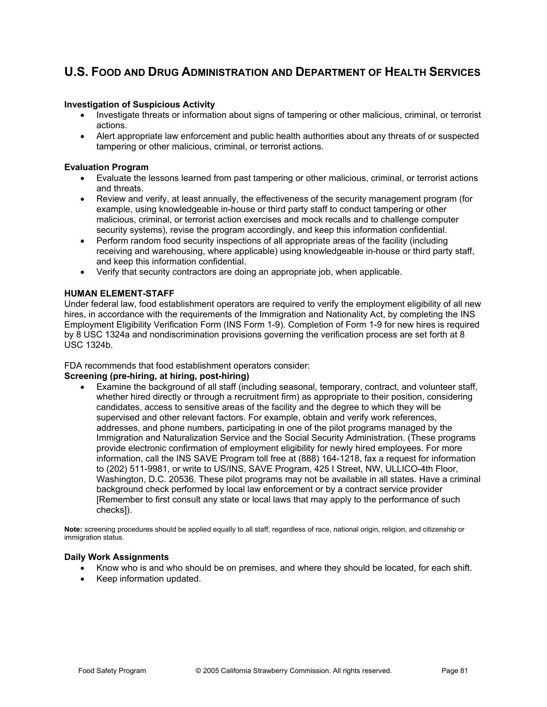#### **Investigation of Suspicious Activity**

- Investigate threats or information about signs of tampering or other malicious, criminal, or terrorist actions.
- Alert appropriate law enforcement and public health authorities about any threats of or suspected tampering or other malicious, criminal, or terrorist actions.

#### **Evaluation Program**

- Evaluate the lessons learned from past tampering or other malicious, criminal, or terrorist actions and threats.
- x Review and verify, at least annually, the effectiveness of the security management program (for example, using knowledgeable in-house or third party staff to conduct tampering or other malicious, criminal, or terrorist action exercises and mock recalls and to challenge computer security systems), revise the program accordingly, and keep this information confidential.
- Perform random food security inspections of all appropriate areas of the facility (including receiving and warehousing, where applicable) using knowledgeable in-house or third party staff, and keep this information confidential.
- Verify that security contractors are doing an appropriate job, when applicable.

#### **HUMAN ELEMENT-STAFF**

Under federal law, food establishment operators are required to verify the employment eligibility of all new hires, in accordance with the requirements of the Immigration and Nationality Act, by completing the INS Employment Eligibility Verification Form (INS Form 1-9). Completion of Form 1-9 for new hires is required by 8 USC 1324a and nondiscrimination provisions governing the verification process are set forth at 8 USC 1324b.

#### FDA recommends that food establishment operators consider:

#### **Screening (pre-hiring, at hiring, post-hiring)**

Examine the background of all staff (including seasonal, temporary, contract, and volunteer staff, whether hired directly or through a recruitment firm) as appropriate to their position, considering candidates, access to sensitive areas of the facility and the degree to which they will be supervised and other relevant factors. For example, obtain and verify work references, addresses, and phone numbers, participating in one of the pilot programs managed by the Immigration and Naturalization Service and the Social Security Administration. (These programs provide electronic confirmation of employment eligibility for newly hired employees. For more information, call the INS SAVE Program toll free at (888) 164-1218, fax a request for information to (202) 511-9981, or write to US/INS, SAVE Program, 425 I Street, NW, ULLICO-4th Floor, Washington, D.C. 20536. These pilot programs may not be available in all states. Have a criminal background check performed by local law enforcement or by a contract service provider [Remember to first consult any state or local laws that may apply to the performance of such checks]).

**Note:** screening procedures should be applied equally to all staff, regardless of race, national origin, religion, and citizenship or immigration status.

#### **Daily Work Assignments**

- x Know who is and who should be on premises, and where they should be located, for each shift.
- Keep information updated.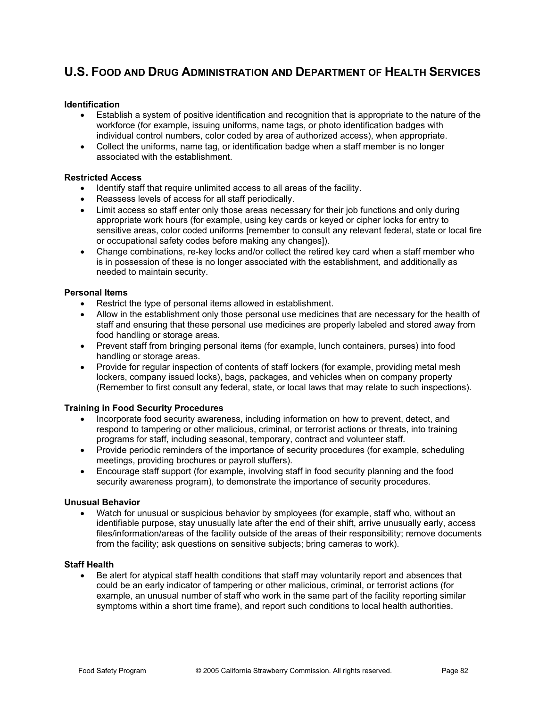#### **Identification**

- Establish a system of positive identification and recognition that is appropriate to the nature of the workforce (for example, issuing uniforms, name tags, or photo identification badges with individual control numbers, color coded by area of authorized access), when appropriate.
- Collect the uniforms, name tag, or identification badge when a staff member is no longer associated with the establishment.

#### **Restricted Access**

- Identify staff that require unlimited access to all areas of the facility.
- Reassess levels of access for all staff periodically.
- Limit access so staff enter only those areas necessary for their job functions and only during appropriate work hours (for example, using key cards or keyed or cipher locks for entry to sensitive areas, color coded uniforms [remember to consult any relevant federal, state or local fire or occupational safety codes before making any changes]).
- Change combinations, re-key locks and/or collect the retired key card when a staff member who is in possession of these is no longer associated with the establishment, and additionally as needed to maintain security.

#### **Personal Items**

- Restrict the type of personal items allowed in establishment.
- Allow in the establishment only those personal use medicines that are necessary for the health of staff and ensuring that these personal use medicines are properly labeled and stored away from food handling or storage areas.
- Prevent staff from bringing personal items (for example, lunch containers, purses) into food handling or storage areas.
- Provide for regular inspection of contents of staff lockers (for example, providing metal mesh lockers, company issued locks), bags, packages, and vehicles when on company property (Remember to first consult any federal, state, or local laws that may relate to such inspections).

#### **Training in Food Security Procedures**

- Incorporate food security awareness, including information on how to prevent, detect, and respond to tampering or other malicious, criminal, or terrorist actions or threats, into training programs for staff, including seasonal, temporary, contract and volunteer staff.
- Provide periodic reminders of the importance of security procedures (for example, scheduling meetings, providing brochures or payroll stuffers).
- Encourage staff support (for example, involving staff in food security planning and the food security awareness program), to demonstrate the importance of security procedures.

#### **Unusual Behavior**

Watch for unusual or suspicious behavior by smployees (for example, staff who, without an identifiable purpose, stay unusually late after the end of their shift, arrive unusually early, access files/information/areas of the facility outside of the areas of their responsibility; remove documents from the facility; ask questions on sensitive subjects; bring cameras to work).

#### **Staff Health**

Be alert for atypical staff health conditions that staff may voluntarily report and absences that could be an early indicator of tampering or other malicious, criminal, or terrorist actions (for example, an unusual number of staff who work in the same part of the facility reporting similar symptoms within a short time frame), and report such conditions to local health authorities.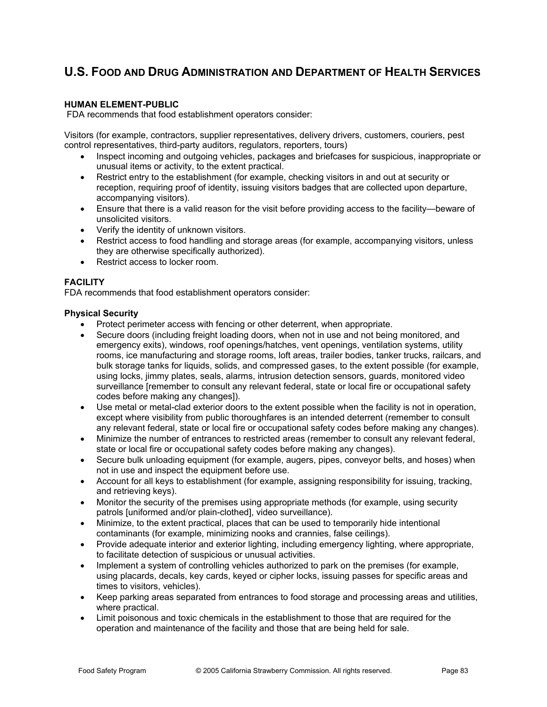#### **HUMAN ELEMENT-PUBLIC**

FDA recommends that food establishment operators consider:

Visitors (for example, contractors, supplier representatives, delivery drivers, customers, couriers, pest control representatives, third-party auditors, regulators, reporters, tours)

- Inspect incoming and outgoing vehicles, packages and briefcases for suspicious, inappropriate or unusual items or activity, to the extent practical.
- Restrict entry to the establishment (for example, checking visitors in and out at security or reception, requiring proof of identity, issuing visitors badges that are collected upon departure, accompanying visitors).
- Ensure that there is a valid reason for the visit before providing access to the facility—beware of unsolicited visitors.
- Verify the identity of unknown visitors.
- Restrict access to food handling and storage areas (for example, accompanying visitors, unless they are otherwise specifically authorized).
- Restrict access to locker room.

#### **FACILITY**

FDA recommends that food establishment operators consider:

#### **Physical Security**

- Protect perimeter access with fencing or other deterrent, when appropriate.
- Secure doors (including freight loading doors, when not in use and not being monitored, and emergency exits), windows, roof openings/hatches, vent openings, ventilation systems, utility rooms, ice manufacturing and storage rooms, loft areas, trailer bodies, tanker trucks, railcars, and bulk storage tanks for liquids, solids, and compressed gases, to the extent possible (for example, using locks, jimmy plates, seals, alarms, intrusion detection sensors, guards, monitored video surveillance [remember to consult any relevant federal, state or local fire or occupational safety codes before making any changes]).
- Use metal or metal-clad exterior doors to the extent possible when the facility is not in operation, except where visibility from public thoroughfares is an intended deterrent (remember to consult any relevant federal, state or local fire or occupational safety codes before making any changes).
- x Minimize the number of entrances to restricted areas (remember to consult any relevant federal, state or local fire or occupational safety codes before making any changes).
- Secure bulk unloading equipment (for example, augers, pipes, conveyor belts, and hoses) when not in use and inspect the equipment before use.
- Account for all keys to establishment (for example, assigning responsibility for issuing, tracking, and retrieving keys).
- Monitor the security of the premises using appropriate methods (for example, using security patrols [uniformed and/or plain-clothed], video surveillance).
- Minimize, to the extent practical, places that can be used to temporarily hide intentional contaminants (for example, minimizing nooks and crannies, false ceilings).
- Provide adequate interior and exterior lighting, including emergency lighting, where appropriate, to facilitate detection of suspicious or unusual activities.
- Implement a system of controlling vehicles authorized to park on the premises (for example, using placards, decals, key cards, keyed or cipher locks, issuing passes for specific areas and times to visitors, vehicles).
- Keep parking areas separated from entrances to food storage and processing areas and utilities, where practical.
- Limit poisonous and toxic chemicals in the establishment to those that are required for the operation and maintenance of the facility and those that are being held for sale.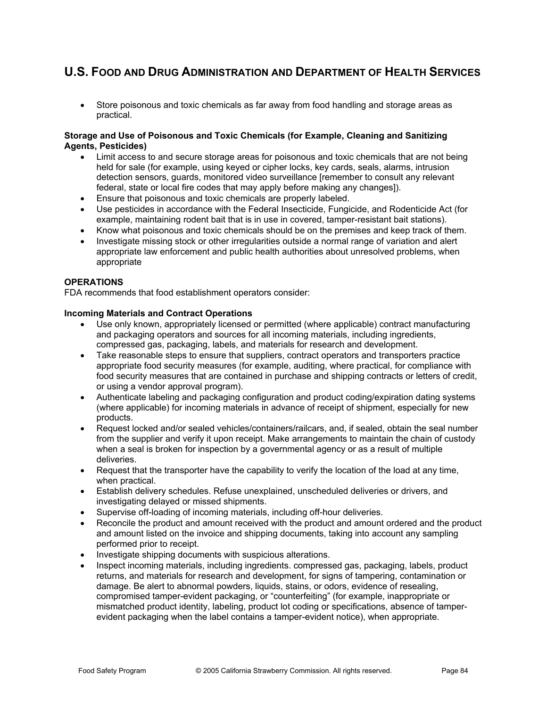• Store poisonous and toxic chemicals as far away from food handling and storage areas as practical.

#### **Storage and Use of Poisonous and Toxic Chemicals (for Example, Cleaning and Sanitizing Agents, Pesticides)**

- Limit access to and secure storage areas for poisonous and toxic chemicals that are not being held for sale (for example, using keyed or cipher locks, key cards, seals, alarms, intrusion detection sensors, guards, monitored video surveillance [remember to consult any relevant federal, state or local fire codes that may apply before making any changes]).
- Ensure that poisonous and toxic chemicals are properly labeled.
- x Use pesticides in accordance with the Federal Insecticide, Fungicide, and Rodenticide Act (for example, maintaining rodent bait that is in use in covered, tamper-resistant bait stations).
- Know what poisonous and toxic chemicals should be on the premises and keep track of them.
- Investigate missing stock or other irregularities outside a normal range of variation and alert appropriate law enforcement and public health authorities about unresolved problems, when appropriate

#### **OPERATIONS**

FDA recommends that food establishment operators consider:

#### **Incoming Materials and Contract Operations**

- Use only known, appropriately licensed or permitted (where applicable) contract manufacturing and packaging operators and sources for all incoming materials, including ingredients, compressed gas, packaging, labels, and materials for research and development.
- Take reasonable steps to ensure that suppliers, contract operators and transporters practice appropriate food security measures (for example, auditing, where practical, for compliance with food security measures that are contained in purchase and shipping contracts or letters of credit, or using a vendor approval program).
- Authenticate labeling and packaging configuration and product coding/expiration dating systems (where applicable) for incoming materials in advance of receipt of shipment, especially for new products.
- x Request locked and/or sealed vehicles/containers/railcars, and, if sealed, obtain the seal number from the supplier and verify it upon receipt. Make arrangements to maintain the chain of custody when a seal is broken for inspection by a governmental agency or as a result of multiple deliveries.
- $\bullet$  Request that the transporter have the capability to verify the location of the load at any time, when practical.
- Establish delivery schedules. Refuse unexplained, unscheduled deliveries or drivers, and investigating delayed or missed shipments.
- Supervise off-loading of incoming materials, including off-hour deliveries.
- Reconcile the product and amount received with the product and amount ordered and the product and amount listed on the invoice and shipping documents, taking into account any sampling performed prior to receipt.
- Investigate shipping documents with suspicious alterations.
- x Inspect incoming materials, including ingredients. compressed gas, packaging, labels, product returns, and materials for research and development, for signs of tampering, contamination or damage. Be alert to abnormal powders, liquids, stains, or odors, evidence of resealing, compromised tamper-evident packaging, or "counterfeiting" (for example, inappropriate or mismatched product identity, labeling, product lot coding or specifications, absence of tamperevident packaging when the label contains a tamper-evident notice), when appropriate.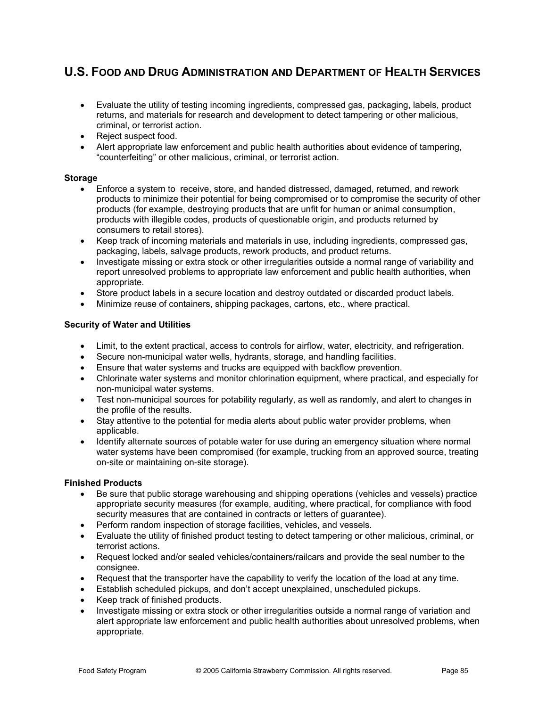- Evaluate the utility of testing incoming ingredients, compressed gas, packaging, labels, product returns, and materials for research and development to detect tampering or other malicious, criminal, or terrorist action.
- Reject suspect food.
- Alert appropriate law enforcement and public health authorities about evidence of tampering, "counterfeiting" or other malicious, criminal, or terrorist action.

#### **Storage**

- x Enforce a system to receive, store, and handed distressed, damaged, returned, and rework products to minimize their potential for being compromised or to compromise the security of other products (for example, destroying products that are unfit for human or animal consumption, products with illegible codes, products of questionable origin, and products returned by consumers to retail stores).
- Keep track of incoming materials and materials in use, including ingredients, compressed gas, packaging, labels, salvage products, rework products, and product returns.
- Investigate missing or extra stock or other irregularities outside a normal range of variability and report unresolved problems to appropriate law enforcement and public health authorities, when appropriate.
- Store product labels in a secure location and destroy outdated or discarded product labels.
- x Minimize reuse of containers, shipping packages, cartons, etc., where practical.

#### **Security of Water and Utilities**

- Limit, to the extent practical, access to controls for airflow, water, electricity, and refrigeration.
- Secure non-municipal water wells, hydrants, storage, and handling facilities.
- **Ensure that water systems and trucks are equipped with backflow prevention.**
- Chlorinate water systems and monitor chlorination equipment, where practical, and especially for non-municipal water systems.
- Test non-municipal sources for potability regularly, as well as randomly, and alert to changes in the profile of the results.
- Stay attentive to the potential for media alerts about public water provider problems, when applicable.
- Identify alternate sources of potable water for use during an emergency situation where normal water systems have been compromised (for example, trucking from an approved source, treating on-site or maintaining on-site storage).

#### **Finished Products**

- Be sure that public storage warehousing and shipping operations (vehicles and vessels) practice appropriate security measures (for example, auditing, where practical, for compliance with food security measures that are contained in contracts or letters of guarantee).
- Perform random inspection of storage facilities, vehicles, and vessels.
- Evaluate the utility of finished product testing to detect tampering or other malicious, criminal, or terrorist actions.
- Request locked and/or sealed vehicles/containers/railcars and provide the seal number to the consignee.
- Request that the transporter have the capability to verify the location of the load at any time.
- Establish scheduled pickups, and don't accept unexplained, unscheduled pickups.
- x Keep track of finished products.
- Investigate missing or extra stock or other irregularities outside a normal range of variation and alert appropriate law enforcement and public health authorities about unresolved problems, when appropriate.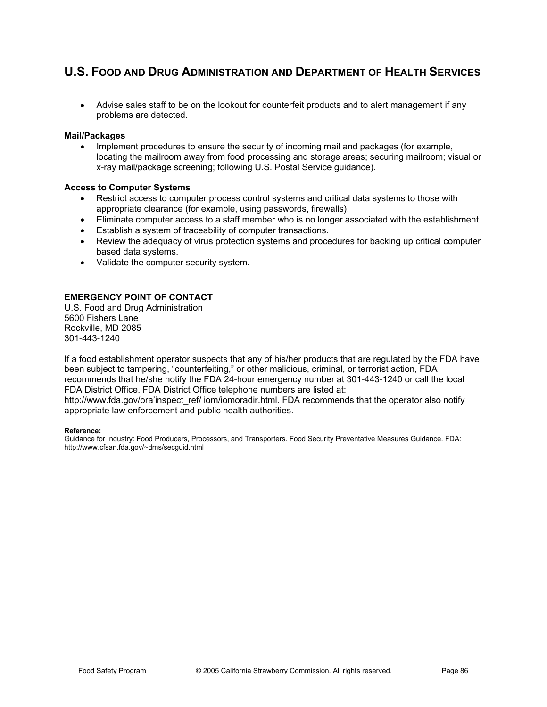• Advise sales staff to be on the lookout for counterfeit products and to alert management if any problems are detected.

#### **Mail/Packages**

• Implement procedures to ensure the security of incoming mail and packages (for example, locating the mailroom away from food processing and storage areas; securing mailroom; visual or x-ray mail/package screening; following U.S. Postal Service guidance).

#### **Access to Computer Systems**

- Restrict access to computer process control systems and critical data systems to those with appropriate clearance (for example, using passwords, firewalls).
- Eliminate computer access to a staff member who is no longer associated with the establishment.
- **Establish a system of traceability of computer transactions.**
- Review the adequacy of virus protection systems and procedures for backing up critical computer based data systems.
- Validate the computer security system.

appropriate law enforcement and public health authorities.

#### **EMERGENCY POINT OF CONTACT**

U.S. Food and Drug Administration 5600 Fishers Lane Rockville, MD 2085 301-443-1240

If a food establishment operator suspects that any of his/her products that are regulated by the FDA have been subject to tampering, "counterfeiting," or other malicious, criminal, or terrorist action, FDA recommends that he/she notify the FDA 24-hour emergency number at 301-443-1240 or call the local FDA District Office. FDA District Office telephone numbers are listed at: http://www.fda.gov/ora'inspect\_ref/ iom/iomoradir.html. FDA recommends that the operator also notify

### **Reference:**

Guidance for Industry: Food Producers, Processors, and Transporters. Food Security Preventative Measures Guidance. FDA: http://www.cfsan.fda.gov/~dms/secguid.html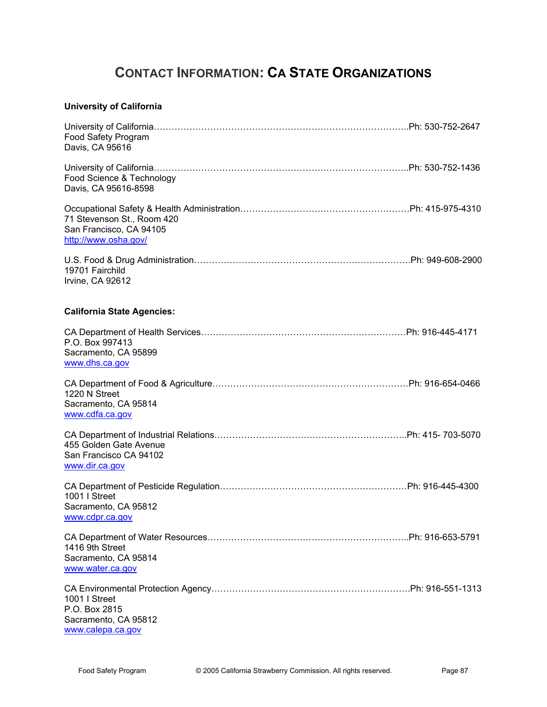# **CONTACT INFORMATION: CA STATE ORGANIZATIONS**

### **University of California**

| Food Safety Program<br>Davis, CA 95616                                        |  |
|-------------------------------------------------------------------------------|--|
| Food Science & Technology<br>Davis, CA 95616-8598                             |  |
| 71 Stevenson St., Room 420<br>San Francisco, CA 94105<br>http://www.osha.gov/ |  |
| 19701 Fairchild<br>Irvine, CA 92612                                           |  |
| <b>California State Agencies:</b>                                             |  |
| P.O. Box 997413<br>Sacramento, CA 95899<br>www.dhs.ca.gov                     |  |
| 1220 N Street<br>Sacramento, CA 95814<br>www.cdfa.ca.gov                      |  |
| 455 Golden Gate Avenue<br>San Francisco CA 94102<br>www.dir.ca.gov            |  |
| 1001   Street<br>Sacramento, CA 95812<br>www.cdpr.ca.gov                      |  |
| 1416 9th Street<br>Sacramento, CA 95814<br>www.water.ca.gov                   |  |
| 1001 I Street<br>P.O. Box 2815<br>Sacramento, CA 95812<br>www.calepa.ca.gov   |  |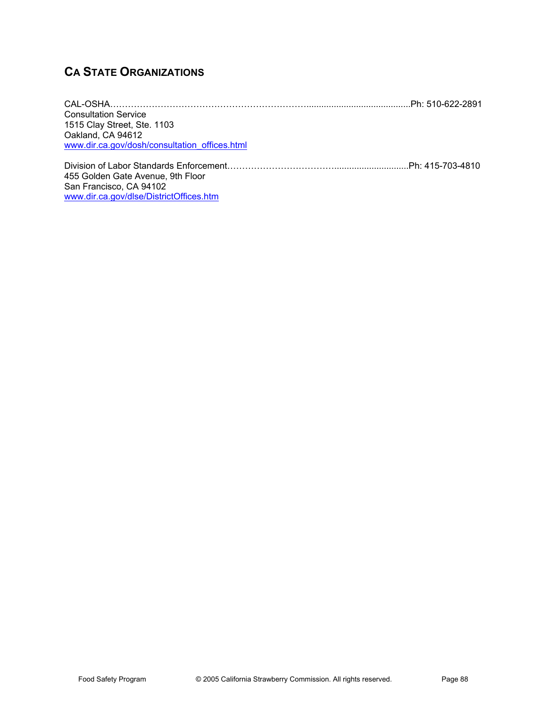# **CA STATE ORGANIZATIONS**

| <b>Consultation Service</b>                   |  |
|-----------------------------------------------|--|
| 1515 Clay Street, Ste. 1103                   |  |
| Oakland, CA 94612                             |  |
| www.dir.ca.gov/dosh/consultation_offices.html |  |
|                                               |  |
| 455 Golden Gate Avenue, 9th Floor             |  |
| San Francisco, CA 94102                       |  |
| www.dir.ca.gov/dlse/DistrictOffices.htm       |  |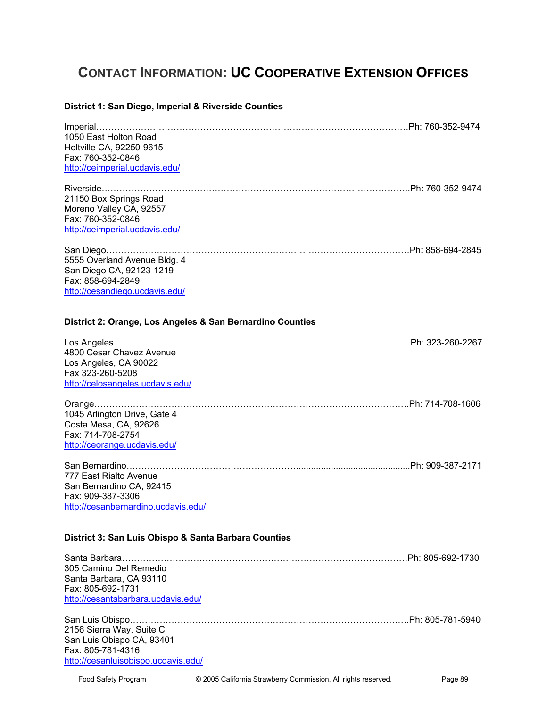# **CONTACT INFORMATION: UC COOPERATIVE EXTENSION OFFICES**

### **District 1: San Diego, Imperial & Riverside Counties**

| 1050 East Holton Road<br>Holtville CA, 92250-9615<br>Fax: 760-352-0846<br>http://ceimperial.ucdavis.edu/                                                               |  |
|------------------------------------------------------------------------------------------------------------------------------------------------------------------------|--|
| 21150 Box Springs Road<br>Moreno Valley CA, 92557<br>Fax: 760-352-0846<br>http://ceimperial.ucdavis.edu/                                                               |  |
| 5555 Overland Avenue Bldg. 4<br>San Diego CA, 92123-1219<br>Fax: 858-694-2849<br>http://cesandiego.ucdavis.edu/                                                        |  |
| District 2: Orange, Los Angeles & San Bernardino Counties<br>4800 Cesar Chavez Avenue<br>Los Angeles, CA 90022<br>Fax 323-260-5208<br>http://celosangeles.ucdavis.edu/ |  |
| 1045 Arlington Drive, Gate 4<br>Costa Mesa, CA, 92626<br>Fax: 714-708-2754<br>http://ceorange.ucdavis.edu/                                                             |  |
| 777 East Rialto Avenue<br>San Bernardino CA, 92415<br>Fax: 909-387-3306<br>http://cesanbernardino.ucdavis.edu/<br>District 3: San Luis Obispo & Santa Barbara Counties |  |
| 305 Camino Del Remedio<br>Santa Barbara, CA 93110<br>Fax: 805-692-1731<br>http://cesantabarbara.ucdavis.edu/                                                           |  |
| 2156 Sierra Way, Suite C<br>San Luis Obispo CA, 93401<br>Fax: 805-781-4316<br>http://cesanluisobispo.ucdavis.edu/                                                      |  |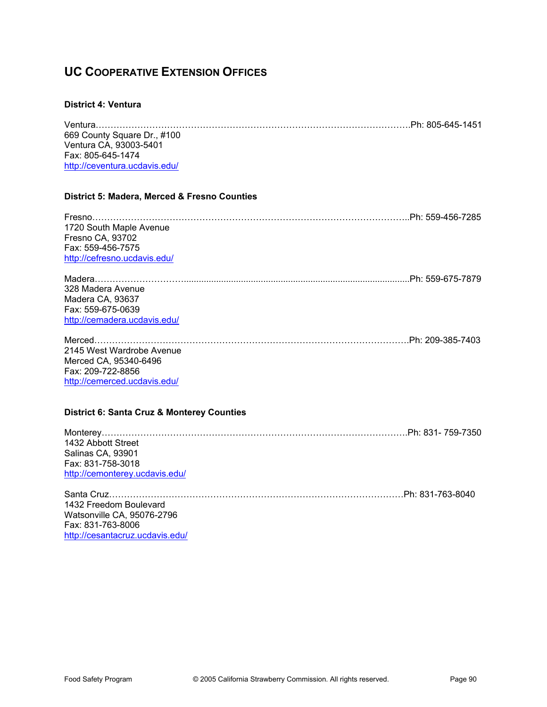## **UC COOPERATIVE EXTENSION OFFICES**

#### **District 4: Ventura**

| 669 County Square Dr., #100                           |  |
|-------------------------------------------------------|--|
| Ventura CA, 93003-5401                                |  |
| Fax: 805-645-1474                                     |  |
| http://ceventura.ucdavis.edu/                         |  |
| District 5: Madera, Merced & Fresno Counties          |  |
|                                                       |  |
| 1720 South Maple Avenue                               |  |
| Fresno CA, 93702                                      |  |
| Fax: 559-456-7575                                     |  |
| http://cefresno.ucdavis.edu/                          |  |
|                                                       |  |
| 328 Madera Avenue                                     |  |
| Madera CA, 93637                                      |  |
| Fax: 559-675-0639                                     |  |
| http://cemadera.ucdavis.edu/                          |  |
|                                                       |  |
| 2145 West Wardrobe Avenue                             |  |
| Merced CA, 95340-6496                                 |  |
| Fax: 209-722-8856                                     |  |
| http://cemerced.ucdavis.edu/                          |  |
| <b>District 6: Santa Cruz &amp; Monterey Counties</b> |  |
|                                                       |  |
| 1432 Abbott Street                                    |  |
| Salinas CA, 93901                                     |  |
| Fax: 831-758-3018                                     |  |
| http://cemonterey.ucdavis.edu/                        |  |
|                                                       |  |
| 1432 Freedom Boulevard                                |  |
| Watsonville CA, 95076-2796                            |  |
| Fax: 831-763-8006                                     |  |
| http://cesantacruz.ucdavis.edu/                       |  |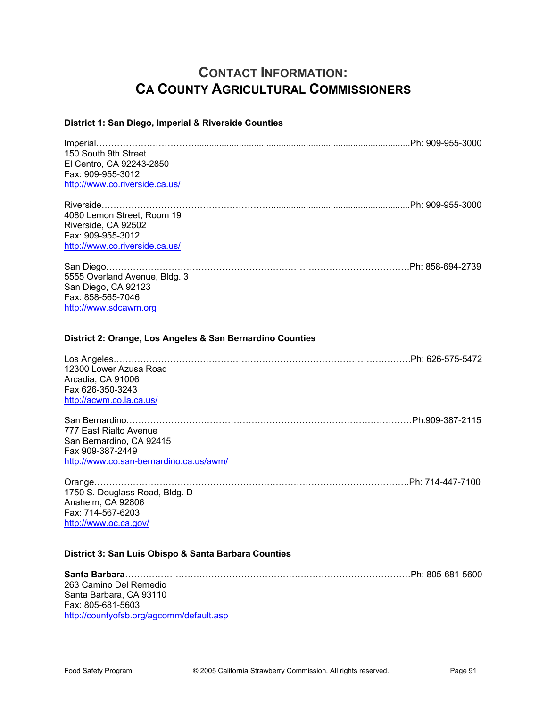# **CONTACT INFORMATION: CA COUNTY AGRICULTURAL COMMISSIONERS**

#### **District 1: San Diego, Imperial & Riverside Counties**

| 150 South 9th Street                                      |  |
|-----------------------------------------------------------|--|
| El Centro, CA 92243-2850                                  |  |
| Fax: 909-955-3012                                         |  |
| http://www.co.riverside.ca.us/                            |  |
|                                                           |  |
| 4080 Lemon Street, Room 19                                |  |
| Riverside, CA 92502                                       |  |
| Fax: 909-955-3012                                         |  |
| http://www.co.riverside.ca.us/                            |  |
|                                                           |  |
| 5555 Overland Avenue, Bldg. 3                             |  |
| San Diego, CA 92123                                       |  |
| Fax: 858-565-7046                                         |  |
| http://www.sdcawm.org                                     |  |
| District 2: Orange, Los Angeles & San Bernardino Counties |  |
| 12300 Lower Azusa Road                                    |  |
| Arcadia, CA 91006                                         |  |
| Fax 626-350-3243                                          |  |
| http://acwm.co.la.ca.us/                                  |  |
|                                                           |  |
|                                                           |  |
| 777 East Rialto Avenue                                    |  |
| San Bernardino, CA 92415<br>Fax 909-387-2449              |  |
| http://www.co.san-bernardino.ca.us/awm/                   |  |
|                                                           |  |
|                                                           |  |
| 1750 S. Douglass Road, Bldg. D                            |  |
| Anaheim, CA 92806                                         |  |
| Fax: 714-567-6203                                         |  |
| http://www.oc.ca.gov/                                     |  |
| District 3: San Luis Obispo & Santa Barbara Counties      |  |
|                                                           |  |
| 263 Camino Del Remedio                                    |  |
| Capta Darbara, CA 00440                                   |  |

Santa Barbara, CA 93110 Fax: 805-681-5603 http://countyofsb.org/agcomm/default.asp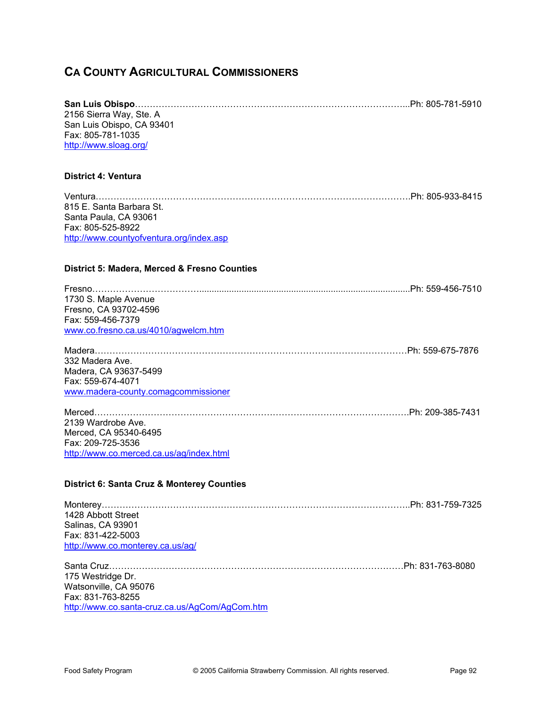## **CA COUNTY AGRICULTURAL COMMISSIONERS**

| 2156 Sierra Way, Ste. A                               |                  |
|-------------------------------------------------------|------------------|
| San Luis Obispo, CA 93401                             |                  |
| Fax: 805-781-1035                                     |                  |
| http://www.sloag.org/                                 |                  |
|                                                       |                  |
| <b>District 4: Ventura</b>                            |                  |
|                                                       |                  |
| 815 E. Santa Barbara St.                              |                  |
| Santa Paula, CA 93061                                 |                  |
| Fax: 805-525-8922                                     |                  |
| http://www.countyofventura.org/index.asp              |                  |
|                                                       |                  |
| District 5: Madera, Merced & Fresno Counties          |                  |
|                                                       |                  |
| 1730 S. Maple Avenue                                  |                  |
| Fresno, CA 93702-4596                                 |                  |
| Fax: 559-456-7379                                     |                  |
| www.co.fresno.ca.us/4010/agwelcm.htm                  |                  |
|                                                       |                  |
|                                                       |                  |
| 332 Madera Ave.                                       |                  |
| Madera, CA 93637-5499                                 |                  |
| Fax: 559-674-4071                                     |                  |
| www.madera-county.comagcommissioner                   |                  |
|                                                       |                  |
| 2139 Wardrobe Ave.                                    |                  |
| Merced, CA 95340-6495                                 |                  |
| Fax: 209-725-3536                                     |                  |
| http://www.co.merced.ca.us/ag/index.html              |                  |
|                                                       |                  |
| <b>District 6: Santa Cruz &amp; Monterey Counties</b> |                  |
|                                                       |                  |
|                                                       |                  |
| 1428 Abbott Street                                    |                  |
| Salinas, CA 93901                                     |                  |
| Fax: 831-422-5003                                     |                  |
| http://www.co.monterey.ca.us/ag/                      |                  |
|                                                       |                  |
|                                                       | Ph: 831-763-8080 |
| 175 Westridge Dr.                                     |                  |
| Watsonville, CA 95076                                 |                  |
| Fax: 831-763-8255                                     |                  |
| http://www.co.santa-cruz.ca.us/AgCom/AgCom.htm        |                  |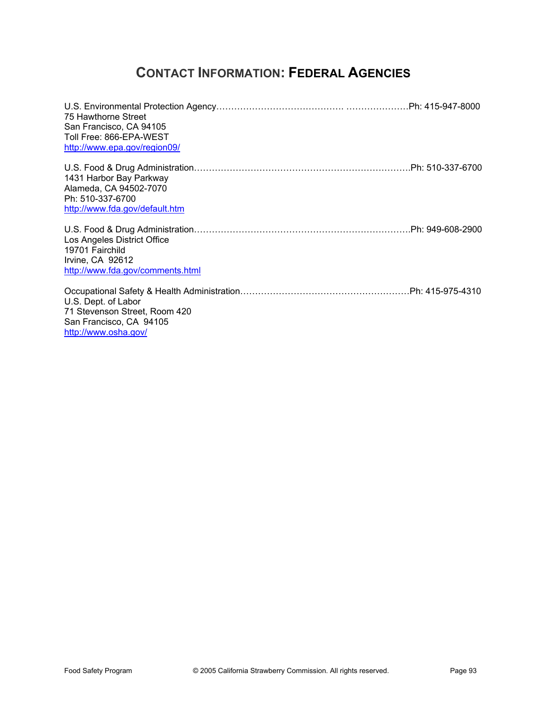# **CONTACT INFORMATION: FEDERAL AGENCIES**

| 75 Hawthorne Street<br>San Francisco, CA 94105<br>Toll Free: 866-EPA-WEST<br>http://www.epa.gov/region09/ |  |
|-----------------------------------------------------------------------------------------------------------|--|
| 1431 Harbor Bay Parkway<br>Alameda, CA 94502-7070<br>Ph: 510-337-6700<br>http://www.fda.gov/default.htm   |  |
| Los Angeles District Office<br>19701 Fairchild<br>Irvine, CA 92612<br>http://www.fda.gov/comments.html    |  |
| U.S. Dept. of Labor<br>71 Stevenson Street, Room 420<br>San Francisco, CA 94105<br>http://www.osha.gov/   |  |